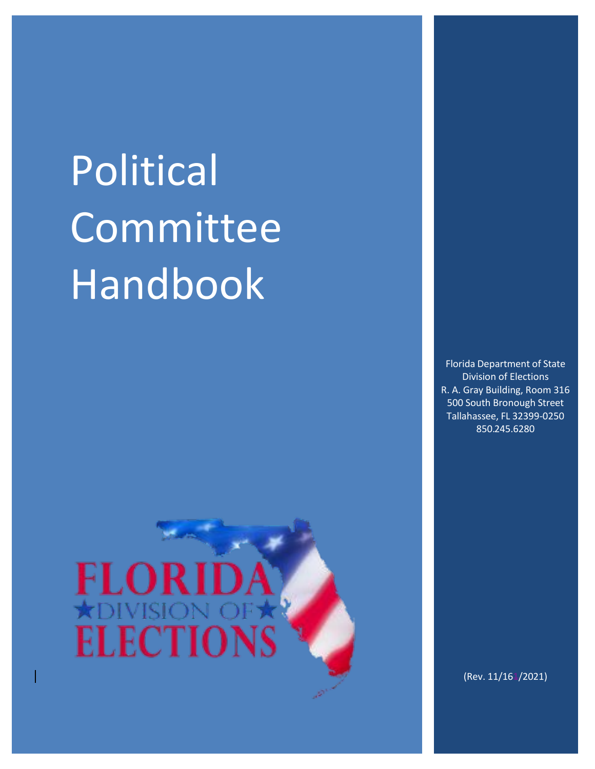# Political Committee Handbook





(Rev. 11/164/2021)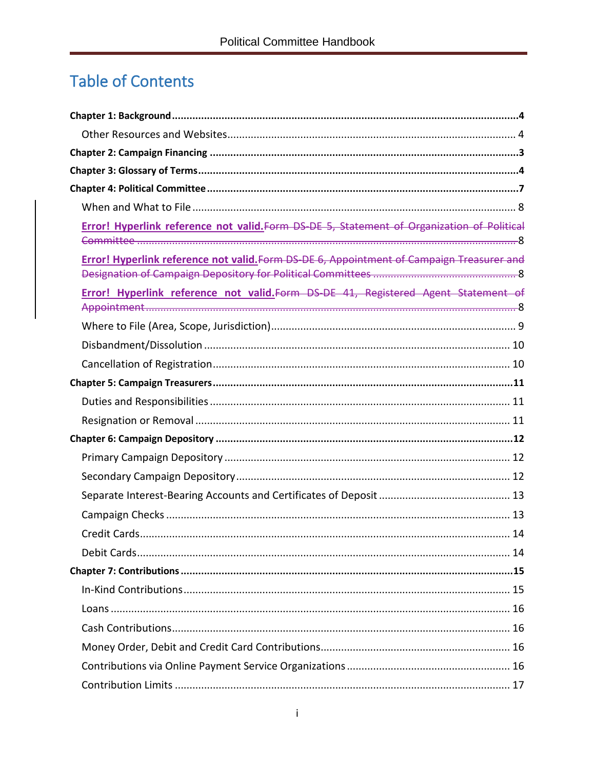# **Table of Contents**

| Error! Hyperlink reference not valid. Form DS-DE 5, Statement of Organization of Political |
|--------------------------------------------------------------------------------------------|
| Error! Hyperlink reference not valid. Form DS-DE 6, Appointment of Campaign Treasurer and  |
| Error! Hyperlink reference not valid. Form DS DE 41, Registered Agent Statement of         |
|                                                                                            |
|                                                                                            |
|                                                                                            |
|                                                                                            |
|                                                                                            |
|                                                                                            |
|                                                                                            |
|                                                                                            |
|                                                                                            |
|                                                                                            |
|                                                                                            |
|                                                                                            |
|                                                                                            |
|                                                                                            |
|                                                                                            |
|                                                                                            |
|                                                                                            |
|                                                                                            |
|                                                                                            |
|                                                                                            |
|                                                                                            |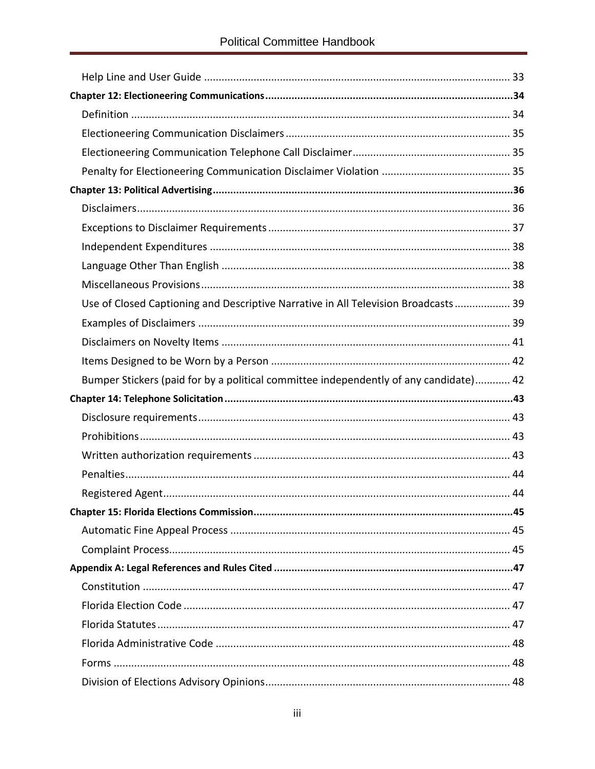| Use of Closed Captioning and Descriptive Narrative in All Television Broadcasts 39    |  |
|---------------------------------------------------------------------------------------|--|
|                                                                                       |  |
|                                                                                       |  |
|                                                                                       |  |
| Bumper Stickers (paid for by a political committee independently of any candidate) 42 |  |
|                                                                                       |  |
|                                                                                       |  |
|                                                                                       |  |
|                                                                                       |  |
|                                                                                       |  |
|                                                                                       |  |
|                                                                                       |  |
|                                                                                       |  |
|                                                                                       |  |
|                                                                                       |  |
|                                                                                       |  |
|                                                                                       |  |
|                                                                                       |  |
|                                                                                       |  |
|                                                                                       |  |
|                                                                                       |  |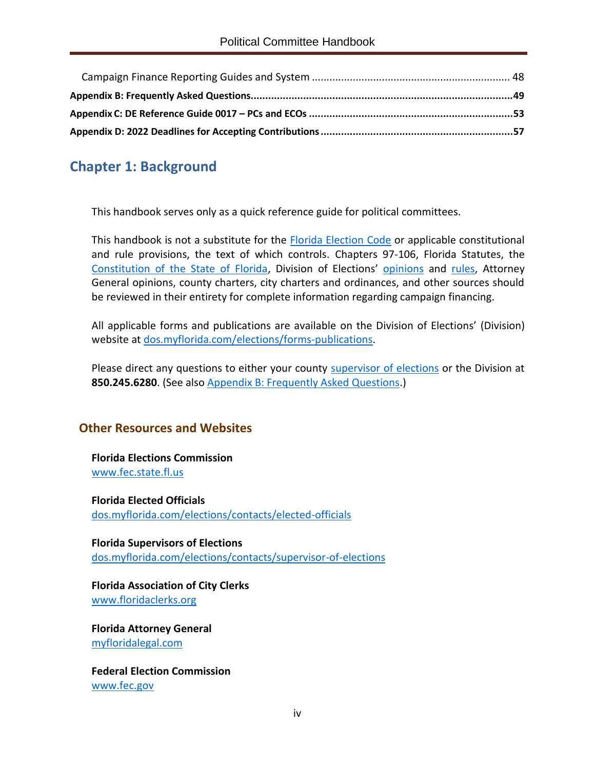# <span id="page-4-0"></span>**Chapter 1: Background**

This handbook serves only as a quick reference guide for political committees.

This handbook is not a substitute for the [Florida Election](http://www.leg.state.fl.us/statutes/index.cfm?App_mode=Display_Index&Title_Request=IX#TitleIX) Code or applicable constitutional and rule provisions, the text of which controls. Chapters 97-106, Florida Statutes, the [Constitution of the State of Florida](http://www.leg.state.fl.us/Statutes/index.cfm?Mode=Constitution&Submenu=3&Tab=statutes&CFID=167991000&CFTOKEN=e6f7dd8a6c4814b6-3DEF1D3E-9C67-3689-D4B53F43E5288957), Division of Elections' [opinions](https://dos.myflorida.com/elections/laws-rules/advisory-opinions/) and [rules,](https://dos.myflorida.com/elections/laws-rules/rules/) Attorney General opinions, county charters, city charters and ordinances, and other sources should be reviewed in their entirety for complete information regarding campaign financing.

All applicable forms and publications are available on the Division of Elections' (Division) website at [dos.myflorida.com/elections/forms-publications.](https://dos.myflorida.com/elections/forms-publications)

Please direct any questions to either your county [supervisor of elections](https://dos.myflorida.com/elections/contacts/supervisor-of-elections/) or the Division at **850.245.6280**. (See also [Appendix B: Frequently Asked Questions.](#page-52-0))

## <span id="page-4-1"></span>**Other Resources and Websites**

**Florida Elections Commission** [www.fec.state.fl.us](http://www.fec.state.fl.us/)

**Florida Elected Officials** [dos.myflorida.com/elections/contacts/elected-officials](https://dos.myflorida.com/elections/contacts/elected-officials/)

**Florida Supervisors of Elections** [dos.myflorida.com/elections/contacts/supervisor-of-elections](https://dos.myflorida.com/elections/contacts/supervisor-of-elections)

**Florida Association of City Clerks** [www.floridaclerks.org](https://www.floridaclerks.org/)

**Florida Attorney General** [myfloridalegal.com](http://myfloridalegal.com/)

**Federal Election Commission** [www.fec.gov](https://www.fec.gov/)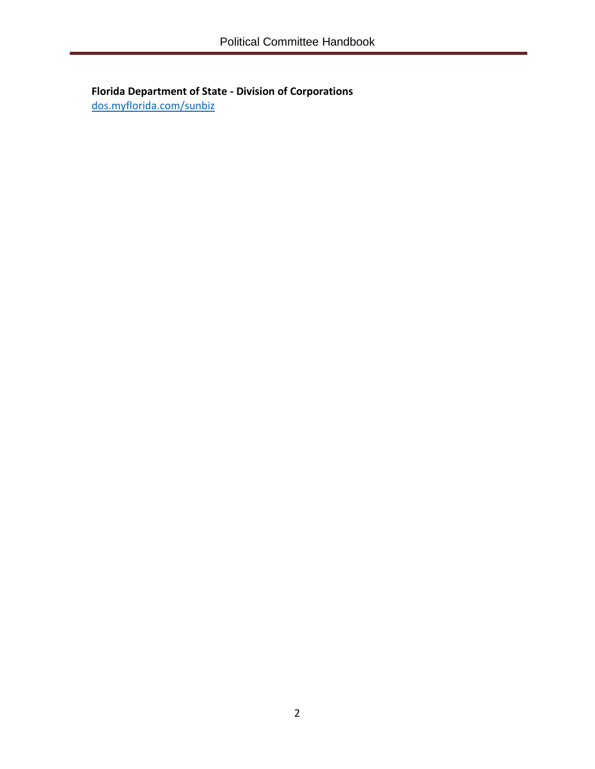**Florida Department of State - Division of Corporations** [dos.myflorida.com/sunbiz](https://dos.myflorida.com/sunbiz/)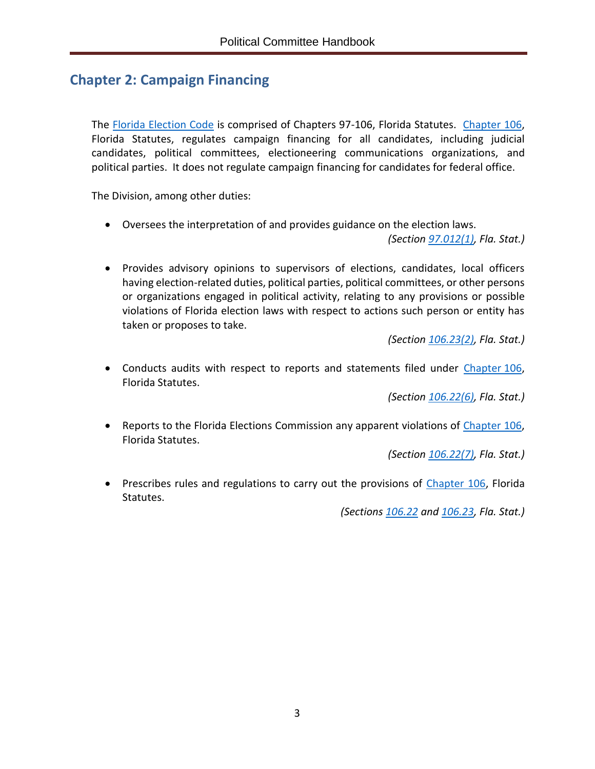# <span id="page-6-0"></span>**Chapter 2: Campaign Financing**

The [Florida Election Code](http://www.leg.state.fl.us/Statutes/index.cfm?App_mode=Display_Index&Title_Request=IX#TitleIX) is comprised of Chapters 97-106, Florida Statutes. [Chapter](http://www.leg.state.fl.us/statutes/index.cfm?App_mode=Display_Statute&URL=0100-0199/0106/0106ContentsIndex.html&StatuteYear=2019&Title=%2D%3E2019%2D%3EChapter%20106) 106, Florida Statutes, regulates campaign financing for all candidates, including judicial candidates, political committees, electioneering communications organizations, and political parties. It does not regulate campaign financing for candidates for federal office.

The Division, among other duties:

• Oversees the interpretation of and provides guidance on the election laws.

*(Section [97.012\(1\),](http://www.leg.state.fl.us/statutes/index.cfm?mode=View%20Statutes&SubMenu=1&App_mode=Display_Statute&Search_String=97.012&URL=0000-0099/0097/Sections/0097.012.html) Fla. Stat.)*

• Provides advisory opinions to supervisors of elections, candidates, local officers having election-related duties, political parties, political committees, or other persons or organizations engaged in political activity, relating to any provisions or possible violations of Florida election laws with respect to actions such person or entity has taken or proposes to take.

*(Section [106.23\(2\),](http://www.leg.state.fl.us/Statutes/index.cfm?App_mode=Display_Statute&Search_String=&URL=0100-0199/0106/Sections/0106.23.html) Fla. Stat.)*

• Conducts audits with respect to reports and statements filed under [Chapter](http://www.leg.state.fl.us/statutes/index.cfm?App_mode=Display_Statute&URL=0100-0199/0106/0106ContentsIndex.html&StatuteYear=2019&Title=%2D%3E2019%2D%3EChapter%20106) 106, Florida Statutes.

*(Section [106.22\(6\),](http://www.leg.state.fl.us/Statutes/index.cfm?App_mode=Display_Statute&Search_String=&URL=0100-0199/0106/Sections/0106.22.html) Fla. Stat.)*

• Reports to the Florida Elections Commission any apparent violations of [Chapter](http://www.leg.state.fl.us/statutes/index.cfm?App_mode=Display_Statute&URL=0100-0199/0106/0106ContentsIndex.html&StatuteYear=2019&Title=%2D%3E2019%2D%3EChapter%20106) 106, Florida Statutes.

*(Section [106.22\(7\),](http://www.leg.state.fl.us/Statutes/index.cfm?App_mode=Display_Statute&Search_String=&URL=0100-0199/0106/Sections/0106.22.html) Fla. Stat.)*

• Prescribes rules and regulations to carry out the provisions of [Chapter](http://www.leg.state.fl.us/statutes/index.cfm?App_mode=Display_Statute&URL=0100-0199/0106/0106ContentsIndex.html&StatuteYear=2019&Title=%2D%3E2019%2D%3EChapter%20106) 106, Florida Statutes.

*(Sections [106.22](http://www.leg.state.fl.us/Statutes/index.cfm?App_mode=Display_Statute&Search_String=&URL=0100-0199/0106/Sections/0106.22.html) and [106.23,](http://www.leg.state.fl.us/Statutes/index.cfm?App_mode=Display_Statute&Search_String=&URL=0100-0199/0106/Sections/0106.23.html) Fla. Stat.)*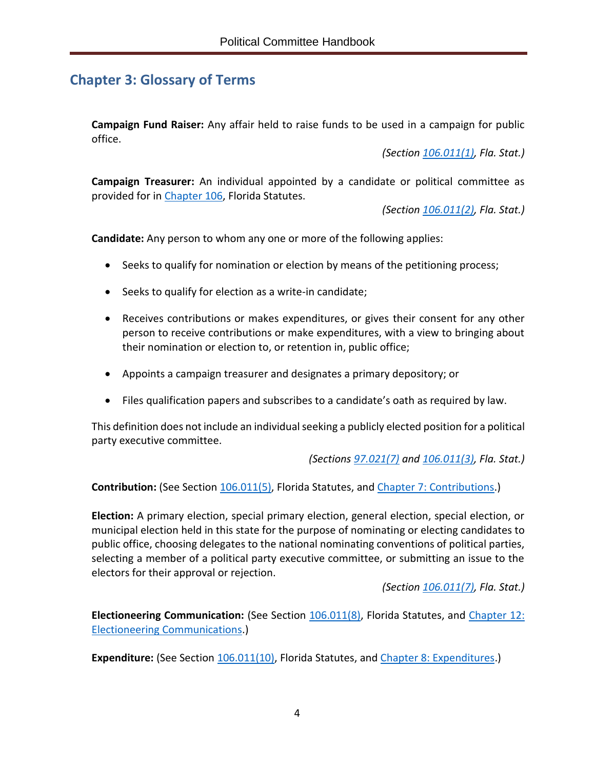# <span id="page-7-0"></span>**Chapter 3: Glossary of Terms**

**Campaign Fund Raiser:** Any affair held to raise funds to be used in a campaign for public office.

*(Section [106.011\(1\),](http://www.leg.state.fl.us/Statutes/index.cfm?App_mode=Display_Statute&Search_String=&URL=0100-0199/0106/Sections/0106.011.html) Fla. Stat.)*

**Campaign Treasurer:** An individual appointed by a candidate or political committee as provided for in [Chapter](http://www.leg.state.fl.us/statutes/index.cfm?App_mode=Display_Statute&URL=0100-0199/0106/0106ContentsIndex.html&StatuteYear=2019&Title=%2D%3E2019%2D%3EChapter%20106) 106, Florida Statutes.

*(Section [106.011\(2\),](http://www.leg.state.fl.us/Statutes/index.cfm?App_mode=Display_Statute&Search_String=&URL=0100-0199/0106/Sections/0106.011.html) Fla. Stat.)*

**Candidate:** Any person to whom any one or more of the following applies:

- Seeks to qualify for nomination or election by means of the petitioning process;
- Seeks to qualify for election as a write-in candidate;
- Receives contributions or makes expenditures, or gives their consent for any other person to receive contributions or make expenditures, with a view to bringing about their nomination or election to, or retention in, public office;
- Appoints a campaign treasurer and designates a primary depository; or
- Files qualification papers and subscribes to a candidate's oath as required by law.

This definition does not include an individual seeking a publicly elected position for a political party executive committee.

*(Sections [97.021\(7\)](http://www.leg.state.fl.us/statutes/index.cfm?mode=View%20Statutes&SubMenu=1&App_mode=Display_Statute&Search_String=97.021&URL=0000-0099/0097/Sections/0097.021.html) and [106.011\(3\),](http://www.leg.state.fl.us/Statutes/index.cfm?App_mode=Display_Statute&Search_String=&URL=0100-0199/0106/Sections/0106.011.html) Fla. Stat.)*

**Contribution:** (See Section [106.011\(5\),](http://www.leg.state.fl.us/Statutes/index.cfm?App_mode=Display_Statute&Search_String=&URL=0100-0199/0106/Sections/0106.011.html) Florida Statutes, and Chapter 7: [Contributions.](#page-18-0))

**Election:** A primary election, special primary election, general election, special election, or municipal election held in this state for the purpose of nominating or electing candidates to public office, choosing delegates to the national nominating conventions of political parties, selecting a member of a political party executive committee, or submitting an issue to the electors for their approval or rejection.

*(Section [106.011\(7\),](http://www.leg.state.fl.us/Statutes/index.cfm?App_mode=Display_Statute&Search_String=&URL=0100-0199/0106/Sections/0106.011.html) Fla. Stat.)*

**Electioneering Communication:** (See Section [106.011\(8\),](http://www.leg.state.fl.us/Statutes/index.cfm?App_mode=Display_Statute&Search_String=&URL=0100-0199/0106/Sections/0106.011.html) Florida Statutes, and [Chapter](#page-37-0) 12: [Electioneering Communications.](#page-37-0))

**Expenditure:** (See Section [106.011\(10\),](http://www.leg.state.fl.us/Statutes/index.cfm?App_mode=Display_Statute&Search_String=&URL=0100-0199/0106/Sections/0106.011.html) Florida Statutes, and Chapter 8: [Expenditures.](#page-20-3))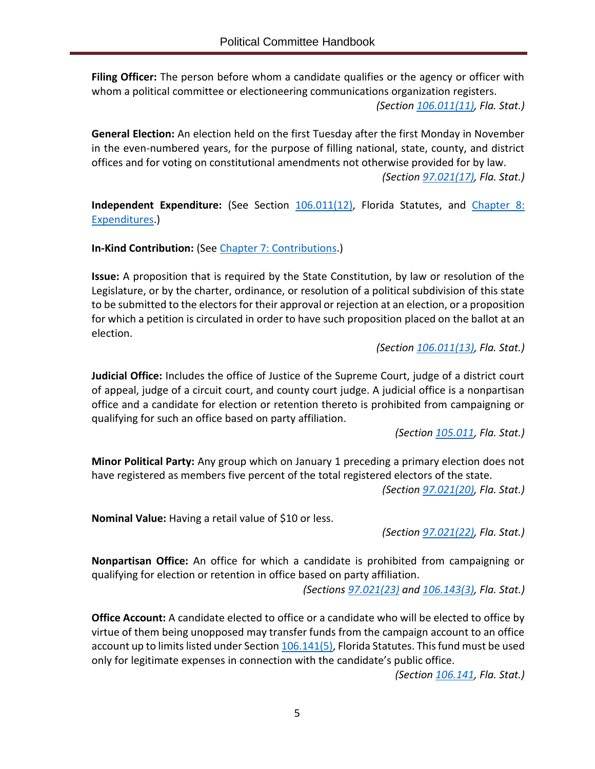**Filing Officer:** The person before whom a candidate qualifies or the agency or officer with whom a political committee or electioneering communications organization registers. *(Section [106.011\(11\),](http://www.leg.state.fl.us/Statutes/index.cfm?App_mode=Display_Statute&Search_String=&URL=0100-0199/0106/Sections/0106.011.html) Fla. Stat.)*

**General Election:** An election held on the first Tuesday after the first Monday in November in the even-numbered years, for the purpose of filling national, state, county, and district offices and for voting on constitutional amendments not otherwise provided for by law. *(Section [97.021\(17\),](http://www.leg.state.fl.us/statutes/index.cfm?mode=View%20Statutes&SubMenu=1&App_mode=Display_Statute&Search_String=97.021&URL=0000-0099/0097/Sections/0097.021.html) Fla. Stat.)*

**Independent Expenditure:** (See Section [106.011\(12\),](http://www.leg.state.fl.us/Statutes/index.cfm?App_mode=Display_Statute&Search_String=&URL=0100-0199/0106/Sections/0106.011.html) Florida Statutes, and [Chapter 8:](#page-20-3) [Expenditures.](#page-20-3))

**In-Kind Contribution:** (See Chapter 7: [Contributions.](#page-18-0))

**Issue:** A proposition that is required by the State Constitution, by law or resolution of the Legislature, or by the charter, ordinance, or resolution of a political subdivision of this state to be submitted to the electors for their approval or rejection at an election, or a proposition for which a petition is circulated in order to have such proposition placed on the ballot at an election.

*(Section [106.011\(13\),](http://www.leg.state.fl.us/Statutes/index.cfm?App_mode=Display_Statute&Search_String=&URL=0100-0199/0106/Sections/0106.011.html) Fla. Stat.)*

**Judicial Office:** Includes the office of Justice of the Supreme Court, judge of a district court of appeal, judge of a circuit court, and county court judge. A judicial office is a nonpartisan office and a candidate for election or retention thereto is prohibited from campaigning or qualifying for such an office based on party affiliation.

*(Section [105.011,](http://www.leg.state.fl.us/statutes/index.cfm?mode=View%20Statutes&SubMenu=1&App_mode=Display_Statute&Search_String=105.011&URL=0100-0199/0105/Sections/0105.011.html) Fla. Stat.)*

**Minor Political Party:** Any group which on January 1 preceding a primary election does not have registered as members five percent of the total registered electors of the state.

*(Section [97.021\(20\),](http://www.leg.state.fl.us/statutes/index.cfm?mode=View%20Statutes&SubMenu=1&App_mode=Display_Statute&Search_String=97.021&URL=0000-0099/0097/Sections/0097.021.html) Fla. Stat.)*

**Nominal Value:** Having a retail value of \$10 or less.

*(Section [97.021\(22\),](http://www.leg.state.fl.us/statutes/index.cfm?mode=View%20Statutes&SubMenu=1&App_mode=Display_Statute&Search_String=97.021&URL=0000-0099/0097/Sections/0097.021.html) Fla. Stat.)*

**Nonpartisan Office:** An office for which a candidate is prohibited from campaigning or qualifying for election or retention in office based on party affiliation.

*(Sections [97.021\(23\)](http://www.leg.state.fl.us/statutes/index.cfm?mode=View%20Statutes&SubMenu=1&App_mode=Display_Statute&Search_String=97.021&URL=0000-0099/0097/Sections/0097.021.html) and [106.143\(3\),](http://www.leg.state.fl.us/Statutes/index.cfm?App_mode=Display_Statute&Search_String=&URL=0100-0199/0106/Sections/0106.143.html) Fla. Stat.)*

**Office Account:** A candidate elected to office or a candidate who will be elected to office by virtue of them being unopposed may transfer funds from the campaign account to an office account up to limits listed under Sectio[n 106.141\(5\),](http://www.leg.state.fl.us/Statutes/index.cfm?App_mode=Display_Statute&Search_String=&URL=0100-0199/0106/Sections/0106.141.html) Florida Statutes. This fund must be used only for legitimate expenses in connection with the candidate's public office.

*(Section [106.141,](http://www.leg.state.fl.us/Statutes/index.cfm?App_mode=Display_Statute&Search_String=&URL=0100-0199/0106/Sections/0106.141.html) Fla. Stat.)*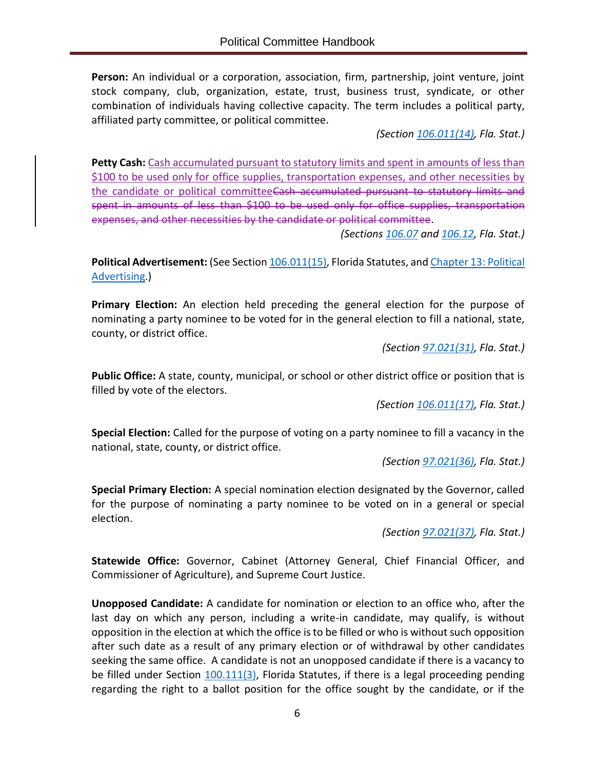**Person:** An individual or a corporation, association, firm, partnership, joint venture, joint stock company, club, organization, estate, trust, business trust, syndicate, or other combination of individuals having collective capacity. The term includes a political party, affiliated party committee, or political committee.

*(Section [106.011\(14\),](http://www.leg.state.fl.us/Statutes/index.cfm?App_mode=Display_Statute&Search_String=&URL=0100-0199/0106/Sections/0106.011.html) Fla. Stat.)*

**Petty Cash:** Cash accumulated pursuant to statutory limits and spent in amounts of less than \$100 to be used only for office supplies, transportation expenses, and other necessities by the candidate or political committeeCash accumulated pursuant to statutory limits and spent in amounts of less than \$100 to be used only for office supplies, transportation expenses, and other necessities by the candidate or political committee.

*(Sections [106.07](http://www.leg.state.fl.us/Statutes/index.cfm?App_mode=Display_Statute&Search_String=&URL=0100-0199/0106/Sections/0106.07.html) and [106.12,](http://www.leg.state.fl.us/Statutes/index.cfm?App_mode=Display_Statute&Search_String=&URL=0100-0199/0106/Sections/0106.12.html) Fla. Stat.)*

Political Advertisement: (See Sectio[n 106.011\(15\),](http://www.leg.state.fl.us/Statutes/index.cfm?App_mode=Display_Statute&Search_String=&URL=0100-0199/0106/Sections/0106.011.html) Florida Statutes, and [Chapter 13:](#page-39-0) Political [Advertising.](#page-39-0))

**Primary Election:** An election held preceding the general election for the purpose of nominating a party nominee to be voted for in the general election to fill a national, state, county, or district office.

*(Section [97.021\(31\),](http://www.leg.state.fl.us/statutes/index.cfm?mode=View%20Statutes&SubMenu=1&App_mode=Display_Statute&Search_String=97.021&URL=0000-0099/0097/Sections/0097.021.html) Fla. Stat.)*

**Public Office:** A state, county, municipal, or school or other district office or position that is filled by vote of the electors.

*(Section [106.011\(17\),](http://www.leg.state.fl.us/Statutes/index.cfm?App_mode=Display_Statute&Search_String=&URL=0100-0199/0106/Sections/0106.011.html) Fla. Stat.)*

**Special Election:** Called for the purpose of voting on a party nominee to fill a vacancy in the national, state, county, or district office.

*(Section [97.021\(36\),](http://www.leg.state.fl.us/statutes/index.cfm?mode=View%20Statutes&SubMenu=1&App_mode=Display_Statute&Search_String=97.021&URL=0000-0099/0097/Sections/0097.021.html) Fla. Stat.)*

**Special Primary Election:** A special nomination election designated by the Governor, called for the purpose of nominating a party nominee to be voted on in a general or special election.

*(Section [97.021\(37\),](http://www.leg.state.fl.us/statutes/index.cfm?mode=View%20Statutes&SubMenu=1&App_mode=Display_Statute&Search_String=97.021&URL=0000-0099/0097/Sections/0097.021.html) Fla. Stat.)*

**Statewide Office:** Governor, Cabinet (Attorney General, Chief Financial Officer, and Commissioner of Agriculture), and Supreme Court Justice.

**Unopposed Candidate:** A candidate for nomination or election to an office who, after the last day on which any person, including a write-in candidate, may qualify, is without opposition in the election at which the office is to be filled or who is without such opposition after such date as a result of any primary election or of withdrawal by other candidates seeking the same office. A candidate is not an unopposed candidate if there is a vacancy to be filled under Section [100.111\(3\),](http://www.leg.state.fl.us/statutes/index.cfm?mode=View%20Statutes&SubMenu=1&App_mode=Display_Statute&Search_String=100.111&URL=0100-0199/0100/Sections/0100.111.html) Florida Statutes, if there is a legal proceeding pending regarding the right to a ballot position for the office sought by the candidate, or if the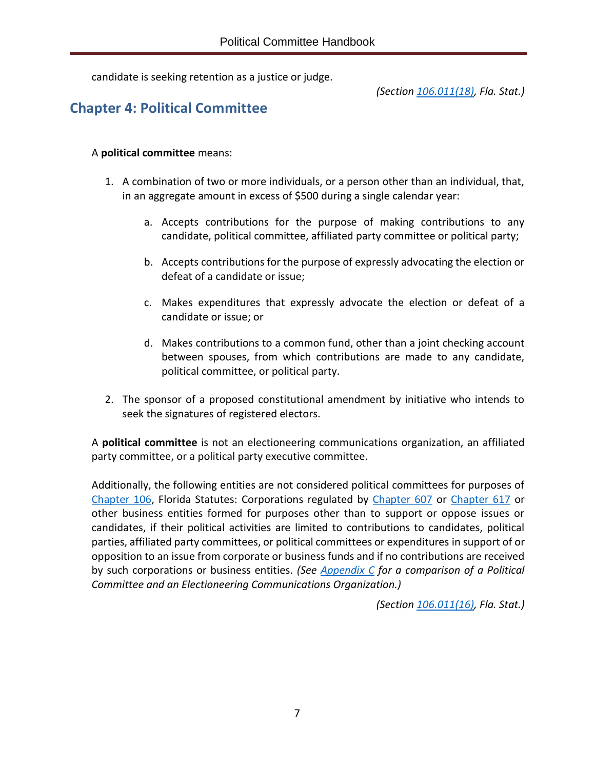candidate is seeking retention as a justice or judge.

*(Section [106.011\(18\),](http://www.leg.state.fl.us/Statutes/index.cfm?App_mode=Display_Statute&Search_String=&URL=0100-0199/0106/Sections/0106.011.html) Fla. Stat.)*

# <span id="page-10-0"></span>**Chapter 4: Political Committee**

#### A **political committee** means:

- 1. A combination of two or more individuals, or a person other than an individual, that, in an aggregate amount in excess of \$500 during a single calendar year:
	- a. Accepts contributions for the purpose of making contributions to any candidate, political committee, affiliated party committee or political party;
	- b. Accepts contributions for the purpose of expressly advocating the election or defeat of a candidate or issue;
	- c. Makes expenditures that expressly advocate the election or defeat of a candidate or issue; or
	- d. Makes contributions to a common fund, other than a joint checking account between spouses, from which contributions are made to any candidate, political committee, or political party.
- 2. The sponsor of a proposed constitutional amendment by initiative who intends to seek the signatures of registered electors.

A **political committee** is not an electioneering communications organization, an affiliated party committee, or a political party executive committee.

Additionally, the following entities are not considered political committees for purposes of [Chapter](http://www.leg.state.fl.us/statutes/index.cfm?App_mode=Display_Statute&URL=0100-0199/0106/0106ContentsIndex.html&StatuteYear=2019&Title=%2D%3E2019%2D%3EChapter%20106) 106, Florida Statutes: Corporations regulated by [Chapter 607](http://www.leg.state.fl.us/Statutes/index.cfm?App_mode=Display_Statute&URL=0600-0699/0607/0607ContentsIndex.html&StatuteYear=2019&Title=%2D%3E2019%2D%3EChapter%20607) or [Chapter 617](http://www.leg.state.fl.us/Statutes/index.cfm?App_mode=Display_Statute&URL=0600-0699/0617/0617ContentsIndex.html&StatuteYear=2019&Title=%2D%3E2019%2D%3EChapter%20617) or other business entities formed for purposes other than to support or oppose issues or candidates, if their political activities are limited to contributions to candidates, political parties, affiliated party committees, or political committees or expenditures in support of or opposition to an issue from corporate or business funds and if no contributions are received by such corporations or business entities. *(See [Appendix C](#page-56-0) for a comparison of a Political Committee and an Electioneering Communications Organization.)*

*(Section [106.011\(16\),](http://www.leg.state.fl.us/Statutes/index.cfm?App_mode=Display_Statute&Search_String=&URL=0100-0199/0106/Sections/0106.011.html) Fla. Stat.)*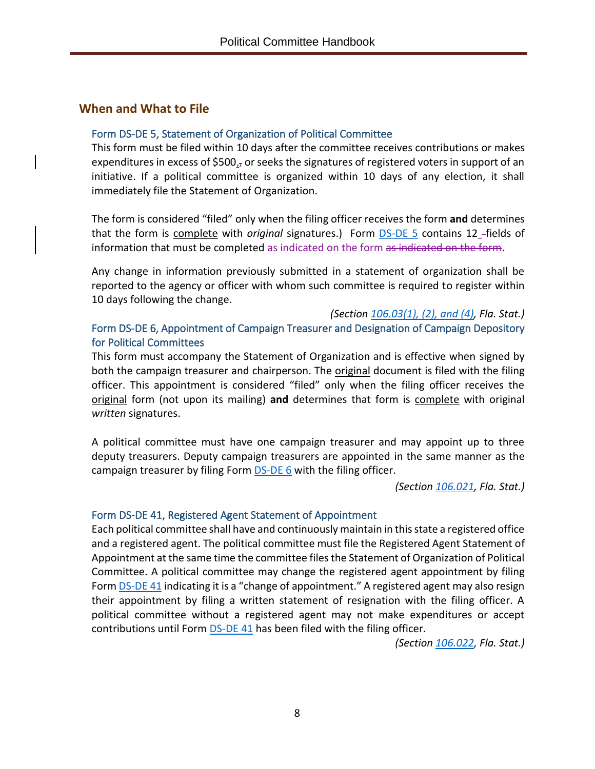#### <span id="page-11-0"></span>**When and What to File**

#### Form [DS-DE 5,](https://dos.myflorida.com/media/693630/dsde5.pdf) Statement of Organization of Political Committee

This form must be filed within 10 days after the committee receives contributions or makes expenditures in excess of \$500 $<sub>17</sub>$  or seeks the signatures of registered voters in support of an</sub> initiative. If a political committee is organized within 10 days of any election, it shall immediately file the Statement of Organization.

The form is considered "filed" only when the filing officer receives the form **and** determines that the form is complete with *original* signatures.) Form **DS-DE 5** contains 12\_-fields of information that must be completed as indicated on the form as indicated on the form.

Any change in information previously submitted in a statement of organization shall be reported to the agency or officer with whom such committee is required to register within 10 days following the change.

*(Section [106.03\(1\), \(2\), and \(4\),](http://www.leg.state.fl.us/Statutes/index.cfm?App_mode=Display_Statute&Search_String=&URL=0100-0199/0106/Sections/0106.03.html) Fla. Stat.)* Form [DS-DE 6,](https://dos.myflorida.com/media/693239/dsde06.pdf) Appointment of Campaign Treasurer and Designation of Campaign Depository for Political Committees

This form must accompany the Statement of Organization and is effective when signed by both the campaign treasurer and chairperson. The original document is filed with the filing officer. This appointment is considered "filed" only when the filing officer receives the original form (not upon its mailing) **and** determines that form is complete with original *written* signatures.

A political committee must have one campaign treasurer and may appoint up to three deputy treasurers. Deputy campaign treasurers are appointed in the same manner as the campaign treasurer by filing Form **[DS-DE](https://dos.myflorida.com/media/693239/dsde06.pdf) 6** with the filing officer.

*(Section [106.021,](http://www.leg.state.fl.us/statutes/index.cfm?mode=View%20Statutes&SubMenu=1&App_mode=Display_Statute&Search_String=106.021&URL=0100-0199/0106/Sections/0106.021.html) Fla. Stat.)*

#### Form [DS-DE 41,](https://dos.myflorida.com/media/693270/dsde41.pdf) Registered Agent Statement of Appointment

Each political committee shall have and continuously maintain in this state a registered office and a registered agent. The political committee must file the Registered Agent Statement of Appointment at the same time the committee files the Statement of Organization of Political Committee. A political committee may change the registered agent appointment by filing Form **DS-DE 41** indicating it is a "change of appointment." A registered agent may also resign their appointment by filing a written statement of resignation with the filing officer. A political committee without a registered agent may not make expenditures or accept contributions until Form **DS-DE 41** has been filed with the filing officer.

*(Section [106.022,](http://www.leg.state.fl.us/Statutes/index.cfm?App_mode=Display_Statute&Search_String=&URL=0100-0199/0106/Sections/0106.022.html) Fla. Stat.)*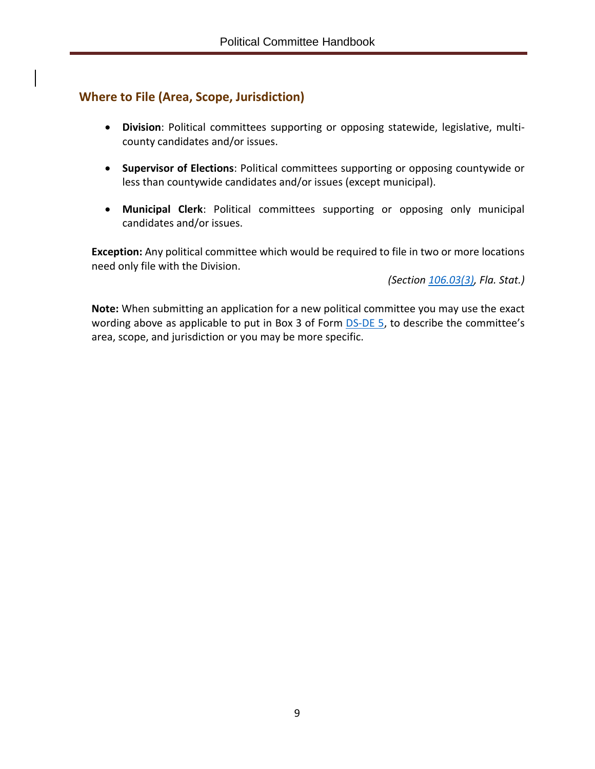## <span id="page-12-0"></span>**Where to File (Area, Scope, Jurisdiction)**

- **Division**: Political committees supporting or opposing statewide, legislative, multicounty candidates and/or issues.
- **Supervisor of Elections**: Political committees supporting or opposing countywide or less than countywide candidates and/or issues (except municipal).
- **Municipal Clerk**: Political committees supporting or opposing only municipal candidates and/or issues.

**Exception:** Any political committee which would be required to file in two or more locations need only file with the Division.

*(Section [106.03\(3\),](http://www.leg.state.fl.us/Statutes/index.cfm?App_mode=Display_Statute&Search_String=&URL=0100-0199/0106/Sections/0106.03.html) Fla. Stat.)*

**Note:** When submitting an application for a new political committee you may use the exact wording above as applicable to put in Box 3 of Form  $DS-DE$  5, to describe the committee's area, scope, and jurisdiction or you may be more specific.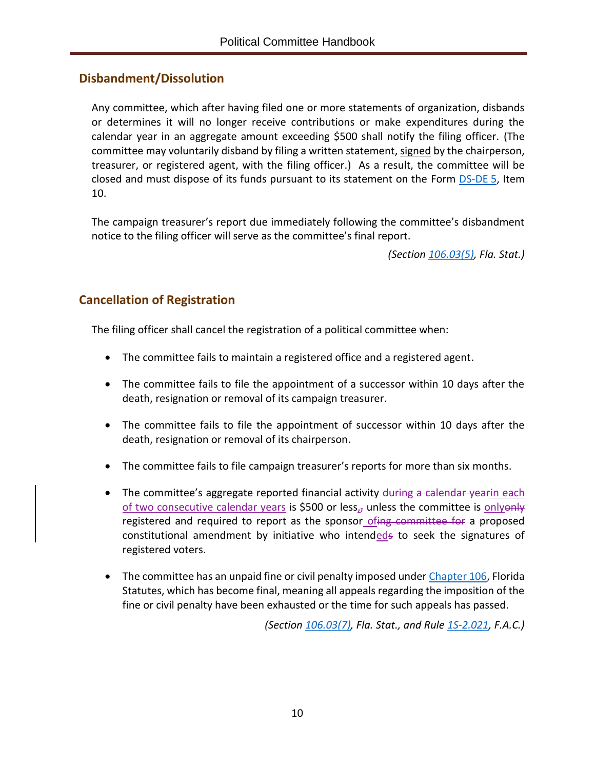## <span id="page-13-0"></span>**Disbandment/Dissolution**

Any committee, which after having filed one or more statements of organization, disbands or determines it will no longer receive contributions or make expenditures during the calendar year in an aggregate amount exceeding \$500 shall notify the filing officer. (The committee may voluntarily disband by filing a written statement, signed by the chairperson, treasurer, or registered agent, with the filing officer.) As a result, the committee will be closed and must dispose of its funds pursuant to its statement on the Form [DS-DE](https://dos.myflorida.com/media/693630/dsde5.pdf) 5, Item 10.

The campaign treasurer's report due immediately following the committee's disbandment notice to the filing officer will serve as the committee's final report.

*(Section [106.03\(5\),](http://www.leg.state.fl.us/statutes/index.cfm?App_mode=Display_Statute&Search_String=&URL=0100-0199/0106/Sections/0106.03.html) Fla. Stat.)*

## <span id="page-13-1"></span>**Cancellation of Registration**

The filing officer shall cancel the registration of a political committee when:

- The committee fails to maintain a registered office and a registered agent.
- The committee fails to file the appointment of a successor within 10 days after the death, resignation or removal of its campaign treasurer.
- The committee fails to file the appointment of successor within 10 days after the death, resignation or removal of its chairperson.
- The committee fails to file campaign treasurer's reports for more than six months.
- The committee's aggregate reported financial activity during a calendar yearin each of two consecutive calendar years is \$500 or less $<sub>17</sub>$  unless the committee is onlyonly</sub> registered and required to report as the sponsor ofing committee for a proposed constitutional amendment by initiative who intendeds to seek the signatures of registered voters.
- The committee has an unpaid fine or civil penalty imposed unde[r Chapter](http://www.leg.state.fl.us/statutes/index.cfm?App_mode=Display_Statute&URL=0100-0199/0106/0106ContentsIndex.html&StatuteYear=2019&Title=%2D%3E2019%2D%3EChapter%20106) 106, Florida Statutes, which has become final, meaning all appeals regarding the imposition of the fine or civil penalty have been exhausted or the time for such appeals has passed.

*(Section [106.03\(7\),](http://www.leg.state.fl.us/statutes/index.cfm?App_mode=Display_Statute&Search_String=&URL=0100-0199/0106/Sections/0106.03.html) Fla. Stat., and Rule [1S-2.021,](https://www.flrules.org/gateway/RuleNo.asp?title=ELECTIONS&ID=1S-2.021) F.A.C.)*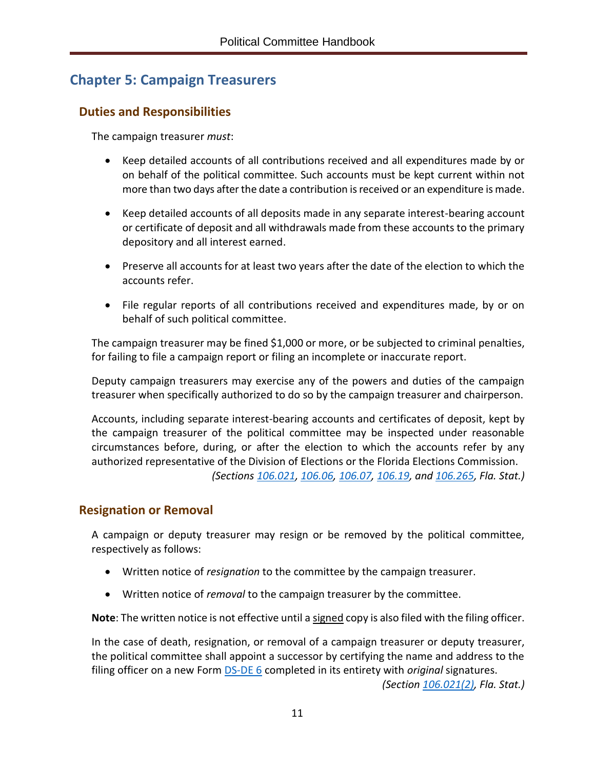# <span id="page-14-0"></span>**Chapter 5: Campaign Treasurers**

## <span id="page-14-1"></span>**Duties and Responsibilities**

The campaign treasurer *must*:

- Keep detailed accounts of all contributions received and all expenditures made by or on behalf of the political committee. Such accounts must be kept current within not more than two days after the date a contribution is received or an expenditure is made.
- Keep detailed accounts of all deposits made in any separate interest-bearing account or certificate of deposit and all withdrawals made from these accounts to the primary depository and all interest earned.
- Preserve all accounts for at least two years after the date of the election to which the accounts refer.
- File regular reports of all contributions received and expenditures made, by or on behalf of such political committee.

The campaign treasurer may be fined \$1,000 or more, or be subjected to criminal penalties, for failing to file a campaign report or filing an incomplete or inaccurate report.

Deputy campaign treasurers may exercise any of the powers and duties of the campaign treasurer when specifically authorized to do so by the campaign treasurer and chairperson.

Accounts, including separate interest-bearing accounts and certificates of deposit, kept by the campaign treasurer of the political committee may be inspected under reasonable circumstances before, during, or after the election to which the accounts refer by any authorized representative of the Division of Elections or the Florida Elections Commission. *(Sections [106.021,](http://www.leg.state.fl.us/Statutes/index.cfm?App_mode=Display_Statute&Search_String=&URL=0100-0199/0106/Sections/0106.021.html) [106.06,](http://www.leg.state.fl.us/Statutes/index.cfm?App_mode=Display_Statute&Search_String=&URL=0100-0199/0106/Sections/0106.06.html) [106.07,](http://www.leg.state.fl.us/Statutes/index.cfm?App_mode=Display_Statute&Search_String=&URL=0100-0199/0106/Sections/0106.07.html) [106.19,](http://www.leg.state.fl.us/Statutes/index.cfm?App_mode=Display_Statute&Search_String=&URL=0100-0199/0106/Sections/0106.19.html) and [106.265,](http://www.leg.state.fl.us/Statutes/index.cfm?App_mode=Display_Statute&Search_String=&URL=0100-0199/0106/Sections/0106.265.html) Fla. Stat.)*

## <span id="page-14-2"></span>**Resignation or Removal**

A campaign or deputy treasurer may resign or be removed by the political committee, respectively as follows:

- Written notice of *resignation* to the committee by the campaign treasurer.
- Written notice of *removal* to the campaign treasurer by the committee.

**Note**: The written notice is not effective until a signed copy is also filed with the filing officer.

In the case of death, resignation, or removal of a campaign treasurer or deputy treasurer, the political committee shall appoint a successor by certifying the name and address to the filing officer on a new Form [DS-DE 6](https://dos.myflorida.com/media/693239/dsde06.pdf) completed in its entirety with *original* signatures.

*(Section [106.021\(2\),](http://www.leg.state.fl.us/Statutes/index.cfm?App_mode=Display_Statute&Search_String=&URL=0100-0199/0106/Sections/0106.021.html) Fla. Stat.)*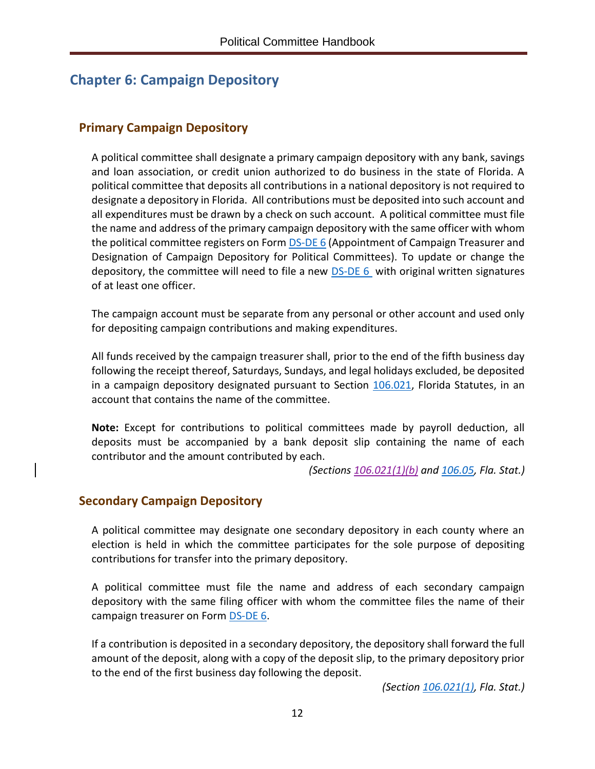# <span id="page-15-0"></span>**Chapter 6: Campaign Depository**

## <span id="page-15-1"></span>**Primary Campaign Depository**

A political committee shall designate a primary campaign depository with any bank, savings and loan association, or credit union authorized to do business in the state of Florida. A political committee that deposits all contributions in a national depository is not required to designate a depository in Florida. All contributions must be deposited into such account and all expenditures must be drawn by a check on such account. A political committee must file the name and address of the primary campaign depository with the same officer with whom the political committee registers on Form [DS-DE 6](https://dos.myflorida.com/media/693239/dsde06.pdf) (Appointment of Campaign Treasurer and Designation of Campaign Depository for Political Committees). To update or change the depository, the committee will need to file a new  $DS-DE6$  with original written signatures of at least one officer.

The campaign account must be separate from any personal or other account and used only for depositing campaign contributions and making expenditures.

All funds received by the campaign treasurer shall, prior to the end of the fifth business day following the receipt thereof, Saturdays, Sundays, and legal holidays excluded, be deposited in a campaign depository designated pursuant to Section [106.021,](http://www.leg.state.fl.us/Statutes/index.cfm?App_mode=Display_Statute&Search_String=&URL=0100-0199/0106/Sections/0106.021.html) Florida Statutes, in an account that contains the name of the committee.

**Note:** Except for contributions to political committees made by payroll deduction, all deposits must be accompanied by a bank deposit slip containing the name of each contributor and the amount contributed by each.

*(Sections [106.021\(1\)\(b\)](http://www.leg.state.fl.us/Statutes/index.cfm?App_mode=Display_Statute&Search_String=&URL=0100-0199/0106/Sections/0106.021.html) and [106.05,](http://www.leg.state.fl.us/Statutes/index.cfm?App_mode=Display_Statute&Search_String=&URL=0100-0199/0106/Sections/0106.05.html) Fla. Stat.)*

## <span id="page-15-2"></span>**Secondary Campaign Depository**

A political committee may designate one secondary depository in each county where an election is held in which the committee participates for the sole purpose of depositing contributions for transfer into the primary depository.

A political committee must file the name and address of each secondary campaign depository with the same filing officer with whom the committee files the name of their campaign treasurer on Form [DS-DE 6.](https://dos.myflorida.com/media/693239/dsde06.pdf)

If a contribution is deposited in a secondary depository, the depository shall forward the full amount of the deposit, along with a copy of the deposit slip, to the primary depository prior to the end of the first business day following the deposit.

*(Section [106.021\(1\),](http://www.leg.state.fl.us/Statutes/index.cfm?App_mode=Display_Statute&Search_String=&URL=0100-0199/0106/Sections/0106.021.html) Fla. Stat.)*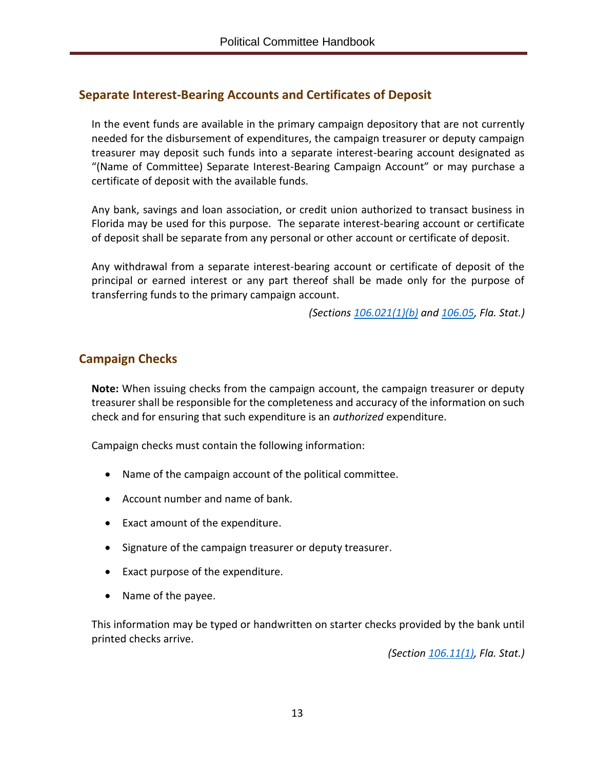## <span id="page-16-0"></span>**Separate Interest-Bearing Accounts and Certificates of Deposit**

In the event funds are available in the primary campaign depository that are not currently needed for the disbursement of expenditures, the campaign treasurer or deputy campaign treasurer may deposit such funds into a separate interest-bearing account designated as "(Name of Committee) Separate Interest-Bearing Campaign Account" or may purchase a certificate of deposit with the available funds.

Any bank, savings and loan association, or credit union authorized to transact business in Florida may be used for this purpose. The separate interest-bearing account or certificate of deposit shall be separate from any personal or other account or certificate of deposit.

Any withdrawal from a separate interest-bearing account or certificate of deposit of the principal or earned interest or any part thereof shall be made only for the purpose of transferring funds to the primary campaign account.

*(Sections [106.021\(1\)\(](http://www.leg.state.fl.us/Statutes/index.cfm?App_mode=Display_Statute&Search_String=&URL=0100-0199/0106/Sections/0106.021.html)b) and [106.05,](http://www.leg.state.fl.us/Statutes/index.cfm?App_mode=Display_Statute&Search_String=&URL=0100-0199/0106/Sections/0106.05.html) Fla. Stat.)*

## <span id="page-16-1"></span>**Campaign Checks**

**Note:** When issuing checks from the campaign account, the campaign treasurer or deputy treasurer shall be responsible for the completeness and accuracy of the information on such check and for ensuring that such expenditure is an *authorized* expenditure.

Campaign checks must contain the following information:

- Name of the campaign account of the political committee.
- Account number and name of bank.
- Exact amount of the expenditure.
- Signature of the campaign treasurer or deputy treasurer.
- Exact purpose of the expenditure.
- Name of the payee.

This information may be typed or handwritten on starter checks provided by the bank until printed checks arrive.

*(Section [106.11\(1\),](http://www.leg.state.fl.us/Statutes/index.cfm?App_mode=Display_Statute&Search_String=&URL=0100-0199/0106/Sections/0106.11.html) Fla. Stat.)*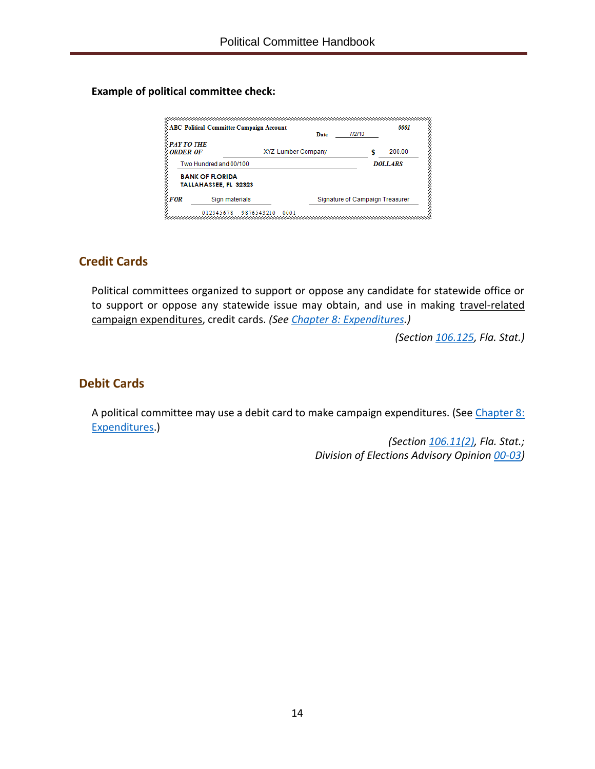**Example of political committee check:**

|                                      | <b>ABC Political Committee Campaign Account</b> | Date                      | 7/2/10                          | 0001           |
|--------------------------------------|-------------------------------------------------|---------------------------|---------------------------------|----------------|
| <b>PAY TO THE</b><br><b>ORDER OF</b> |                                                 | <b>XYZ Lumber Company</b> |                                 | 200.00         |
|                                      | Two Hundred and 00/100                          |                           |                                 | <b>DOLLARS</b> |
|                                      | <b>BANK OF FLORIDA</b><br>TALLAHASSEE, FL 32323 |                           |                                 |                |
| FOR                                  | Sign materials                                  |                           | Signature of Campaign Treasurer |                |

## <span id="page-17-0"></span>**Credit Cards**

Political committees organized to support or oppose any candidate for statewide office or to support or oppose any statewide issue may obtain, and use in making travel-related campaign expenditures, credit cards. *(See [Chapter 8: Expenditures.](#page-24-0))*

*(Section [106.125,](http://www.leg.state.fl.us/Statutes/index.cfm?App_mode=Display_Statute&Search_String=&URL=0100-0199/0106/Sections/0106.125.html) Fla. Stat.)*

## <span id="page-17-1"></span>**Debit Cards**

A political committee may use a debit card to make campaign expenditures. (See [Chapter 8:](#page-25-0) [Expenditures.](#page-25-0))

> *(Section [106.11\(2\),](http://www.leg.state.fl.us/Statutes/index.cfm?App_mode=Display_Statute&Search_String=&URL=0100-0199/0106/Sections/0106.11.html) Fla. Stat.; Division of Elections Advisory Opinion [00-03\)](http://opinions.dos.state.fl.us/searchable/pdf/2000/de0003.pdf)*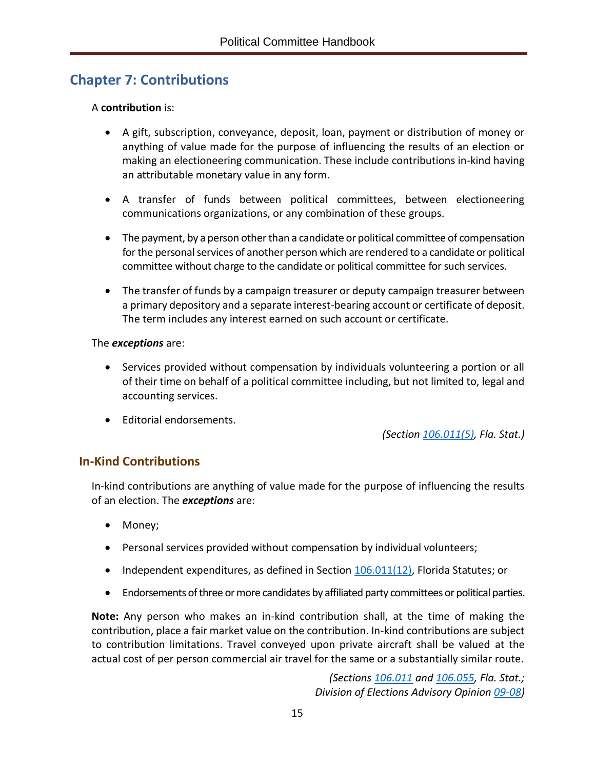# <span id="page-18-0"></span>**Chapter 7: Contributions**

#### A **contribution** is:

- A gift, subscription, conveyance, deposit, loan, payment or distribution of money or anything of value made for the purpose of influencing the results of an election or making an electioneering communication. These include contributions in-kind having an attributable monetary value in any form.
- A transfer of funds between political committees, between electioneering communications organizations, or any combination of these groups.
- The payment, by a person other than a candidate or political committee of compensation for the personal services of another person which are rendered to a candidate or political committee without charge to the candidate or political committee for such services.
- The transfer of funds by a campaign treasurer or deputy campaign treasurer between a primary depository and a separate interest-bearing account or certificate of deposit. The term includes any interest earned on such account or certificate.

#### The *exceptions* are:

- Services provided without compensation by individuals volunteering a portion or all of their time on behalf of a political committee including, but not limited to, legal and accounting services.
- Editorial endorsements.

*(Section [106.011\(5\),](http://www.leg.state.fl.us/Statutes/index.cfm?App_mode=Display_Statute&Search_String=&URL=0100-0199/0106/Sections/0106.011.html) Fla. Stat.)*

## <span id="page-18-1"></span>**In-Kind Contributions**

In-kind contributions are anything of value made for the purpose of influencing the results of an election. The *exceptions* are:

- Money;
- Personal services provided without compensation by individual volunteers;
- Independent expenditures, as defined in Section  $106.011(12)$ , Florida Statutes; or
- Endorsements of three or more candidates by affiliated party committees or political parties.

**Note:** Any person who makes an in-kind contribution shall, at the time of making the contribution, place a fair market value on the contribution. In-kind contributions are subject to contribution limitations. Travel conveyed upon private aircraft shall be valued at the actual cost of per person commercial air travel for the same or a substantially similar route.

> *(Sections [106.011](http://www.leg.state.fl.us/Statutes/index.cfm?App_mode=Display_Statute&Search_String=&URL=0100-0199/0106/Sections/0106.011.html) an[d 106.055,](http://www.leg.state.fl.us/Statutes/index.cfm?App_mode=Display_Statute&Search_String=&URL=0100-0199/0106/Sections/0106.055.html) Fla. Stat.; Division of Elections Advisory Opinion [09-08\)](http://opinions.dos.state.fl.us/searchable/pdf/2009/de0908.pdf)*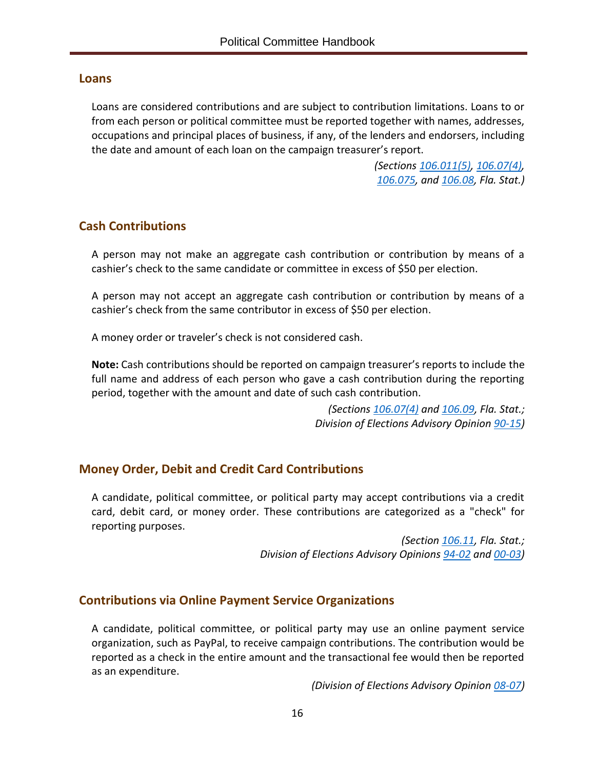#### <span id="page-19-0"></span>**Loans**

Loans are considered contributions and are subject to contribution limitations. Loans to or from each person or political committee must be reported together with names, addresses, occupations and principal places of business, if any, of the lenders and endorsers, including the date and amount of each loan on the campaign treasurer's report.

> *(Sections [106.011\(5\),](http://www.leg.state.fl.us/Statutes/index.cfm?App_mode=Display_Statute&Search_String=&URL=0100-0199/0106/Sections/0106.011.html) [106.07\(4\),](http://www.leg.state.fl.us/Statutes/index.cfm?App_mode=Display_Statute&Search_String=&URL=0100-0199/0106/Sections/0106.07.html) [106.075,](http://www.leg.state.fl.us/Statutes/index.cfm?App_mode=Display_Statute&Search_String=&URL=0100-0199/0106/Sections/0106.075.html) and [106.08,](http://www.leg.state.fl.us/Statutes/index.cfm?App_mode=Display_Statute&Search_String=&URL=0100-0199/0106/Sections/0106.08.html) Fla. Stat.)*

## <span id="page-19-1"></span>**Cash Contributions**

A person may not make an aggregate cash contribution or contribution by means of a cashier's check to the same candidate or committee in excess of \$50 per election.

A person may not accept an aggregate cash contribution or contribution by means of a cashier's check from the same contributor in excess of \$50 per election.

A money order or traveler's check is not considered cash.

**Note:** Cash contributions should be reported on campaign treasurer's reports to include the full name and address of each person who gave a cash contribution during the reporting period, together with the amount and date of such cash contribution.

> *(Sections [106.07\(4\)](http://www.leg.state.fl.us/Statutes/index.cfm?App_mode=Display_Statute&Search_String=&URL=0100-0199/0106/Sections/0106.07.html) and [106.09,](http://www.leg.state.fl.us/Statutes/index.cfm?App_mode=Display_Statute&Search_String=&URL=0100-0199/0106/Sections/0106.09.html) Fla. Stat.; Division of Elections Advisory Opinion [90-15\)](http://opinions.dos.state.fl.us/searchable/pdf/1990/de9015.pdf)*

## <span id="page-19-2"></span>**Money Order, Debit and Credit Card Contributions**

A candidate, political committee, or political party may accept contributions via a credit card, debit card, or money order. These contributions are categorized as a "check" for reporting purposes.

> *(Section [106.11,](http://www.leg.state.fl.us/Statutes/index.cfm?App_mode=Display_Statute&Search_String=&URL=0100-0199/0106/Sections/0106.11.html) Fla. Stat.; Division of Elections Advisory Opinions [94-02](http://opinions.dos.state.fl.us/searchable/pdf/1994/de9402.pdf) and [00-03\)](http://opinions.dos.state.fl.us/searchable/pdf/2000/de0003.pdf)*

## <span id="page-19-3"></span>**Contributions via Online Payment Service Organizations**

A candidate, political committee, or political party may use an online payment service organization, such as PayPal, to receive campaign contributions. The contribution would be reported as a check in the entire amount and the transactional fee would then be reported as an expenditure.

*(Division of Elections Advisory Opinion [08-07\)](http://opinions.dos.state.fl.us/searchable/pdf/2008/de0807.pdf)*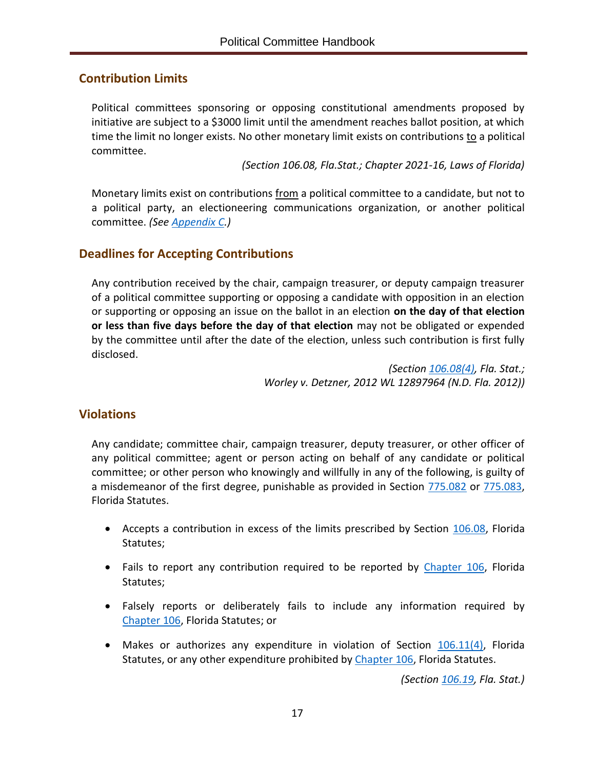## <span id="page-20-0"></span>**Contribution Limits**

Political committees sponsoring or opposing constitutional amendments proposed by initiative are subject to a \$3000 limit until the amendment reaches ballot position, at which time the limit no longer exists. No other monetary limit exists on contributions to a political committee.

*(Section 106.08, Fla.Stat.; Chapter 2021-16, Laws of Florida)*

Monetary limits exist on contributions from a political committee to a candidate, but not to a political party, an electioneering communications organization, or another political committee. *(See [Appendix C.](#page-56-0))*

## <span id="page-20-1"></span>**Deadlines for Accepting Contributions**

Any contribution received by the chair, campaign treasurer, or deputy campaign treasurer of a political committee supporting or opposing a candidate with opposition in an election or supporting or opposing an issue on the ballot in an election **on the day of that election or less than five days before the day of that election** may not be obligated or expended by the committee until after the date of the election, unless such contribution is first fully disclosed.

> *(Section [106.08\(4\),](http://www.leg.state.fl.us/Statutes/index.cfm?App_mode=Display_Statute&Search_String=&URL=0100-0199/0106/Sections/0106.08.html) Fla. Stat.; Worley v. Detzner, 2012 WL 12897964 (N.D. Fla. 2012))*

## <span id="page-20-2"></span>**Violations**

Any candidate; committee chair, campaign treasurer, deputy treasurer, or other officer of any political committee; agent or person acting on behalf of any candidate or political committee; or other person who knowingly and willfully in any of the following, is guilty of a misdemeanor of the first degree, punishable as provided in Section [775.082](http://www.leg.state.fl.us/statutes/index.cfm?App_mode=Display_Statute&Search_String=&URL=0700-0799/0775/Sections/0775.082.html) or [775.083,](http://www.leg.state.fl.us/statutes/index.cfm?App_mode=Display_Statute&Search_String=&URL=0700-0799/0775/Sections/0775.083.html) Florida Statutes.

- Accepts a contribution in excess of the limits prescribed by Section [106.08,](http://www.leg.state.fl.us/Statutes/index.cfm?App_mode=Display_Statute&Search_String=&URL=0100-0199/0106/Sections/0106.08.html) Florida Statutes;
- Fails to report any contribution required to be reported by [Chapter](http://www.leg.state.fl.us/statutes/index.cfm?App_mode=Display_Statute&URL=0100-0199/0106/0106ContentsIndex.html&StatuteYear=2019&Title=%2D%3E2019%2D%3EChapter%20106) 106, Florida Statutes;
- Falsely reports or deliberately fails to include any information required by [Chapter](http://www.leg.state.fl.us/statutes/index.cfm?App_mode=Display_Statute&URL=0100-0199/0106/0106ContentsIndex.html&StatuteYear=2019&Title=%2D%3E2019%2D%3EChapter%20106) 106, Florida Statutes; or
- Makes or authorizes any expenditure in violation of Section  $106.11(4)$ , Florida Statutes, or any other expenditure prohibited by [Chapter](http://www.leg.state.fl.us/statutes/index.cfm?App_mode=Display_Statute&URL=0100-0199/0106/0106ContentsIndex.html&StatuteYear=2019&Title=%2D%3E2019%2D%3EChapter%20106) 106, Florida Statutes.

<span id="page-20-3"></span>*(Section [106.19,](http://www.leg.state.fl.us/Statutes/index.cfm?App_mode=Display_Statute&Search_String=&URL=0100-0199/0106/Sections/0106.19.html) Fla. Stat.)*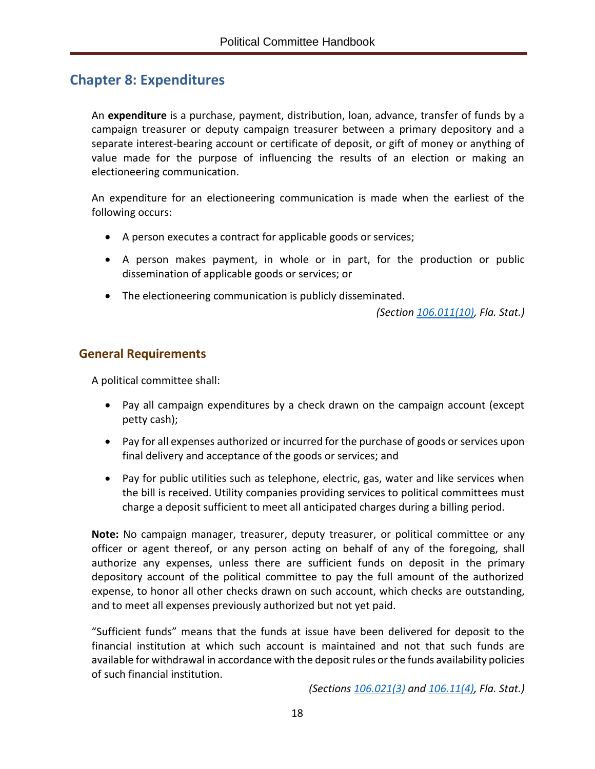## <span id="page-21-0"></span>**Chapter 8: Expenditures**

An **expenditure** is a purchase, payment, distribution, loan, advance, transfer of funds by a campaign treasurer or deputy campaign treasurer between a primary depository and a separate interest-bearing account or certificate of deposit, or gift of money or anything of value made for the purpose of influencing the results of an election or making an electioneering communication.

An expenditure for an electioneering communication is made when the earliest of the following occurs:

- A person executes a contract for applicable goods or services;
- A person makes payment, in whole or in part, for the production or public dissemination of applicable goods or services; or
- The electioneering communication is publicly disseminated.

*(Section [106.011\(10\),](http://www.leg.state.fl.us/Statutes/index.cfm?App_mode=Display_Statute&Search_String=&URL=0100-0199/0106/Sections/0106.011.html) Fla. Stat.)*

## <span id="page-21-1"></span>**General Requirements**

A political committee shall:

- Pay all campaign expenditures by a check drawn on the campaign account (except petty cash);
- Pay for all expenses authorized or incurred for the purchase of goods or services upon final delivery and acceptance of the goods or services; and
- Pay for public utilities such as telephone, electric, gas, water and like services when the bill is received. Utility companies providing services to political committees must charge a deposit sufficient to meet all anticipated charges during a billing period.

**Note:** No campaign manager, treasurer, deputy treasurer, or political committee or any officer or agent thereof, or any person acting on behalf of any of the foregoing, shall authorize any expenses, unless there are sufficient funds on deposit in the primary depository account of the political committee to pay the full amount of the authorized expense, to honor all other checks drawn on such account, which checks are outstanding, and to meet all expenses previously authorized but not yet paid.

"Sufficient funds" means that the funds at issue have been delivered for deposit to the financial institution at which such account is maintained and not that such funds are available for withdrawal in accordance with the deposit rules or the funds availability policies of such financial institution.

*(Sections [106.021\(3\)](http://www.leg.state.fl.us/Statutes/index.cfm?App_mode=Display_Statute&Search_String=&URL=0100-0199/0106/Sections/0106.021.html) and [106.11\(4\),](http://www.leg.state.fl.us/statutes/index.cfm?App_mode=Display_Statute&Search_String=&URL=0100-0199/0106/Sections/0106.11.html) Fla. Stat.)*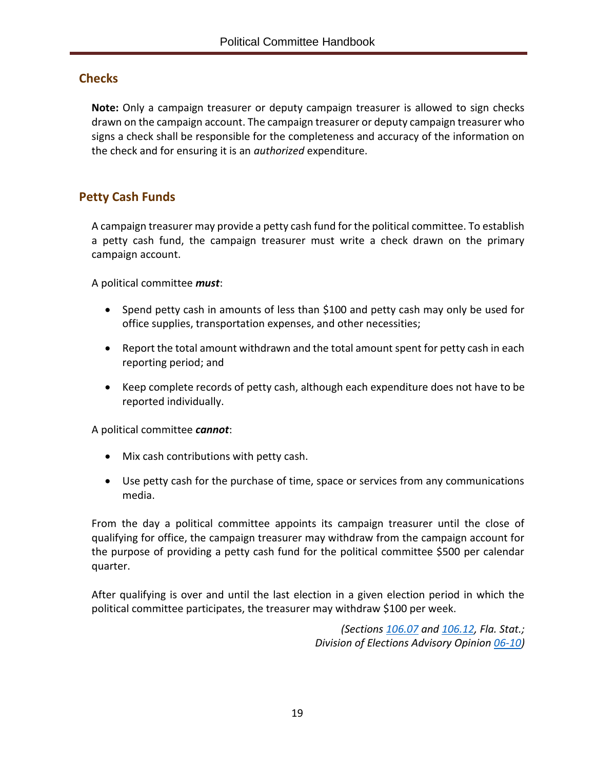## <span id="page-22-0"></span>**Checks**

**Note:** Only a campaign treasurer or deputy campaign treasurer is allowed to sign checks drawn on the campaign account. The campaign treasurer or deputy campaign treasurer who signs a check shall be responsible for the completeness and accuracy of the information on the check and for ensuring it is an *authorized* expenditure.

## <span id="page-22-1"></span>**Petty Cash Funds**

A campaign treasurer may provide a petty cash fund for the political committee. To establish a petty cash fund, the campaign treasurer must write a check drawn on the primary campaign account.

A political committee *must*:

- Spend petty cash in amounts of less than \$100 and petty cash may only be used for office supplies, transportation expenses, and other necessities;
- Report the total amount withdrawn and the total amount spent for petty cash in each reporting period; and
- Keep complete records of petty cash, although each expenditure does not have to be reported individually.

A political committee *cannot*:

- Mix cash contributions with petty cash.
- Use petty cash for the purchase of time, space or services from any communications media.

From the day a political committee appoints its campaign treasurer until the close of qualifying for office, the campaign treasurer may withdraw from the campaign account for the purpose of providing a petty cash fund for the political committee \$500 per calendar quarter.

After qualifying is over and until the last election in a given election period in which the political committee participates, the treasurer may withdraw \$100 per week.

> *(Sections [106.07](http://www.leg.state.fl.us/Statutes/index.cfm?App_mode=Display_Statute&Search_String=&URL=0100-0199/0106/Sections/0106.07.html) and [106.12,](http://www.leg.state.fl.us/Statutes/index.cfm?App_mode=Display_Statute&Search_String=&URL=0100-0199/0106/Sections/0106.12.html) Fla. Stat.; Division of Elections Advisory Opinion [06-10\)](http://opinions.dos.state.fl.us/searchable/pdf/2006/de0610.pdf)*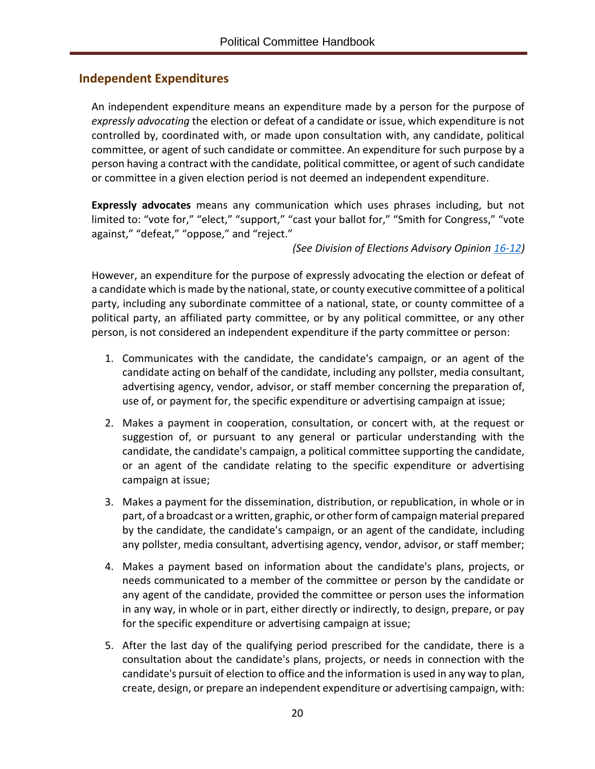## <span id="page-23-0"></span>**Independent Expenditures**

An independent expenditure means an expenditure made by a person for the purpose of *expressly advocating* the election or defeat of a candidate or issue, which expenditure is not controlled by, coordinated with, or made upon consultation with, any candidate, political committee, or agent of such candidate or committee. An expenditure for such purpose by a person having a contract with the candidate, political committee, or agent of such candidate or committee in a given election period is not deemed an independent expenditure.

**Expressly advocates** means any communication which uses phrases including, but not limited to: "vote for," "elect," "support," "cast your ballot for," "Smith for Congress," "vote against," "defeat," "oppose," and "reject."

*(See Division of Elections Advisory Opinion [16-12\)](https://dos.myflorida.com/media/697113/de1612.pdf)*

However, an expenditure for the purpose of expressly advocating the election or defeat of a candidate which is made by the national, state, or county executive committee of a political party, including any subordinate committee of a national, state, or county committee of a political party, an affiliated party committee, or by any political committee, or any other person, is not considered an independent expenditure if the party committee or person:

- 1. Communicates with the candidate, the candidate's campaign, or an agent of the candidate acting on behalf of the candidate, including any pollster, media consultant, advertising agency, vendor, advisor, or staff member concerning the preparation of, use of, or payment for, the specific expenditure or advertising campaign at issue;
- 2. Makes a payment in cooperation, consultation, or concert with, at the request or suggestion of, or pursuant to any general or particular understanding with the candidate, the candidate's campaign, a political committee supporting the candidate, or an agent of the candidate relating to the specific expenditure or advertising campaign at issue;
- 3. Makes a payment for the dissemination, distribution, or republication, in whole or in part, of a broadcast or a written, graphic, or other form of campaign material prepared by the candidate, the candidate's campaign, or an agent of the candidate, including any pollster, media consultant, advertising agency, vendor, advisor, or staff member;
- 4. Makes a payment based on information about the candidate's plans, projects, or needs communicated to a member of the committee or person by the candidate or any agent of the candidate, provided the committee or person uses the information in any way, in whole or in part, either directly or indirectly, to design, prepare, or pay for the specific expenditure or advertising campaign at issue;
- 5. After the last day of the qualifying period prescribed for the candidate, there is a consultation about the candidate's plans, projects, or needs in connection with the candidate's pursuit of election to office and the information is used in any way to plan, create, design, or prepare an independent expenditure or advertising campaign, with: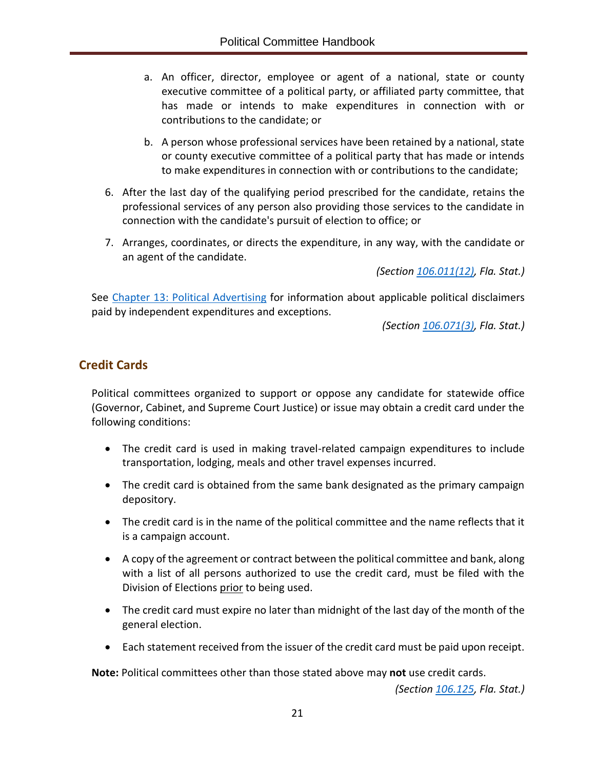- a. An officer, director, employee or agent of a national, state or county executive committee of a political party, or affiliated party committee, that has made or intends to make expenditures in connection with or contributions to the candidate; or
- b. A person whose professional services have been retained by a national, state or county executive committee of a political party that has made or intends to make expenditures in connection with or contributions to the candidate;
- 6. After the last day of the qualifying period prescribed for the candidate, retains the professional services of any person also providing those services to the candidate in connection with the candidate's pursuit of election to office; or
- 7. Arranges, coordinates, or directs the expenditure, in any way, with the candidate or an agent of the candidate.

*(Section [106.011\(12\),](http://www.leg.state.fl.us/Statutes/index.cfm?App_mode=Display_Statute&Search_String=&URL=0100-0199/0106/Sections/0106.011.html) Fla. Stat.)*

See [Chapter 13: Political Advertising](#page-39-0) for information about applicable political disclaimers paid by independent expenditures and exceptions.

*(Section [106.071\(3\),](http://www.leg.state.fl.us/Statutes/index.cfm?App_mode=Display_Statute&Search_String=&URL=0100-0199/0106/Sections/0106.071.html) Fla. Stat.)*

## <span id="page-24-0"></span>**Credit Cards**

Political committees organized to support or oppose any candidate for statewide office (Governor, Cabinet, and Supreme Court Justice) or issue may obtain a credit card under the following conditions:

- The credit card is used in making travel-related campaign expenditures to include transportation, lodging, meals and other travel expenses incurred.
- The credit card is obtained from the same bank designated as the primary campaign depository.
- The credit card is in the name of the political committee and the name reflects that it is a campaign account.
- A copy of the agreement or contract between the political committee and bank, along with a list of all persons authorized to use the credit card, must be filed with the Division of Elections prior to being used.
- The credit card must expire no later than midnight of the last day of the month of the general election.
- Each statement received from the issuer of the credit card must be paid upon receipt.

**Note:** Political committees other than those stated above may **not** use credit cards.

*(Section [106.125,](http://www.leg.state.fl.us/Statutes/index.cfm?App_mode=Display_Statute&Search_String=&URL=0100-0199/0106/Sections/0106.125.html) Fla. Stat.)*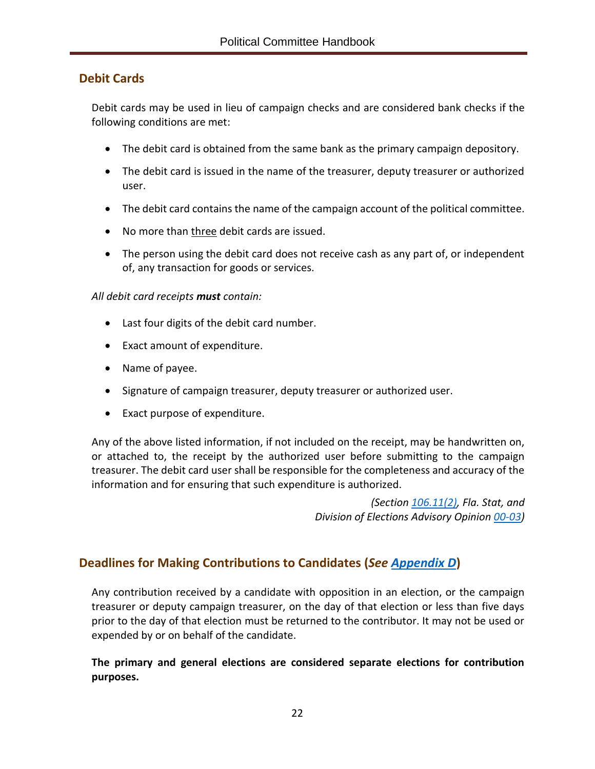## <span id="page-25-0"></span>**Debit Cards**

Debit cards may be used in lieu of campaign checks and are considered bank checks if the following conditions are met:

- The debit card is obtained from the same bank as the primary campaign depository.
- The debit card is issued in the name of the treasurer, deputy treasurer or authorized user.
- The debit card contains the name of the campaign account of the political committee.
- No more than three debit cards are issued.
- The person using the debit card does not receive cash as any part of, or independent of, any transaction for goods or services.

#### *All debit card receipts must contain:*

- Last four digits of the debit card number.
- Exact amount of expenditure.
- Name of payee.
- Signature of campaign treasurer, deputy treasurer or authorized user.
- Exact purpose of expenditure.

Any of the above listed information, if not included on the receipt, may be handwritten on, or attached to, the receipt by the authorized user before submitting to the campaign treasurer. The debit card user shall be responsible for the completeness and accuracy of the information and for ensuring that such expenditure is authorized.

> *(Section [106.11\(2\),](http://www.leg.state.fl.us/Statutes/index.cfm?App_mode=Display_Statute&Search_String=&URL=0100-0199/0106/Sections/0106.11.html) Fla. Stat, and Division of Elections Advisory Opinion [00-03\)](http://opinions.dos.state.fl.us/searchable/pdf/2000/de0003.pdf)*

## <span id="page-25-1"></span>**Deadlines for Making Contributions to Candidates (***See [Appendix D](#page-60-0)***)**

Any contribution received by a candidate with opposition in an election, or the campaign treasurer or deputy campaign treasurer, on the day of that election or less than five days prior to the day of that election must be returned to the contributor. It may not be used or expended by or on behalf of the candidate.

**The primary and general elections are considered separate elections for contribution purposes.**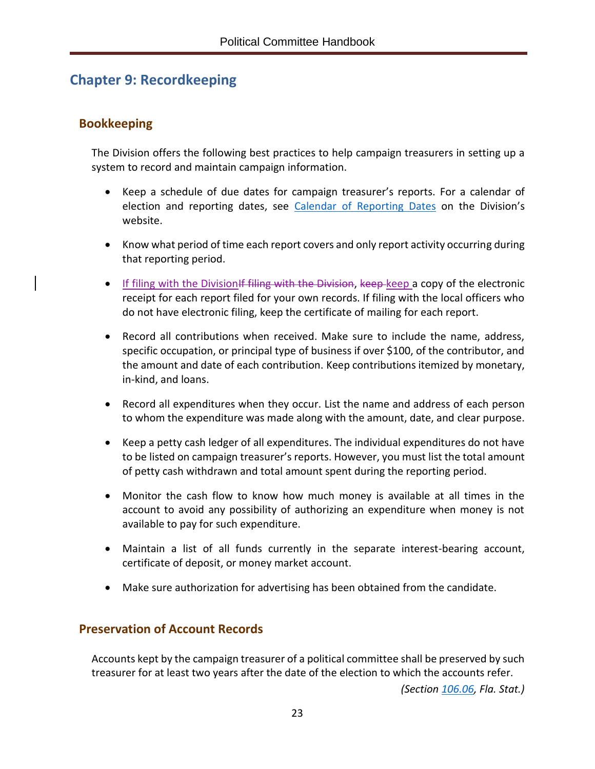# <span id="page-26-0"></span>**Chapter 9: Recordkeeping**

## <span id="page-26-1"></span>**Bookkeeping**

The Division offers the following best practices to help campaign treasurers in setting up a system to record and maintain campaign information.

- Keep a schedule of due dates for campaign treasurer's reports. For a calendar of election and reporting dates, see [Calendar of Reporting Dates](https://dos.myflorida.com/elections/candidates-committees/campaign-finance/) on the Division's website.
- Know what period of time each report covers and only report activity occurring during that reporting period.
- If filing with the Division If filing with the Division, keep keep a copy of the electronic receipt for each report filed for your own records. If filing with the local officers who do not have electronic filing, keep the certificate of mailing for each report.
- Record all contributions when received. Make sure to include the name, address, specific occupation, or principal type of business if over \$100, of the contributor, and the amount and date of each contribution. Keep contributions itemized by monetary, in-kind, and loans.
- Record all expenditures when they occur. List the name and address of each person to whom the expenditure was made along with the amount, date, and clear purpose.
- Keep a petty cash ledger of all expenditures. The individual expenditures do not have to be listed on campaign treasurer's reports. However, you must list the total amount of petty cash withdrawn and total amount spent during the reporting period.
- Monitor the cash flow to know how much money is available at all times in the account to avoid any possibility of authorizing an expenditure when money is not available to pay for such expenditure.
- Maintain a list of all funds currently in the separate interest-bearing account, certificate of deposit, or money market account.
- Make sure authorization for advertising has been obtained from the candidate.

## <span id="page-26-2"></span>**Preservation of Account Records**

Accounts kept by the campaign treasurer of a political committee shall be preserved by such treasurer for at least two years after the date of the election to which the accounts refer.

*(Section [106.06,](http://www.leg.state.fl.us/Statutes/index.cfm?App_mode=Display_Statute&Search_String=&URL=0100-0199/0106/Sections/0106.06.html) Fla. Stat.)*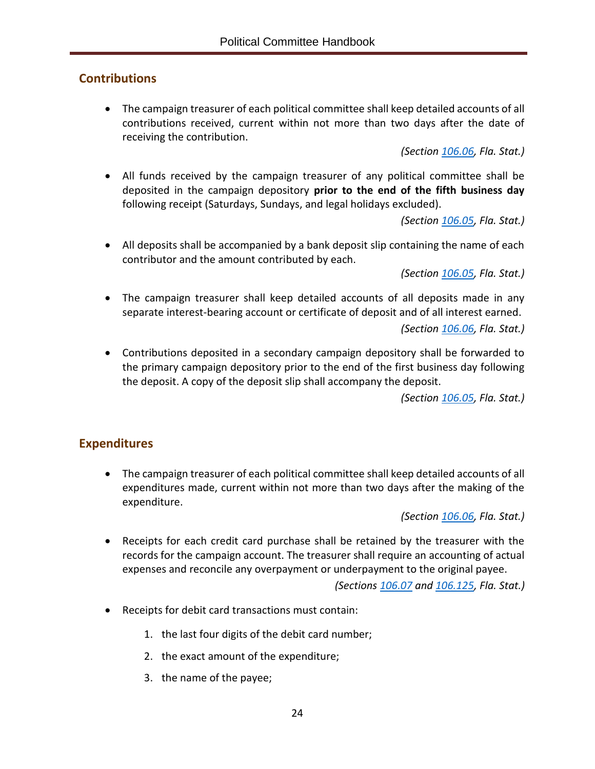## <span id="page-27-0"></span>**Contributions**

• The campaign treasurer of each political committee shall keep detailed accounts of all contributions received, current within not more than two days after the date of receiving the contribution.

*(Section [106.06,](http://www.leg.state.fl.us/Statutes/index.cfm?App_mode=Display_Statute&Search_String=&URL=0100-0199/0106/Sections/0106.06.html) Fla. Stat.)*

• All funds received by the campaign treasurer of any political committee shall be deposited in the campaign depository **prior to the end of the fifth business day** following receipt (Saturdays, Sundays, and legal holidays excluded).

*(Section [106.05,](http://www.leg.state.fl.us/Statutes/index.cfm?App_mode=Display_Statute&Search_String=&URL=0100-0199/0106/Sections/0106.05.html) Fla. Stat.)*

• All deposits shall be accompanied by a bank deposit slip containing the name of each contributor and the amount contributed by each.

*(Section [106.05,](http://www.leg.state.fl.us/Statutes/index.cfm?App_mode=Display_Statute&Search_String=&URL=0100-0199/0106/Sections/0106.05.html) Fla. Stat.)*

• The campaign treasurer shall keep detailed accounts of all deposits made in any separate interest-bearing account or certificate of deposit and of all interest earned.

*(Section [106.06,](http://www.leg.state.fl.us/Statutes/index.cfm?App_mode=Display_Statute&Search_String=&URL=0100-0199/0106/Sections/0106.06.html) Fla. Stat.)*

• Contributions deposited in a secondary campaign depository shall be forwarded to the primary campaign depository prior to the end of the first business day following the deposit. A copy of the deposit slip shall accompany the deposit.

*(Section [106.05,](http://www.leg.state.fl.us/Statutes/index.cfm?App_mode=Display_Statute&Search_String=&URL=0100-0199/0106/Sections/0106.05.html) Fla. Stat.)*

## <span id="page-27-1"></span>**Expenditures**

• The campaign treasurer of each political committee shall keep detailed accounts of all expenditures made, current within not more than two days after the making of the expenditure.

*(Section [106.06,](http://www.leg.state.fl.us/Statutes/index.cfm?App_mode=Display_Statute&Search_String=&URL=0100-0199/0106/Sections/0106.06.html) Fla. Stat.)*

• Receipts for each credit card purchase shall be retained by the treasurer with the records for the campaign account. The treasurer shall require an accounting of actual expenses and reconcile any overpayment or underpayment to the original payee.

*(Sections [106.07](http://www.leg.state.fl.us/Statutes/index.cfm?App_mode=Display_Statute&Search_String=&URL=0100-0199/0106/Sections/0106.07.html) and [106.125,](http://www.leg.state.fl.us/Statutes/index.cfm?App_mode=Display_Statute&Search_String=&URL=0100-0199/0106/Sections/0106.125.html) Fla. Stat.)*

- Receipts for debit card transactions must contain:
	- 1. the last four digits of the debit card number;
	- 2. the exact amount of the expenditure;
	- 3. the name of the payee;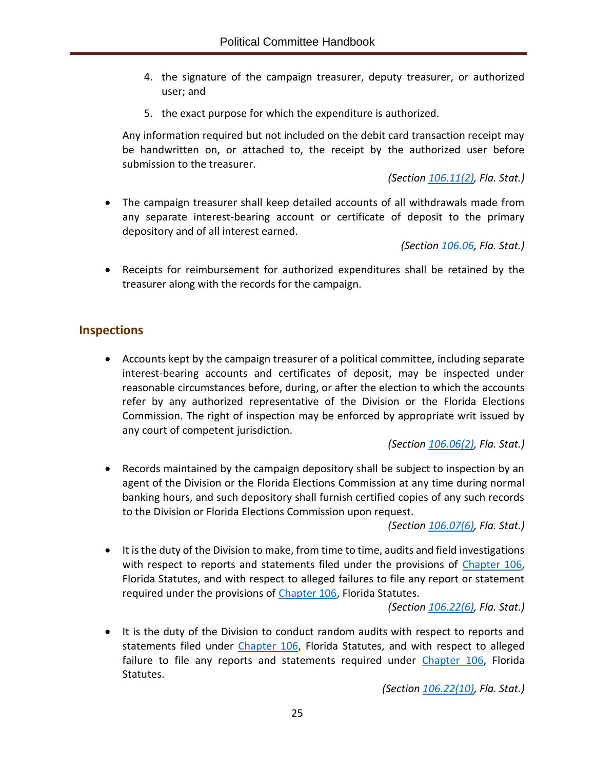- 4. the signature of the campaign treasurer, deputy treasurer, or authorized user; and
- 5. the exact purpose for which the expenditure is authorized.

Any information required but not included on the debit card transaction receipt may be handwritten on, or attached to, the receipt by the authorized user before submission to the treasurer.

*(Section [106.11\(2\),](http://www.leg.state.fl.us/Statutes/index.cfm?App_mode=Display_Statute&Search_String=&URL=0100-0199/0106/Sections/0106.11.html) Fla. Stat.)*

• The campaign treasurer shall keep detailed accounts of all withdrawals made from any separate interest-bearing account or certificate of deposit to the primary depository and of all interest earned.

*(Section [106.06,](http://www.leg.state.fl.us/Statutes/index.cfm?App_mode=Display_Statute&Search_String=&URL=0100-0199/0106/Sections/0106.06.html) Fla. Stat.)*

• Receipts for reimbursement for authorized expenditures shall be retained by the treasurer along with the records for the campaign.

## <span id="page-28-0"></span>**Inspections**

• Accounts kept by the campaign treasurer of a political committee, including separate interest-bearing accounts and certificates of deposit, may be inspected under reasonable circumstances before, during, or after the election to which the accounts refer by any authorized representative of the Division or the Florida Elections Commission. The right of inspection may be enforced by appropriate writ issued by any court of competent jurisdiction.

*(Section [106.06\(2\),](http://www.leg.state.fl.us/Statutes/index.cfm?App_mode=Display_Statute&Search_String=&URL=0100-0199/0106/Sections/0106.06.html) Fla. Stat.)*

• Records maintained by the campaign depository shall be subject to inspection by an agent of the Division or the Florida Elections Commission at any time during normal banking hours, and such depository shall furnish certified copies of any such records to the Division or Florida Elections Commission upon request.

*(Section [106.07\(6\),](http://www.leg.state.fl.us/Statutes/index.cfm?App_mode=Display_Statute&Search_String=&URL=0100-0199/0106/Sections/0106.07.html) Fla. Stat.)*

• It is the duty of the Division to make, from time to time, audits and field investigations with respect to reports and statements filed under the provisions of [Chapter](http://www.leg.state.fl.us/statutes/index.cfm?App_mode=Display_Statute&URL=0100-0199/0106/0106ContentsIndex.html&StatuteYear=2019&Title=%2D%3E2019%2D%3EChapter%20106) 106, Florida Statutes, and with respect to alleged failures to file any report or statement required under the provisions of [Chapter 106,](http://www.leg.state.fl.us/statutes/index.cfm?App_mode=Display_Statute&URL=0100-0199/0106/0106ContentsIndex.html&StatuteYear=2019&Title=%2D%3E2019%2D%3EChapter%20106) Florida Statutes.

*(Section [106.22\(6\),](http://www.leg.state.fl.us/Statutes/index.cfm?App_mode=Display_Statute&Search_String=&URL=0100-0199/0106/Sections/0106.22.html) Fla. Stat.)*

• It is the duty of the Division to conduct random audits with respect to reports and statements filed under [Chapter](http://www.leg.state.fl.us/statutes/index.cfm?App_mode=Display_Statute&URL=0100-0199/0106/0106ContentsIndex.html&StatuteYear=2019&Title=%2D%3E2019%2D%3EChapter%20106) 106, Florida Statutes, and with respect to alleged failure to file any reports and statements required under [Chapter](http://www.leg.state.fl.us/statutes/index.cfm?App_mode=Display_Statute&URL=0100-0199/0106/0106ContentsIndex.html&StatuteYear=2019&Title=%2D%3E2019%2D%3EChapter%20106) 106, Florida Statutes.

*(Section [106.22\(10\),](http://www.leg.state.fl.us/Statutes/index.cfm?App_mode=Display_Statute&Search_String=&URL=0100-0199/0106/Sections/0106.22.html) Fla. Stat.)*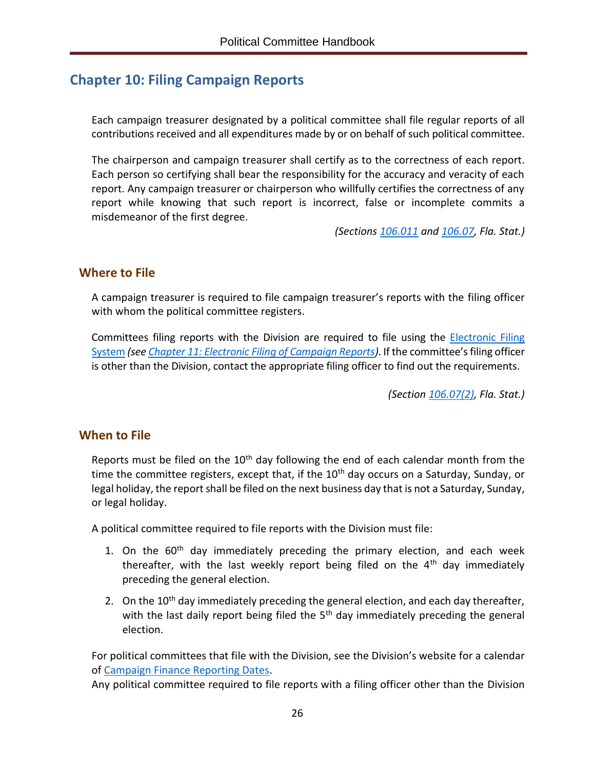# <span id="page-29-0"></span>**Chapter 10: Filing Campaign Reports**

Each campaign treasurer designated by a political committee shall file regular reports of all contributions received and all expenditures made by or on behalf of such political committee.

The chairperson and campaign treasurer shall certify as to the correctness of each report. Each person so certifying shall bear the responsibility for the accuracy and veracity of each report. Any campaign treasurer or chairperson who willfully certifies the correctness of any report while knowing that such report is incorrect, false or incomplete commits a misdemeanor of the first degree.

*(Sections [106.011](http://www.leg.state.fl.us/Statutes/index.cfm?App_mode=Display_Statute&Search_String=&URL=0100-0199/0106/Sections/0106.011.html) and [106.07,](http://www.leg.state.fl.us/Statutes/index.cfm?App_mode=Display_Statute&Search_String=&URL=0100-0199/0106/Sections/0106.07.html) Fla. Stat.)*

#### <span id="page-29-1"></span>**Where to File**

A campaign treasurer is required to file campaign treasurer's reports with the filing officer with whom the political committee registers.

Committees filing reports with the Division are required to file using the [Electronic Filing](https://efs.dos.state.fl.us/Default.aspx)  [System](https://efs.dos.state.fl.us/Default.aspx) *(se[e Chapter 11: Electronic Filing of Campaign Reports\)](#page-35-0)*. If the committee's filing officer is other than the Division, contact the appropriate filing officer to find out the requirements.

*(Section [106.07\(2\),](http://www.leg.state.fl.us/Statutes/index.cfm?App_mode=Display_Statute&Search_String=&URL=0100-0199/0106/Sections/0106.07.html) Fla. Stat.)*

#### <span id="page-29-2"></span>**When to File**

Reports must be filed on the  $10<sup>th</sup>$  day following the end of each calendar month from the time the committee registers, except that, if the  $10<sup>th</sup>$  day occurs on a Saturday, Sunday, or legal holiday, the report shall be filed on the next business day that is not a Saturday, Sunday, or legal holiday.

A political committee required to file reports with the Division must file:

- 1. On the  $60<sup>th</sup>$  day immediately preceding the primary election, and each week thereafter, with the last weekly report being filed on the  $4<sup>th</sup>$  day immediately preceding the general election.
- 2. On the  $10<sup>th</sup>$  day immediately preceding the general election, and each day thereafter, with the last daily report being filed the  $5<sup>th</sup>$  day immediately preceding the general election.

For political committees that file with the Division, see the Division's website for a calendar of [Campaign Finance Reporting Dates.](https://dos.myflorida.com/elections/candidates-committees/campaign-finance/)

Any political committee required to file reports with a filing officer other than the Division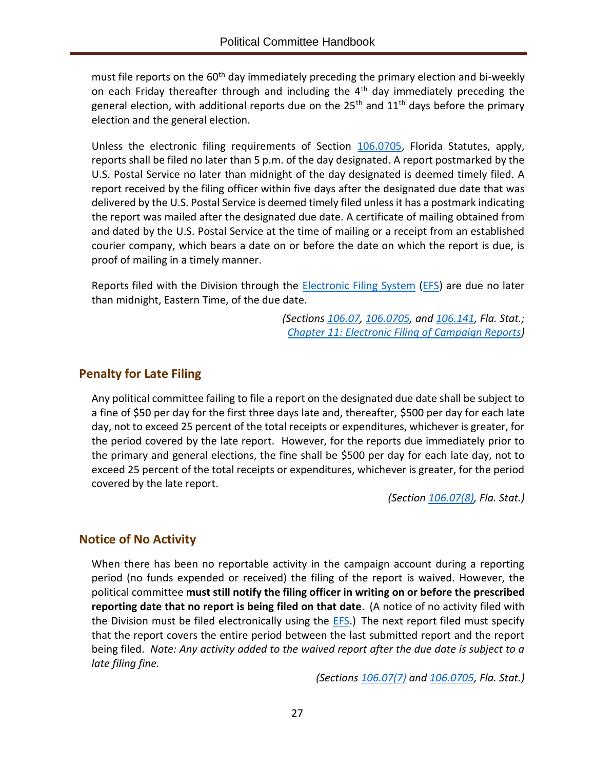must file reports on the 60<sup>th</sup> day immediately preceding the primary election and bi-weekly on each Friday thereafter through and including the  $4<sup>th</sup>$  day immediately preceding the general election, with additional reports due on the 25<sup>th</sup> and  $11<sup>th</sup>$  days before the primary election and the general election.

Unless the electronic filing requirements of Section [106.0705,](http://www.leg.state.fl.us/Statutes/index.cfm?App_mode=Display_Statute&Search_String=&URL=0100-0199/0106/Sections/0106.0705.html) Florida Statutes, apply, reports shall be filed no later than 5 p.m. of the day designated. A report postmarked by the U.S. Postal Service no later than midnight of the day designated is deemed timely filed. A report received by the filing officer within five days after the designated due date that was delivered by the U.S. Postal Service is deemed timely filed unless it has a postmark indicating the report was mailed after the designated due date. A certificate of mailing obtained from and dated by the U.S. Postal Service at the time of mailing or a receipt from an established courier company, which bears a date on or before the date on which the report is due, is proof of mailing in a timely manner.

Reports filed with the Division through the **Electronic Filing System** [\(EFS\)](https://efs.dos.state.fl.us/Default.aspx) are due no later than midnight, Eastern Time, of the due date.

> *(Sections [106.07,](http://www.leg.state.fl.us/Statutes/index.cfm?App_mode=Display_Statute&Search_String=&URL=0100-0199/0106/Sections/0106.07.html) [106.0705,](http://www.leg.state.fl.us/Statutes/index.cfm?App_mode=Display_Statute&Search_String=&URL=0100-0199/0106/Sections/0106.0705.html) an[d 106.141,](http://www.leg.state.fl.us/Statutes/index.cfm?App_mode=Display_Statute&Search_String=&URL=0100-0199/0106/Sections/0106.141.html) Fla. Stat.; Chapter 11: [Electronic Filing of Campaign Reports\)](#page-35-0)*

## <span id="page-30-0"></span>**Penalty for Late Filing**

Any political committee failing to file a report on the designated due date shall be subject to a fine of \$50 per day for the first three days late and, thereafter, \$500 per day for each late day, not to exceed 25 percent of the total receipts or expenditures, whichever is greater, for the period covered by the late report. However, for the reports due immediately prior to the primary and general elections, the fine shall be \$500 per day for each late day, not to exceed 25 percent of the total receipts or expenditures, whichever is greater, for the period covered by the late report.

*(Section [106.07\(8\),](http://www.leg.state.fl.us/Statutes/index.cfm?App_mode=Display_Statute&Search_String=&URL=0100-0199/0106/Sections/0106.07.html) Fla. Stat.)*

## <span id="page-30-1"></span>**Notice of No Activity**

When there has been no reportable activity in the campaign account during a reporting period (no funds expended or received) the filing of the report is waived. However, the political committee **must still notify the filing officer in writing on or before the prescribed reporting date that no report is being filed on that date**. (A notice of no activity filed with the Division must be filed electronically using the **EFS**.) The next report filed must specify that the report covers the entire period between the last submitted report and the report being filed. *Note: Any activity added to the waived report after the due date is subject to a late filing fine.*

*(Sections [106.07\(7\)](http://www.leg.state.fl.us/Statutes/index.cfm?App_mode=Display_Statute&Search_String=&URL=0100-0199/0106/Sections/0106.07.html) and [106.0705,](http://www.leg.state.fl.us/Statutes/index.cfm?App_mode=Display_Statute&Search_String=&URL=0100-0199/0106/Sections/0106.0705.html) Fla. Stat.)*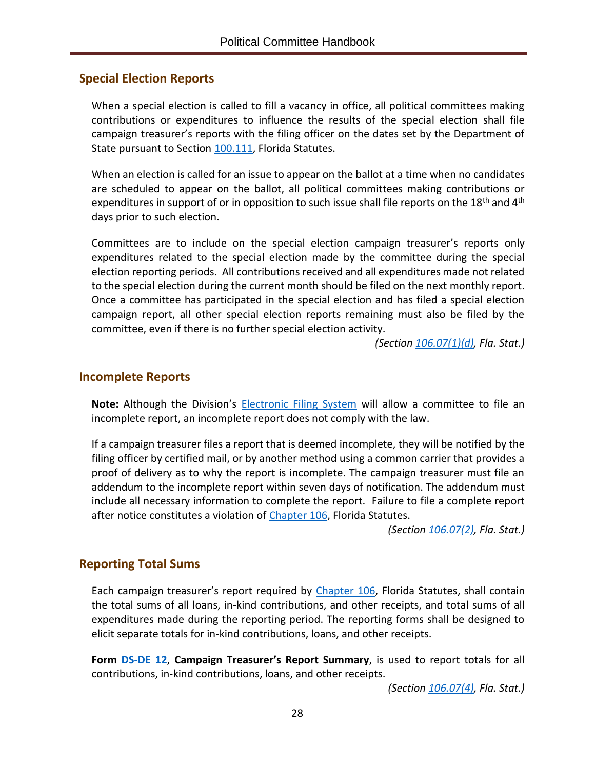## <span id="page-31-0"></span>**Special Election Reports**

When a special election is called to fill a vacancy in office, all political committees making contributions or expenditures to influence the results of the special election shall file campaign treasurer's reports with the filing officer on the dates set by the Department of State pursuant to Section [100.111,](http://www.leg.state.fl.us/statutes/index.cfm?mode=View%20Statutes&SubMenu=1&App_mode=Display_Statute&Search_String=100.111&URL=0100-0199/0100/Sections/0100.111.html) Florida Statutes.

When an election is called for an issue to appear on the ballot at a time when no candidates are scheduled to appear on the ballot, all political committees making contributions or expenditures in support of or in opposition to such issue shall file reports on the 18<sup>th</sup> and 4<sup>th</sup> days prior to such election.

Committees are to include on the special election campaign treasurer's reports only expenditures related to the special election made by the committee during the special election reporting periods. All contributions received and all expenditures made not related to the special election during the current month should be filed on the next monthly report. Once a committee has participated in the special election and has filed a special election campaign report, all other special election reports remaining must also be filed by the committee, even if there is no further special election activity.

*(Section [106.07\(1\)\(d\),](http://www.leg.state.fl.us/Statutes/index.cfm?App_mode=Display_Statute&Search_String=&URL=0100-0199/0106/Sections/0106.07.html) Fla. Stat.)*

#### <span id="page-31-1"></span>**Incomplete Reports**

**Note:** Although the Division's [Electronic Filing System](https://efs.dos.state.fl.us/Default.aspx) will allow a committee to file an incomplete report, an incomplete report does not comply with the law.

If a campaign treasurer files a report that is deemed incomplete, they will be notified by the filing officer by certified mail, or by another method using a common carrier that provides a proof of delivery as to why the report is incomplete. The campaign treasurer must file an addendum to the incomplete report within seven days of notification. The addendum must include all necessary information to complete the report. Failure to file a complete report after notice constitutes a violation of [Chapter](http://www.leg.state.fl.us/statutes/index.cfm?App_mode=Display_Statute&URL=0100-0199/0106/0106ContentsIndex.html&StatuteYear=2019&Title=%2D%3E2019%2D%3EChapter%20106) 106, Florida Statutes.

*(Section [106.07\(2\),](http://www.leg.state.fl.us/Statutes/index.cfm?App_mode=Display_Statute&Search_String=&URL=0100-0199/0106/Sections/0106.07.html) Fla. Stat.)*

## <span id="page-31-2"></span>**Reporting Total Sums**

Each campaign treasurer's report required by [Chapter](http://www.leg.state.fl.us/statutes/index.cfm?App_mode=Display_Statute&URL=0100-0199/0106/0106ContentsIndex.html&StatuteYear=2019&Title=%2D%3E2019%2D%3EChapter%20106) 106, Florida Statutes, shall contain the total sums of all loans, in-kind contributions, and other receipts, and total sums of all expenditures made during the reporting period. The reporting forms shall be designed to elicit separate totals for in-kind contributions, loans, and other receipts.

**Form [DS-DE 12](https://dos.myflorida.com/media/693241/dsde12.pdf)**, **Campaign Treasurer's Report Summary**, is used to report totals for all contributions, in-kind contributions, loans, and other receipts.

*(Section [106.07\(4\),](http://www.leg.state.fl.us/Statutes/index.cfm?App_mode=Display_Statute&Search_String=&URL=0100-0199/0106/Sections/0106.07.html) Fla. Stat.)*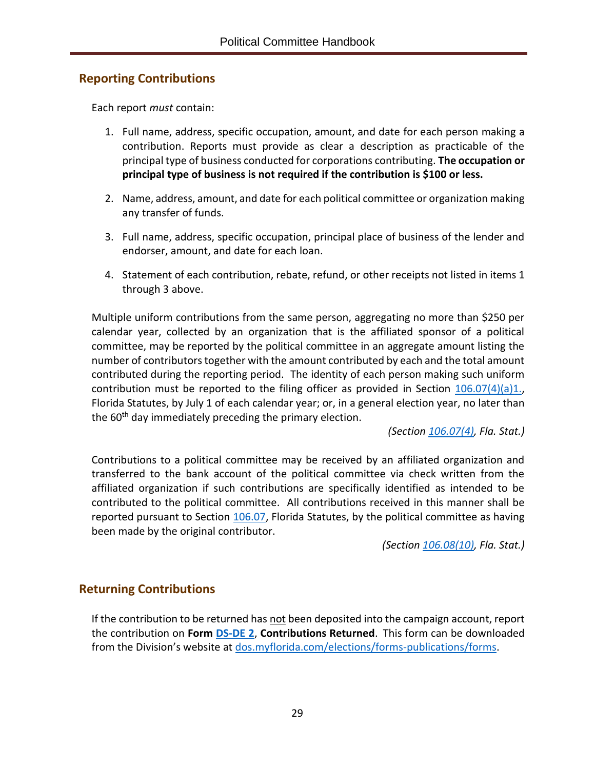## <span id="page-32-0"></span>**Reporting Contributions**

Each report *must* contain:

- 1. Full name, address, specific occupation, amount, and date for each person making a contribution. Reports must provide as clear a description as practicable of the principal type of business conducted for corporations contributing. **The occupation or principal type of business is not required if the contribution is \$100 or less.**
- 2. Name, address, amount, and date for each political committee or organization making any transfer of funds.
- 3. Full name, address, specific occupation, principal place of business of the lender and endorser, amount, and date for each loan.
- 4. Statement of each contribution, rebate, refund, or other receipts not listed in items 1 through 3 above.

Multiple uniform contributions from the same person, aggregating no more than \$250 per calendar year, collected by an organization that is the affiliated sponsor of a political committee, may be reported by the political committee in an aggregate amount listing the number of contributors together with the amount contributed by each and the total amount contributed during the reporting period. The identity of each person making such uniform contribution must be reported to the filing officer as provided in Section  $106.07(4)(a)1$ . Florida Statutes, by July 1 of each calendar year; or, in a general election year, no later than the 60<sup>th</sup> day immediately preceding the primary election.

*(Section [106.07\(4\),](http://www.leg.state.fl.us/Statutes/index.cfm?App_mode=Display_Statute&Search_String=&URL=0100-0199/0106/Sections/0106.07.html) Fla. Stat.)*

Contributions to a political committee may be received by an affiliated organization and transferred to the bank account of the political committee via check written from the affiliated organization if such contributions are specifically identified as intended to be contributed to the political committee. All contributions received in this manner shall be reported pursuant to Section [106.07,](http://www.leg.state.fl.us/Statutes/index.cfm?App_mode=Display_Statute&Search_String=&URL=0100-0199/0106/Sections/0106.07.html) Florida Statutes, by the political committee as having been made by the original contributor.

*(Section [106.08\(10\),](http://www.leg.state.fl.us/Statutes/index.cfm?App_mode=Display_Statute&Search_String=&URL=0100-0199/0106/Sections/0106.08.html) Fla. Stat.)*

## <span id="page-32-1"></span>**Returning Contributions**

If the contribution to be returned has not been deposited into the campaign account, report the contribution on **Form [DS-DE 2](https://dos.myflorida.com/media/693237/dsde2.pdf)**, **Contributions Returned**. This form can be downloaded from the Division's website at [dos.myflorida.com/elections/forms-publications/forms.](https://dos.myflorida.com/elections/forms-publications/forms/)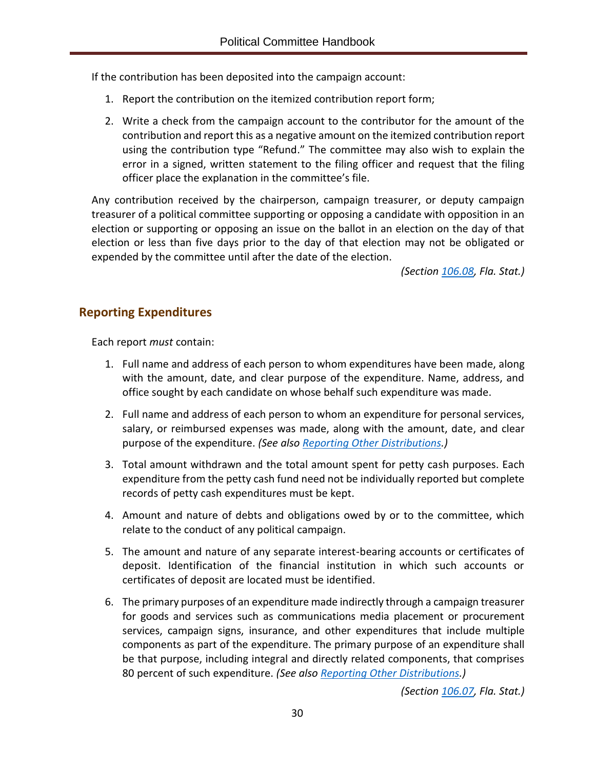If the contribution has been deposited into the campaign account:

- 1. Report the contribution on the itemized contribution report form;
- 2. Write a check from the campaign account to the contributor for the amount of the contribution and report this as a negative amount on the itemized contribution report using the contribution type "Refund." The committee may also wish to explain the error in a signed, written statement to the filing officer and request that the filing officer place the explanation in the committee's file.

Any contribution received by the chairperson, campaign treasurer, or deputy campaign treasurer of a political committee supporting or opposing a candidate with opposition in an election or supporting or opposing an issue on the ballot in an election on the day of that election or less than five days prior to the day of that election may not be obligated or expended by the committee until after the date of the election.

*(Section [106.08,](http://www.leg.state.fl.us/Statutes/index.cfm?App_mode=Display_Statute&Search_String=&URL=0100-0199/0106/Sections/0106.08.html) Fla. Stat.)*

## <span id="page-33-0"></span>**Reporting Expenditures**

Each report *must* contain:

- 1. Full name and address of each person to whom expenditures have been made, along with the amount, date, and clear purpose of the expenditure. Name, address, and office sought by each candidate on whose behalf such expenditure was made.
- 2. Full name and address of each person to whom an expenditure for personal services, salary, or reimbursed expenses was made, along with the amount, date, and clear purpose of the expenditure. *(See also [Reporting Other Distributions.](#page-34-0))*
- 3. Total amount withdrawn and the total amount spent for petty cash purposes. Each expenditure from the petty cash fund need not be individually reported but complete records of petty cash expenditures must be kept.
- 4. Amount and nature of debts and obligations owed by or to the committee, which relate to the conduct of any political campaign.
- 5. The amount and nature of any separate interest-bearing accounts or certificates of deposit. Identification of the financial institution in which such accounts or certificates of deposit are located must be identified.
- 6. The primary purposes of an expenditure made indirectly through a campaign treasurer for goods and services such as communications media placement or procurement services, campaign signs, insurance, and other expenditures that include multiple components as part of the expenditure. The primary purpose of an expenditure shall be that purpose, including integral and directly related components, that comprises 80 percent of such expenditure. *(See also [Reporting Other Distributions.](#page-34-0))*

*(Section [106.07,](http://www.leg.state.fl.us/Statutes/index.cfm?App_mode=Display_Statute&Search_String=&URL=0100-0199/0106/Sections/0106.07.html) Fla. Stat.)*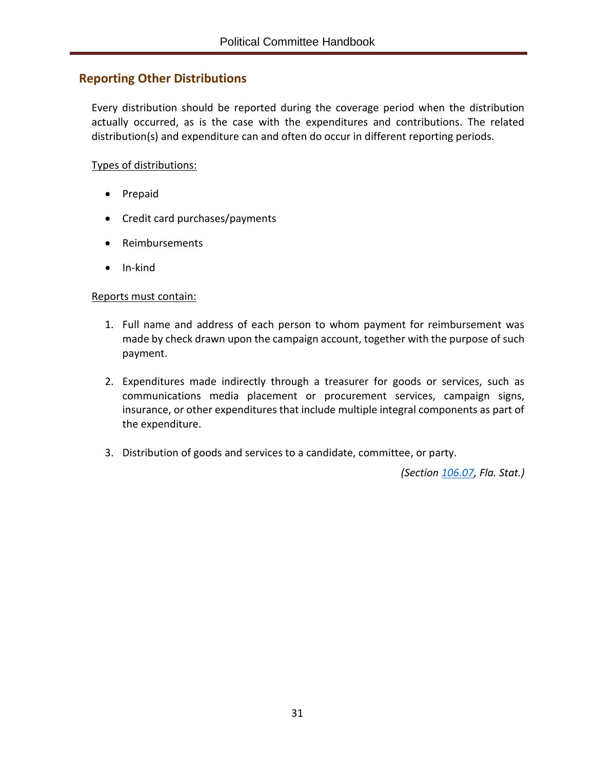## <span id="page-34-0"></span>**Reporting Other Distributions**

Every distribution should be reported during the coverage period when the distribution actually occurred, as is the case with the expenditures and contributions. The related distribution(s) and expenditure can and often do occur in different reporting periods.

#### Types of distributions:

- Prepaid
- Credit card purchases/payments
- Reimbursements
- In-kind

#### Reports must contain:

- 1. Full name and address of each person to whom payment for reimbursement was made by check drawn upon the campaign account, together with the purpose of such payment.
- 2. Expenditures made indirectly through a treasurer for goods or services, such as communications media placement or procurement services, campaign signs, insurance, or other expenditures that include multiple integral components as part of the expenditure.
- 3. Distribution of goods and services to a candidate, committee, or party.

*(Section [106.07,](http://www.leg.state.fl.us/Statutes/index.cfm?App_mode=Display_Statute&Search_String=&URL=0100-0199/0106/Sections/0106.07.html) Fla. Stat.)*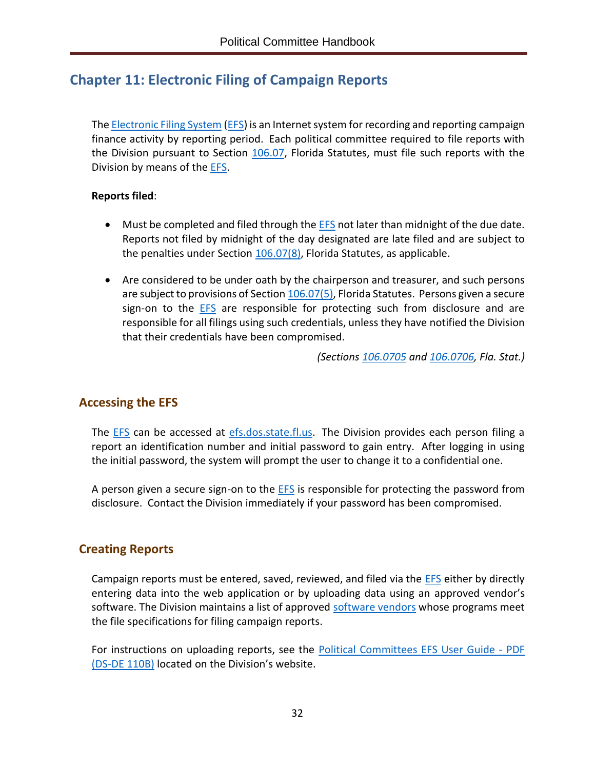# <span id="page-35-0"></span>**Chapter 11: Electronic Filing of Campaign Reports**

The [Electronic](https://efs.dos.state.fl.us/Default.aspx) Filing System [\(EFS\)](https://efs.dos.state.fl.us/Default.aspx) is an Internet system for recording and reporting campaign finance activity by reporting period. Each political committee required to file reports with the Division pursuant to Section [106.07,](http://www.leg.state.fl.us/Statutes/index.cfm?App_mode=Display_Statute&Search_String=&URL=0100-0199/0106/Sections/0106.07.html) Florida Statutes, must file such reports with the Division by means of the [EFS.](https://efs.dos.state.fl.us/Default.aspx)

#### **Reports filed**:

- Must be completed and filed through the [EFS](https://efs.dos.state.fl.us/Default.aspx) not later than midnight of the due date. Reports not filed by midnight of the day designated are late filed and are subject to the penalties under Section  $106.07(8)$ , Florida Statutes, as applicable.
- Are considered to be under oath by the chairperson and treasurer, and such persons are subject to provisions of Section [106.07\(5\),](http://www.leg.state.fl.us/Statutes/index.cfm?App_mode=Display_Statute&Search_String=&URL=0100-0199/0106/Sections/0106.07.html) Florida Statutes. Persons given a secure sign-on to the [EFS](https://efs.dos.state.fl.us/Default.aspx) are responsible for protecting such from disclosure and are responsible for all filings using such credentials, unless they have notified the Division that their credentials have been compromised.

*(Sections [106.0705](http://www.leg.state.fl.us/Statutes/index.cfm?App_mode=Display_Statute&Search_String=&URL=0100-0199/0106/Sections/0106.0705.html) and [106.0706,](http://www.leg.state.fl.us/Statutes/index.cfm?App_mode=Display_Statute&Search_String=&URL=0100-0199/0106/Sections/0106.0706.html) Fla. Stat.)*

## <span id="page-35-1"></span>**Accessing the EFS**

The **EFS** can be accessed at [efs.dos.state.fl.us.](https://efs.dos.state.fl.us/) The Division provides each person filing a report an identification number and initial password to gain entry. After logging in using the initial password, the system will prompt the user to change it to a confidential one.

A person given a secure sign-on to the  $EFS$  is responsible for protecting the password from disclosure. Contact the Division immediately if your password has been compromised.

## <span id="page-35-2"></span>**Creating Reports**

Campaign reports must be entered, saved, reviewed, and filed via the [EFS](https://efs.dos.state.fl.us/Default.aspx) either by directly entering data into the web application or by uploading data using an approved vendor's software. The Division maintains a list of approved [software vendors](https://dos.myflorida.com/elections/candidates-committees/campaign-finance/filing-campaign-reports/vendors/) whose programs meet the file specifications for filing campaign reports.

For instructions on uploading reports, see the [Political Committees EFS User Guide -](https://dos.myflorida.com/elections/candidates-committees/campaign-finance/filing-campaign-reports/) PDF [\(DS-DE](https://dos.myflorida.com/elections/candidates-committees/campaign-finance/filing-campaign-reports/) 110B) located on the Division's website.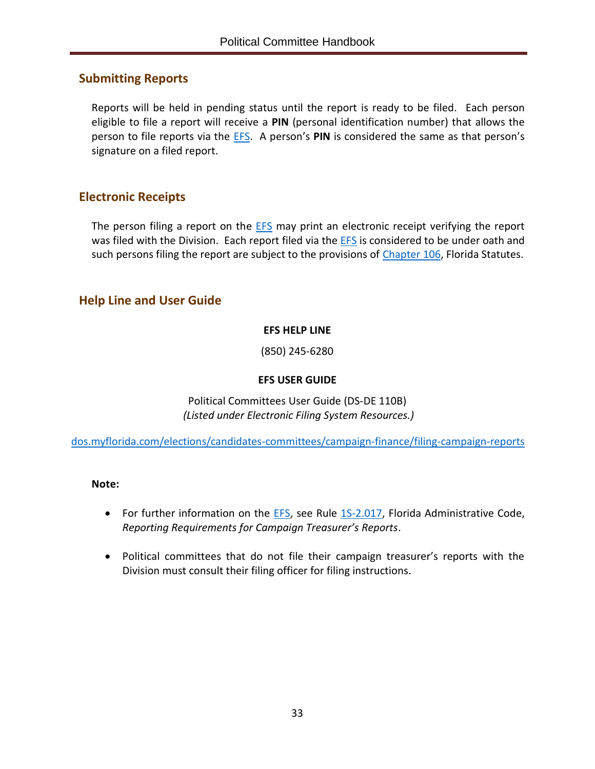## <span id="page-36-0"></span>**Submitting Reports**

Reports will be held in pending status until the report is ready to be filed. Each person eligible to file a report will receive a **PIN** (personal identification number) that allows the person to file reports via the [EFS.](https://efs.dos.state.fl.us/Default.aspx) A person's **PIN** is considered the same as that person's signature on a filed report.

## <span id="page-36-1"></span>**Electronic Receipts**

The person filing a report on the **EFS** may print an electronic receipt verifying the report was filed with the Division. Each report filed via the [EFS](https://efs.dos.state.fl.us/Default.aspx) is considered to be under oath and such persons filing the report are subject to the provisions of [Chapter](http://www.leg.state.fl.us/statutes/index.cfm?App_mode=Display_Statute&URL=0100-0199/0106/0106ContentsIndex.html&StatuteYear=2019&Title=%2D%3E2019%2D%3EChapter%20106) 106, Florida Statutes.

## <span id="page-36-2"></span>**Help Line and User Guide**

#### **EFS HELP LINE**

(850) 245-6280

#### **EFS USER GUIDE**

Political Committees User Guide (DS-DE 110B) *(Listed under Electronic Filing System Resources.)*

[dos.myflorida.com/elections/candidates-committees/campaign-finance/filing-campaign-reports](https://dos.myflorida.com/elections/candidates-committees/campaign-finance/filing-campaign-reports/)

#### **Note:**

- For further information on the **EFS**, see Rule [1S-2.017,](https://www.flrules.org/gateway/RuleNo.asp?title=ELECTIONS&ID=1S-2.017) Florida Administrative Code, *Reporting Requirements for Campaign Treasurer's Reports*.
- Political committees that do not file their campaign treasurer's reports with the Division must consult their filing officer for filing instructions.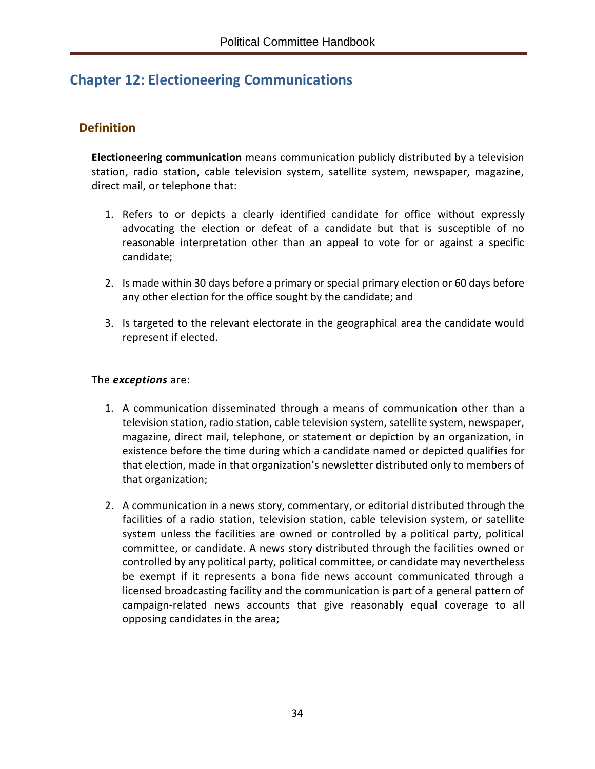# <span id="page-37-0"></span>**Chapter 12: Electioneering Communications**

## <span id="page-37-1"></span>**Definition**

**Electioneering communication** means communication publicly distributed by a television station, radio station, cable television system, satellite system, newspaper, magazine, direct mail, or telephone that:

- 1. Refers to or depicts a clearly identified candidate for office without expressly advocating the election or defeat of a candidate but that is susceptible of no reasonable interpretation other than an appeal to vote for or against a specific candidate;
- 2. Is made within 30 days before a primary or special primary election or 60 days before any other election for the office sought by the candidate; and
- 3. Is targeted to the relevant electorate in the geographical area the candidate would represent if elected.

#### The *exceptions* are:

- 1. A communication disseminated through a means of communication other than a television station, radio station, cable television system, satellite system, newspaper, magazine, direct mail, telephone, or statement or depiction by an organization, in existence before the time during which a candidate named or depicted qualifies for that election, made in that organization's newsletter distributed only to members of that organization;
- 2. A communication in a news story, commentary, or editorial distributed through the facilities of a radio station, television station, cable television system, or satellite system unless the facilities are owned or controlled by a political party, political committee, or candidate. A news story distributed through the facilities owned or controlled by any political party, political committee, or candidate may nevertheless be exempt if it represents a bona fide news account communicated through a licensed broadcasting facility and the communication is part of a general pattern of campaign-related news accounts that give reasonably equal coverage to all opposing candidates in the area;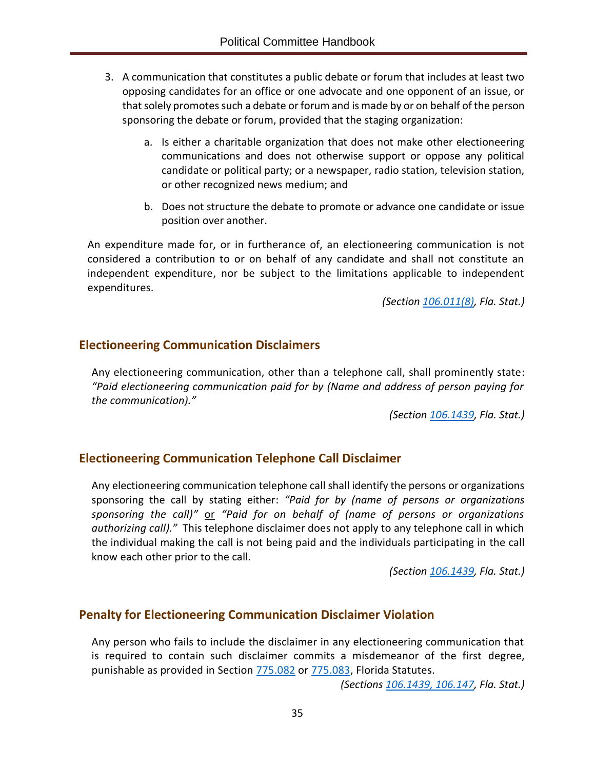- 3. A communication that constitutes a public debate or forum that includes at least two opposing candidates for an office or one advocate and one opponent of an issue, or that solely promotes such a debate or forum and is made by or on behalf of the person sponsoring the debate or forum, provided that the staging organization:
	- a. Is either a charitable organization that does not make other electioneering communications and does not otherwise support or oppose any political candidate or political party; or a newspaper, radio station, television station, or other recognized news medium; and
	- b. Does not structure the debate to promote or advance one candidate or issue position over another.

An expenditure made for, or in furtherance of, an electioneering communication is not considered a contribution to or on behalf of any candidate and shall not constitute an independent expenditure, nor be subject to the limitations applicable to independent expenditures.

*(Section [106.011\(8\),](http://www.leg.state.fl.us/Statutes/index.cfm?App_mode=Display_Statute&Search_String=&URL=0100-0199/0106/Sections/0106.011.html) Fla. Stat.)*

## <span id="page-38-0"></span>**Electioneering Communication Disclaimers**

Any electioneering communication, other than a telephone call, shall prominently state: *"Paid electioneering communication paid for by (Name and address of person paying for the communication)."*

*(Section [106.1439,](http://www.leg.state.fl.us/Statutes/index.cfm?App_mode=Display_Statute&Search_String=&URL=0100-0199/0106/Sections/0106.1439.html) Fla. Stat.)*

## <span id="page-38-1"></span>**Electioneering Communication Telephone Call Disclaimer**

Any electioneering communication telephone call shall identify the persons or organizations sponsoring the call by stating either: *"Paid for by (name of persons or organizations sponsoring the call)"* or *"Paid for on behalf of (name of persons or organizations authorizing call)."* This telephone disclaimer does not apply to any telephone call in which the individual making the call is not being paid and the individuals participating in the call know each other prior to the call.

*(Section [106.1439,](http://www.leg.state.fl.us/Statutes/index.cfm?App_mode=Display_Statute&Search_String=&URL=0100-0199/0106/Sections/0106.1439.html) Fla. Stat.)*

## <span id="page-38-2"></span>**Penalty for Electioneering Communication Disclaimer Violation**

Any person who fails to include the disclaimer in any electioneering communication that is required to contain such disclaimer commits a misdemeanor of the first degree, punishable as provided in Section [775.082](http://www.leg.state.fl.us/statutes/index.cfm?App_mode=Display_Statute&Search_String=&URL=0700-0799/0775/Sections/0775.082.html) or [775.083,](http://www.leg.state.fl.us/statutes/index.cfm?App_mode=Display_Statute&Search_String=&URL=0700-0799/0775/Sections/0775.083.html) Florida Statutes.

*(Sections [106.1439,](http://www.leg.state.fl.us/Statutes/index.cfm?App_mode=Display_Statute&Search_String=&URL=0100-0199/0106/Sections/0106.1439.html) [106.147,](http://www.leg.state.fl.us/statutes/index.cfm?mode=View%20Statutes&SubMenu=1&App_mode=Display_Statute&Search_String=106.147&URL=0100-0199/0106/Sections/0106.147.html) Fla. Stat.)*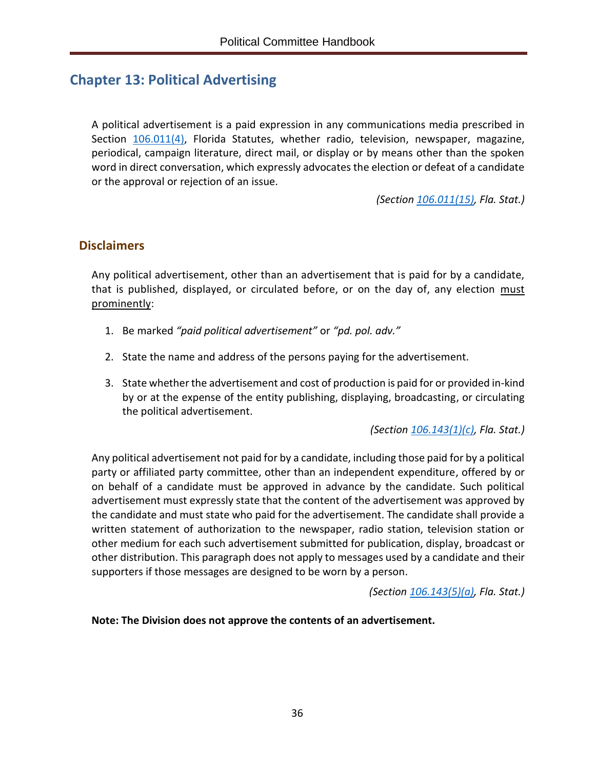# <span id="page-39-0"></span>**Chapter 13: Political Advertising**

A political advertisement is a paid expression in any communications media prescribed in Section [106.011\(4\),](http://www.leg.state.fl.us/Statutes/index.cfm?App_mode=Display_Statute&Search_String=&URL=0100-0199/0106/Sections/0106.011.html) Florida Statutes, whether radio, television, newspaper, magazine, periodical, campaign literature, direct mail, or display or by means other than the spoken word in direct conversation, which expressly advocates the election or defeat of a candidate or the approval or rejection of an issue.

*(Section [106.011\(15\),](http://www.leg.state.fl.us/Statutes/index.cfm?App_mode=Display_Statute&Search_String=&URL=0100-0199/0106/Sections/0106.011.html) Fla. Stat.)*

#### <span id="page-39-1"></span>**Disclaimers**

Any political advertisement, other than an advertisement that is paid for by a candidate, that is published, displayed, or circulated before, or on the day of, any election must prominently:

- 1. Be marked *"paid political advertisement"* or *"pd. pol. adv."*
- 2. State the name and address of the persons paying for the advertisement.
- 3. State whether the advertisement and cost of production is paid for or provided in-kind by or at the expense of the entity publishing, displaying, broadcasting, or circulating the political advertisement.

*(Sectio[n 106.143\(1\)\(c\),](http://www.leg.state.fl.us/Statutes/index.cfm?App_mode=Display_Statute&Search_String=&URL=0100-0199/0106/Sections/0106.143.html) Fla. Stat.)*

Any political advertisement not paid for by a candidate, including those paid for by a political party or affiliated party committee, other than an independent expenditure, offered by or on behalf of a candidate must be approved in advance by the candidate. Such political advertisement must expressly state that the content of the advertisement was approved by the candidate and must state who paid for the advertisement. The candidate shall provide a written statement of authorization to the newspaper, radio station, television station or other medium for each such advertisement submitted for publication, display, broadcast or other distribution. This paragraph does not apply to messages used by a candidate and their supporters if those messages are designed to be worn by a person.

*(Section [106.143\(5\)\(a\),](http://www.leg.state.fl.us/Statutes/index.cfm?App_mode=Display_Statute&Search_String=&URL=0100-0199/0106/Sections/0106.143.html) Fla. Stat.)*

#### **Note: The Division does not approve the contents of an advertisement.**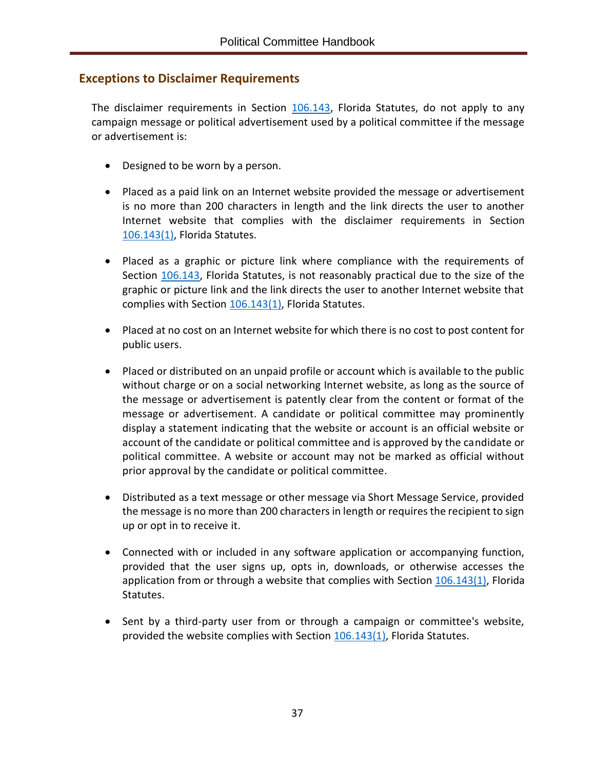## <span id="page-40-0"></span>**Exceptions to Disclaimer Requirements**

The disclaimer requirements in Section [106.143,](http://www.leg.state.fl.us/Statutes/index.cfm?App_mode=Display_Statute&Search_String=&URL=0100-0199/0106/Sections/0106.143.html) Florida Statutes, do not apply to any campaign message or political advertisement used by a political committee if the message or advertisement is:

- Designed to be worn by a person.
- Placed as a paid link on an Internet website provided the message or advertisement is no more than 200 characters in length and the link directs the user to another Internet website that complies with the disclaimer requirements in Section [106.143\(1\),](http://www.leg.state.fl.us/Statutes/index.cfm?App_mode=Display_Statute&Search_String=&URL=0100-0199/0106/Sections/0106.143.html) Florida Statutes.
- Placed as a graphic or picture link where compliance with the requirements of Section [106.143,](http://www.leg.state.fl.us/Statutes/index.cfm?App_mode=Display_Statute&Search_String=&URL=0100-0199/0106/Sections/0106.143.html) Florida Statutes, is not reasonably practical due to the size of the graphic or picture link and the link directs the user to another Internet website that complies with Section [106.143\(1\),](http://www.leg.state.fl.us/Statutes/index.cfm?App_mode=Display_Statute&Search_String=&URL=0100-0199/0106/Sections/0106.143.html) Florida Statutes.
- Placed at no cost on an Internet website for which there is no cost to post content for public users.
- Placed or distributed on an unpaid profile or account which is available to the public without charge or on a social networking Internet website, as long as the source of the message or advertisement is patently clear from the content or format of the message or advertisement. A candidate or political committee may prominently display a statement indicating that the website or account is an official website or account of the candidate or political committee and is approved by the candidate or political committee. A website or account may not be marked as official without prior approval by the candidate or political committee.
- Distributed as a text message or other message via Short Message Service, provided the message is no more than 200 characters in length or requires the recipient to sign up or opt in to receive it.
- Connected with or included in any software application or accompanying function, provided that the user signs up, opts in, downloads, or otherwise accesses the application from or through a website that complies with Section [106.143\(1\),](http://www.leg.state.fl.us/Statutes/index.cfm?App_mode=Display_Statute&Search_String=&URL=0100-0199/0106/Sections/0106.143.html) Florida Statutes.
- Sent by a third-party user from or through a campaign or committee's website, provided the website complies with Section  $106.143(1)$ , Florida Statutes.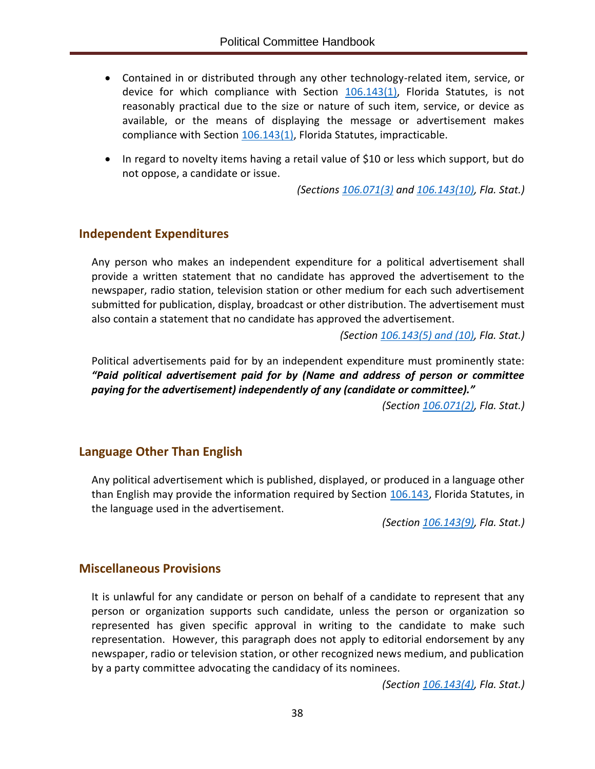- Contained in or distributed through any other technology-related item, service, or device for which compliance with Section [106.143\(1\),](http://www.leg.state.fl.us/Statutes/index.cfm?App_mode=Display_Statute&Search_String=&URL=0100-0199/0106/Sections/0106.143.html) Florida Statutes, is not reasonably practical due to the size or nature of such item, service, or device as available, or the means of displaying the message or advertisement makes compliance with Section [106.143\(1\),](http://www.leg.state.fl.us/Statutes/index.cfm?App_mode=Display_Statute&Search_String=&URL=0100-0199/0106/Sections/0106.143.html) Florida Statutes, impracticable.
- In regard to novelty items having a retail value of \$10 or less which support, but do not oppose, a candidate or issue.

*(Sections [106.071\(3\)](http://www.leg.state.fl.us/Statutes/index.cfm?App_mode=Display_Statute&Search_String=&URL=0100-0199/0106/Sections/0106.071.html) and [106.143\(10\),](http://www.leg.state.fl.us/Statutes/index.cfm?App_mode=Display_Statute&Search_String=&URL=0100-0199/0106/Sections/0106.143.html) Fla. Stat.)*

#### <span id="page-41-0"></span>**Independent Expenditures**

Any person who makes an independent expenditure for a political advertisement shall provide a written statement that no candidate has approved the advertisement to the newspaper, radio station, television station or other medium for each such advertisement submitted for publication, display, broadcast or other distribution. The advertisement must also contain a statement that no candidate has approved the advertisement.

*(Section [106.143\(5\) and \(10\),](http://www.leg.state.fl.us/Statutes/index.cfm?App_mode=Display_Statute&Search_String=&URL=0100-0199/0106/Sections/0106.143.html) Fla. Stat.)*

Political advertisements paid for by an independent expenditure must prominently state: *"Paid political advertisement paid for by (Name and address of person or committee paying for the advertisement) independently of any (candidate or committee)."*

*(Section [106.071\(2\),](http://www.leg.state.fl.us/Statutes/index.cfm?App_mode=Display_Statute&Search_String=&URL=0100-0199/0106/Sections/0106.071.html) Fla. Stat.)*

#### <span id="page-41-1"></span>**Language Other Than English**

Any political advertisement which is published, displayed, or produced in a language other than English may provide the information required by Section [106.143,](http://www.leg.state.fl.us/Statutes/index.cfm?App_mode=Display_Statute&Search_String=&URL=0100-0199/0106/Sections/0106.143.html) Florida Statutes, in the language used in the advertisement.

*(Section [106.143\(9\),](http://www.leg.state.fl.us/Statutes/index.cfm?App_mode=Display_Statute&Search_String=&URL=0100-0199/0106/Sections/0106.143.html) Fla. Stat.)*

#### <span id="page-41-2"></span>**Miscellaneous Provisions**

It is unlawful for any candidate or person on behalf of a candidate to represent that any person or organization supports such candidate, unless the person or organization so represented has given specific approval in writing to the candidate to make such representation. However, this paragraph does not apply to editorial endorsement by any newspaper, radio or television station, or other recognized news medium, and publication by a party committee advocating the candidacy of its nominees.

*(Section [106.143\(4\),](http://www.leg.state.fl.us/Statutes/index.cfm?App_mode=Display_Statute&Search_String=&URL=0100-0199/0106/Sections/0106.143.html) Fla. Stat.)*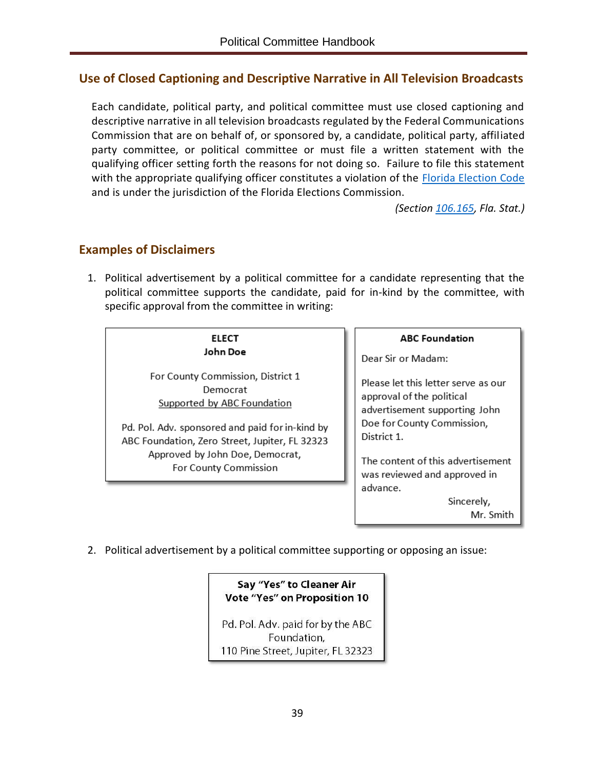## <span id="page-42-0"></span>**Use of Closed Captioning and Descriptive Narrative in All Television Broadcasts**

Each candidate, political party, and political committee must use closed captioning and descriptive narrative in all television broadcasts regulated by the Federal Communications Commission that are on behalf of, or sponsored by, a candidate, political party, affiliated party committee, or political committee or must file a written statement with the qualifying officer setting forth the reasons for not doing so. Failure to file this statement with the appropriate qualifying officer constitutes a violation of the [Florida Election Code](http://www.leg.state.fl.us/Statutes/index.cfm?App_mode=Display_Index&Title_Request=IX#TitleIX) and is under the jurisdiction of the Florida Elections Commission.

*(Section [106.165,](http://www.leg.state.fl.us/Statutes/index.cfm?App_mode=Display_Statute&Search_String=&URL=0100-0199/0106/Sections/0106.165.html) Fla. Stat.)*

## <span id="page-42-1"></span>**Examples of Disclaimers**

1. Political advertisement by a political committee for a candidate representing that the political committee supports the candidate, paid for in-kind by the committee, with specific approval from the committee in writing:

#### **ELECT** John Doe

For County Commission, District 1 Democrat Supported by ABC Foundation

Pd. Pol. Adv. sponsored and paid for in-kind by ABC Foundation, Zero Street, Jupiter, FL 32323 Approved by John Doe, Democrat, For County Commission

**ABC Foundation** 

Dear Sir or Madam:

Please let this letter serve as our approval of the political advertisement supporting John Doe for County Commission, District 1.

The content of this advertisement was reviewed and approved in advance.

> Sincerely, Mr. Smith

2. Political advertisement by a political committee supporting or opposing an issue:

#### Say "Yes" to Cleaner Air Vote "Yes" on Proposition 10

Pd. Pol. Adv. paid for by the ABC Foundation, 110 Pine Street, Jupiter, FL 32323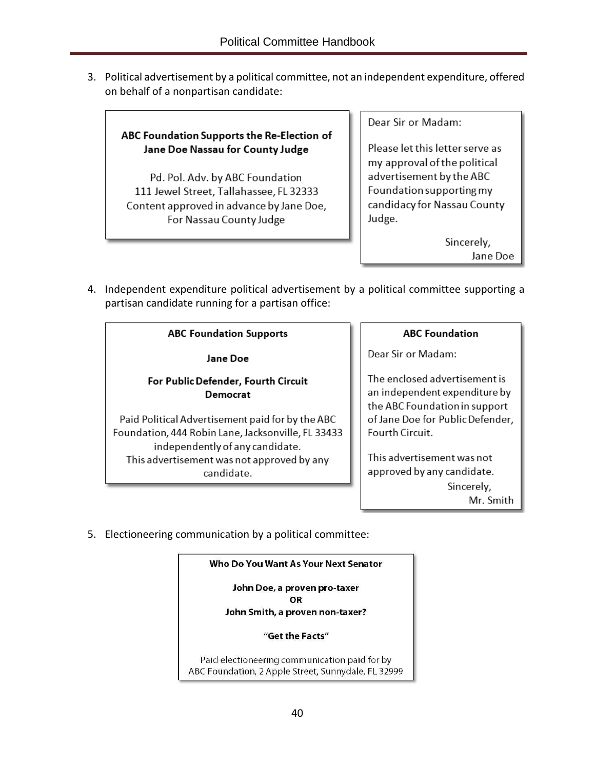3. Political advertisement by a political committee, not an independent expenditure, offered on behalf of a nonpartisan candidate:

#### ABC Foundation Supports the Re-Election of Jane Doe Nassau for County Judge

Pd. Pol. Adv. by ABC Foundation 111 Jewel Street, Tallahassee, FL 32333 Content approved in advance by Jane Doe, For Nassau County Judge

Dear Sir or Madam:

Please let this letter serve as my approval of the political advertisement by the ABC Foundation supporting my candidacy for Nassau County Judge.

> Sincerely, Jane Doe

4. Independent expenditure political advertisement by a political committee supporting a partisan candidate running for a partisan office:

#### **ABC Foundation Supports**

Jane Doe

#### For Public Defender, Fourth Circuit Democrat

Paid Political Advertisement paid for by the ABC Foundation, 444 Robin Lane, Jacksonville, FL 33433 independently of any candidate. This advertisement was not approved by any candidate.

#### **ABC Foundation**

Dear Sir or Madam:

The enclosed advertisement is an independent expenditure by the ABC Foundation in support of Jane Doe for Public Defender, Fourth Circuit.

This advertisement was not approved by any candidate. Sincerely, Mr. Smith

5. Electioneering communication by a political committee:

#### Who Do You Want As Your Next Senator

John Doe, a proven pro-taxer OR John Smith, a proven non-taxer?

#### "Get the Facts"

Paid electioneering communication paid for by ABC Foundation, 2 Apple Street, Sunnydale, FL 32999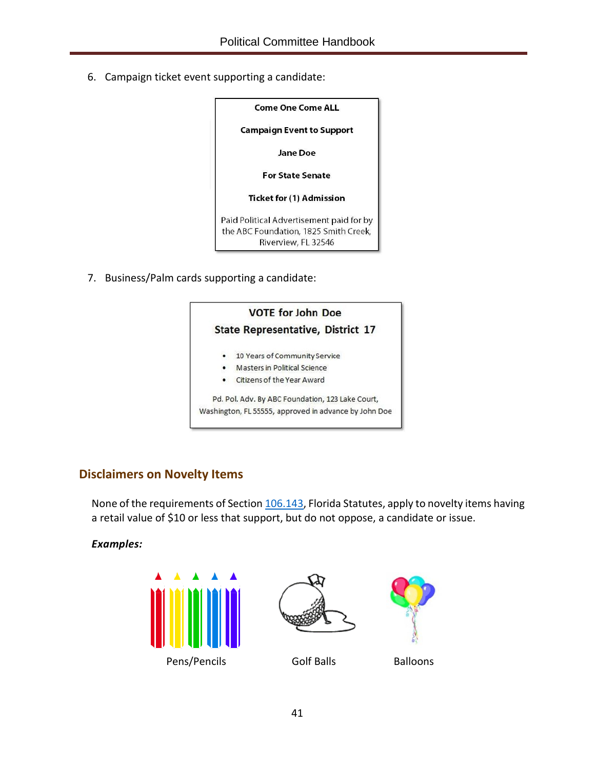6. Campaign ticket event supporting a candidate:

| <b>Come One Come ALL</b>                                                                                 |  |  |  |  |
|----------------------------------------------------------------------------------------------------------|--|--|--|--|
| <b>Campaign Event to Support</b>                                                                         |  |  |  |  |
| <b>Jane Doe</b>                                                                                          |  |  |  |  |
| <b>For State Senate</b>                                                                                  |  |  |  |  |
| <b>Ticket for (1) Admission</b>                                                                          |  |  |  |  |
| Paid Political Advertisement paid for by<br>the ABC Foundation, 1825 Smith Creek,<br>Riverview, FL 32546 |  |  |  |  |

7. Business/Palm cards supporting a candidate:



## <span id="page-44-0"></span>**Disclaimers on Novelty Items**

None of the requirements of Sectio[n 106.143,](http://www.leg.state.fl.us/Statutes/index.cfm?App_mode=Display_Statute&Search_String=&URL=0100-0199/0106/Sections/0106.143.html) Florida Statutes, apply to novelty items having a retail value of \$10 or less that support, but do not oppose, a candidate or issue.

#### *Examples:*





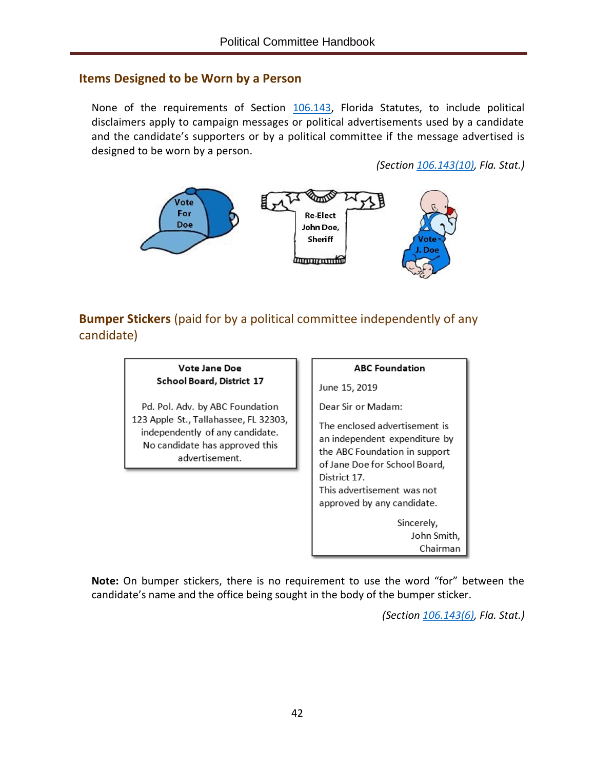#### <span id="page-45-0"></span>**Items Designed to be Worn by a Person**

None of the requirements of Section [106.143,](http://www.leg.state.fl.us/Statutes/index.cfm?App_mode=Display_Statute&Search_String=&URL=0100-0199/0106/Sections/0106.143.html) Florida Statutes, to include political disclaimers apply to campaign messages or political advertisements used by a candidate and the candidate's supporters or by a political committee if the message advertised is designed to be worn by a person.

*(Section [106.143\(10\),](http://www.leg.state.fl.us/Statutes/index.cfm?App_mode=Display_Statute&Search_String=&URL=0100-0199/0106/Sections/0106.143.html) Fla. Stat.)*



<span id="page-45-1"></span>**Bumper Stickers** (paid for by a political committee independently of any candidate)



**Note:** On bumper stickers, there is no requirement to use the word "for" between the candidate's name and the office being sought in the body of the bumper sticker.

*(Section [106.143\(6\),](http://www.leg.state.fl.us/Statutes/index.cfm?App_mode=Display_Statute&Search_String=&URL=0100-0199/0106/Sections/0106.143.html) Fla. Stat.)*

Chairman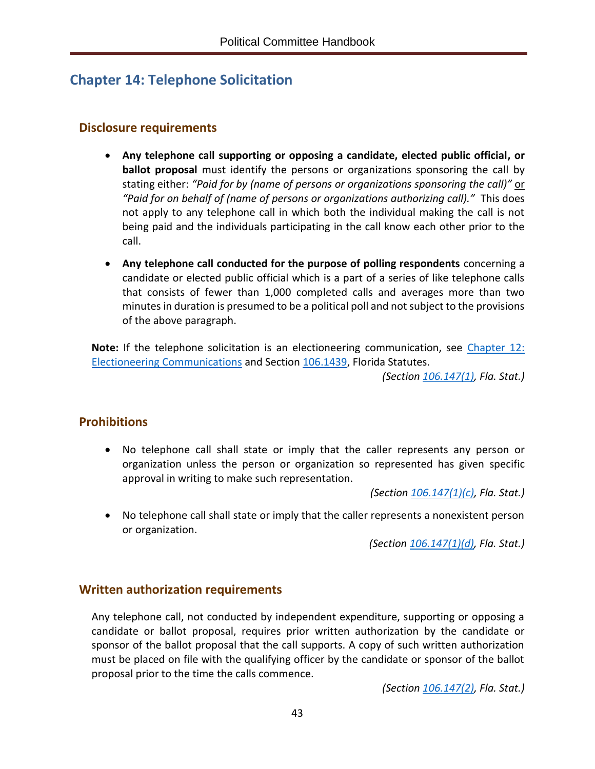# <span id="page-46-0"></span>**Chapter 14: Telephone Solicitation**

## <span id="page-46-1"></span>**Disclosure requirements**

- **Any telephone call supporting or opposing a candidate, elected public official, or ballot proposal** must identify the persons or organizations sponsoring the call by stating either: *"Paid for by (name of persons or organizations sponsoring the call)"* or *"Paid for on behalf of (name of persons or organizations authorizing call)."* This does not apply to any telephone call in which both the individual making the call is not being paid and the individuals participating in the call know each other prior to the call.
- **Any telephone call conducted for the purpose of polling respondents** concerning a candidate or elected public official which is a part of a series of like telephone calls that consists of fewer than 1,000 completed calls and averages more than two minutes in duration is presumed to be a political poll and not subject to the provisions of the above paragraph.

**Note:** If the telephone solicitation is an electioneering communication, see [Chapter 12:](#page-38-1)  [Electioneering Communications](#page-38-1) and Section [106.1439,](http://www.leg.state.fl.us/Statutes/index.cfm?App_mode=Display_Statute&Search_String=&URL=0100-0199/0106/Sections/0106.1439.html) Florida Statutes.

*(Section [106.147\(1\),](http://www.leg.state.fl.us/Statutes/index.cfm?App_mode=Display_Statute&Search_String=&URL=0100-0199/0106/Sections/0106.147.html) Fla. Stat.)*

## <span id="page-46-2"></span>**Prohibitions**

• No telephone call shall state or imply that the caller represents any person or organization unless the person or organization so represented has given specific approval in writing to make such representation.

*(Sectio[n 106.147\(1\)\(c\),](http://www.leg.state.fl.us/Statutes/index.cfm?App_mode=Display_Statute&Search_String=&URL=0100-0199/0106/Sections/0106.147.html) Fla. Stat.)*

• No telephone call shall state or imply that the caller represents a nonexistent person or organization.

*(Section [106.147\(1\)\(d\),](http://www.leg.state.fl.us/Statutes/index.cfm?App_mode=Display_Statute&Search_String=&URL=0100-0199/0106/Sections/0106.147.html) Fla. Stat.)*

## <span id="page-46-3"></span>**Written authorization requirements**

Any telephone call, not conducted by independent expenditure, supporting or opposing a candidate or ballot proposal, requires prior written authorization by the candidate or sponsor of the ballot proposal that the call supports. A copy of such written authorization must be placed on file with the qualifying officer by the candidate or sponsor of the ballot proposal prior to the time the calls commence.

*(Section [106.147\(2\),](http://www.leg.state.fl.us/Statutes/index.cfm?App_mode=Display_Statute&Search_String=&URL=0100-0199/0106/Sections/0106.147.html) Fla. Stat.)*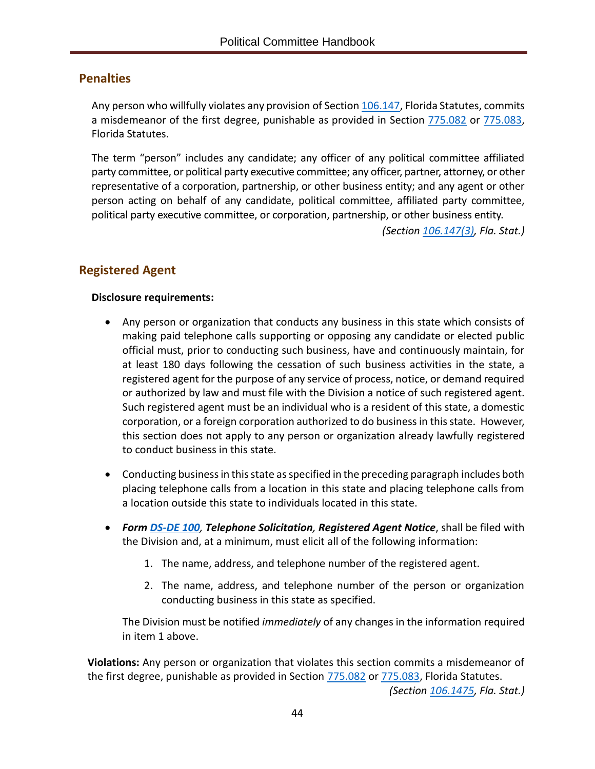#### <span id="page-47-0"></span>**Penalties**

Any person who willfully violates any provision of Section [106.147,](http://www.leg.state.fl.us/Statutes/index.cfm?App_mode=Display_Statute&Search_String=&URL=0100-0199/0106/Sections/0106.147.html) Florida Statutes, commits a misdemeanor of the first degree, punishable as provided in Section [775.082](http://www.leg.state.fl.us/statutes/index.cfm?App_mode=Display_Statute&Search_String=&URL=0700-0799/0775/Sections/0775.082.html) or [775.083,](http://www.leg.state.fl.us/statutes/index.cfm?App_mode=Display_Statute&Search_String=&URL=0700-0799/0775/Sections/0775.083.html) Florida Statutes.

The term "person" includes any candidate; any officer of any political committee affiliated party committee, or political party executive committee; any officer, partner, attorney, or other representative of a corporation, partnership, or other business entity; and any agent or other person acting on behalf of any candidate, political committee, affiliated party committee, political party executive committee, or corporation, partnership, or other business entity.

*(Section [106.147\(3\),](http://www.leg.state.fl.us/Statutes/index.cfm?App_mode=Display_Statute&Search_String=&URL=0100-0199/0106/Sections/0106.147.html) Fla. Stat.)*

#### <span id="page-47-1"></span>**Registered Agent**

#### **Disclosure requirements:**

- Any person or organization that conducts any business in this state which consists of making paid telephone calls supporting or opposing any candidate or elected public official must, prior to conducting such business, have and continuously maintain, for at least 180 days following the cessation of such business activities in the state, a registered agent for the purpose of any service of process, notice, or demand required or authorized by law and must file with the Division a notice of such registered agent. Such registered agent must be an individual who is a resident of this state, a domestic corporation, or a foreign corporation authorized to do business in this state. However, this section does not apply to any person or organization already lawfully registered to conduct business in this state.
- Conducting business in this state as specified in the preceding paragraph includes both placing telephone calls from a location in this state and placing telephone calls from a location outside this state to individuals located in this state.
- *Form [DS-DE 100](http://dos.myflorida.com/media/693289/dsde100.pdf), Telephone Solicitation, Registered Agent Notice*, shall be filed with the Division and, at a minimum, must elicit all of the following information:
	- 1. The name, address, and telephone number of the registered agent.
	- 2. The name, address, and telephone number of the person or organization conducting business in this state as specified.

The Division must be notified *immediately* of any changes in the information required in item 1 above.

**Violations:** Any person or organization that violates this section commits a misdemeanor of the first degree, punishable as provided in Section [775.082](http://www.leg.state.fl.us/statutes/index.cfm?App_mode=Display_Statute&Search_String=&URL=0700-0799/0775/Sections/0775.082.html) or [775.083,](http://www.leg.state.fl.us/statutes/index.cfm?App_mode=Display_Statute&Search_String=&URL=0700-0799/0775/Sections/0775.083.html) Florida Statutes.

*(Section [106.1475,](http://www.leg.state.fl.us/Statutes/index.cfm?App_mode=Display_Statute&Search_String=&URL=0100-0199/0106/Sections/0106.1475.html) Fla. Stat.)*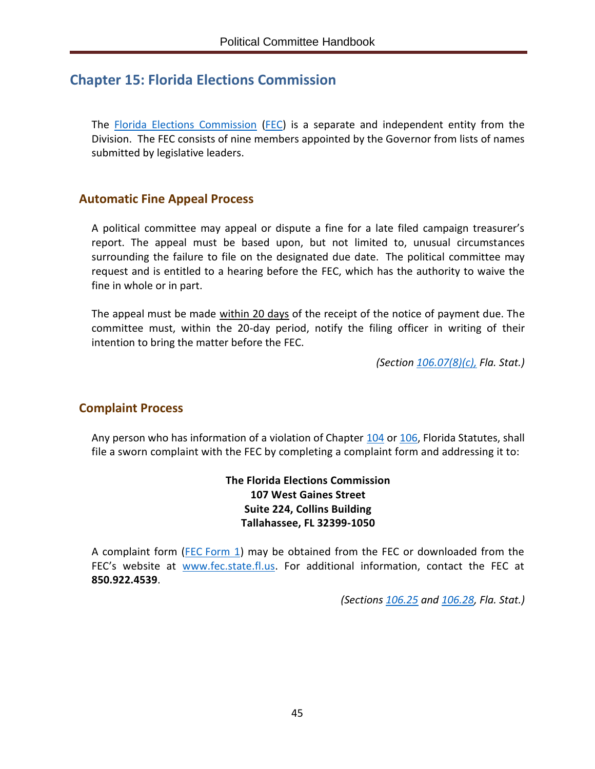# <span id="page-48-0"></span>**Chapter 15: Florida Elections Commission**

The [Florida Elections Commission](http://www.fec.state.fl.us/FECWebFi.nsf/pages/About) [\(FEC\)](http://www.fec.state.fl.us/) is a separate and independent entity from the Division. The FEC consists of nine members appointed by the Governor from lists of names submitted by legislative leaders.

## <span id="page-48-1"></span>**Automatic Fine Appeal Process**

A political committee may appeal or dispute a fine for a late filed campaign treasurer's report. The appeal must be based upon, but not limited to, unusual circumstances surrounding the failure to file on the designated due date. The political committee may request and is entitled to a hearing before the FEC, which has the authority to waive the fine in whole or in part.

The appeal must be made within 20 days of the receipt of the notice of payment due. The committee must, within the 20-day period, notify the filing officer in writing of their intention to bring the matter before the FEC.

*(Sectio[n 106.07\(8\)\(c\),](http://www.leg.state.fl.us/Statutes/index.cfm?App_mode=Display_Statute&Search_String=&URL=0100-0199/0106/Sections/0106.07.html) Fla. Stat.)*

## <span id="page-48-2"></span>**Complaint Process**

Any person who has information of a violation of Chapter [104](http://www.leg.state.fl.us/statutes/index.cfm?App_mode=Display_Statute&URL=0100-0199/0104/0104ContentsIndex.html) or [106,](http://www.leg.state.fl.us/statutes/index.cfm?App_mode=Display_Statute&URL=0100-0199/0106/0106ContentsIndex.html) Florida Statutes, shall file a sworn complaint with the FEC by completing a complaint form and addressing it to:

> **The Florida Elections Commission 107 West Gaines Street Suite 224, Collins Building Tallahassee, FL 32399-1050**

A complaint form (FEC [Form 1\)](http://www.fec.state.fl.us/FECWebFi.nsf/0/107B3CBA00C3FF1585257C94004B8528/$file/FEC+Complaint+Form+1-Fillable_August+2017.pdf) may be obtained from the FEC or downloaded from the FEC's website at [www.fec.state.fl.us.](http://www.fec.state.fl.us/) For additional information, contact the FEC at **850.922.4539**.

*(Sections [106.25](http://www.leg.state.fl.us/Statutes/index.cfm?App_mode=Display_Statute&Search_String=&URL=0100-0199/0106/Sections/0106.25.html) and [106.28,](http://www.leg.state.fl.us/Statutes/index.cfm?App_mode=Display_Statute&Search_String=&URL=0100-0199/0106/Sections/0106.28.html) Fla. Stat.)*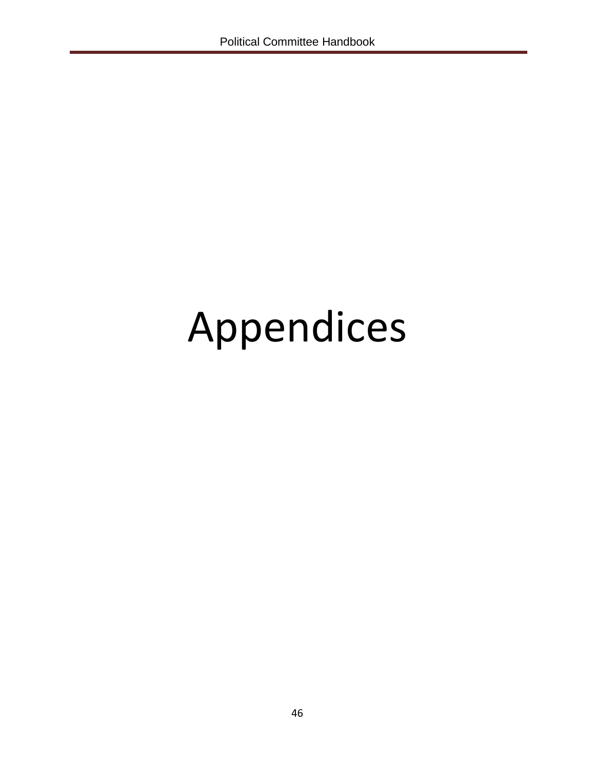# Appendices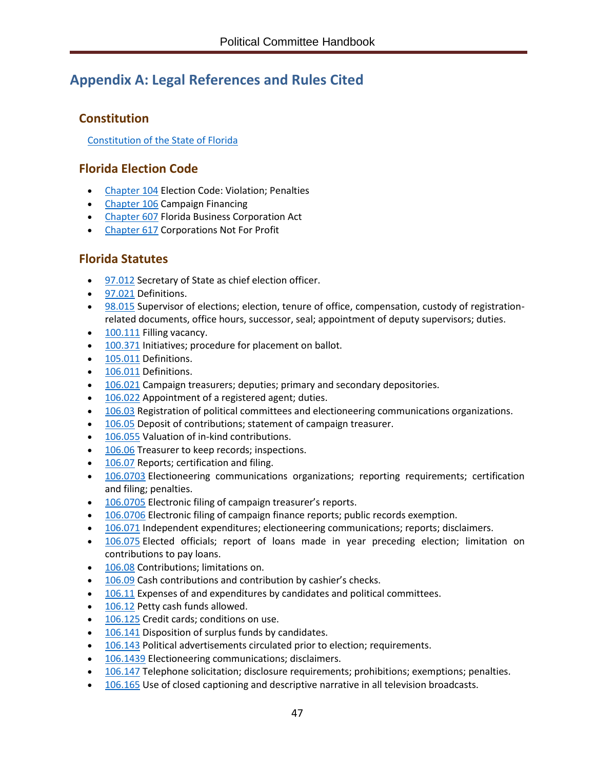# <span id="page-50-0"></span>**Appendix A: Legal References and Rules Cited**

## <span id="page-50-1"></span>**Constitution**

[Constitution of the State of Florida](http://www.leg.state.fl.us/Statutes/index.cfm?Mode=Constitution&Submenu=3&Tab=statutes&CFID=167991000&CFTOKEN=e6f7dd8a6c4814b6-3DEF1D3E-9C67-3689-D4B53F43E5288957)

## <span id="page-50-2"></span>**Florida Election Code**

- [Chapter 104](http://www.leg.state.fl.us/Statutes/index.cfm?App_mode=Display_Statute&URL=0100-0199/0104/0104ContentsIndex.html&StatuteYear=2019&Title=%2D%3E2019%2D%3EChapter%20104) Election Code: Violation; Penalties
- [Chapter 106](http://www.leg.state.fl.us/statutes/index.cfm?App_mode=Display_Statute&URL=0100-0199/0106/0106ContentsIndex.html&StatuteYear=2019&Title=%2D%3E2019%2D%3EChapter%20106) Campaign Financing
- [Chapter 607](http://www.leg.state.fl.us/statutes/index.cfm?App_mode=Display_Statute&URL=0600-0699/0607/0607ContentsIndex.html&StatuteYear=2019&Title=%2D%3E2019%2D%3EChapter%20607) Florida Business Corporation Act
- [Chapter 617](http://www.leg.state.fl.us/statutes/index.cfm?App_mode=Display_Statute&URL=0600-0699/0617/0617ContentsIndex.html&StatuteYear=2019&Title=%2D%3E2019%2D%3EChapter%20617) Corporations Not For Profit

## <span id="page-50-3"></span>**Florida Statutes**

- [97.012](http://www.leg.state.fl.us/statutes/index.cfm?mode=View%20Statutes&SubMenu=1&App_mode=Display_Statute&Search_String=97.012&URL=0000-0099/0097/Sections/0097.012.html) Secretary of State as chief election officer.
- [97.021](http://www.leg.state.fl.us/statutes/index.cfm?mode=View%20Statutes&SubMenu=1&App_mode=Display_Statute&Search_String=97.021&URL=0000-0099/0097/Sections/0097.021.html) Definitions.
- [98.015](http://www.leg.state.fl.us/statutes/index.cfm?mode=View%20Statutes&SubMenu=1&App_mode=Display_Statute&Search_String=98.015&URL=0000-0099/0098/Sections/0098.015.html) Supervisor of elections; election, tenure of office, compensation, custody of registrationrelated documents, office hours, successor, seal; appointment of deputy supervisors; duties.
- [100.111](http://www.leg.state.fl.us/statutes/index.cfm?mode=View%20Statutes&SubMenu=1&App_mode=Display_Statute&Search_String=100.111&URL=0100-0199/0100/Sections/0100.111.html) Filling vacancy.
- [100.371](http://www.leg.state.fl.us/statutes/index.cfm?mode=View%20Statutes&SubMenu=1&App_mode=Display_Statute&Search_String=100.371&URL=0100-0199/0100/Sections/0100.371.html) Initiatives; procedure for placement on ballot.
- [105.011](http://www.leg.state.fl.us/statutes/index.cfm?mode=View%20Statutes&SubMenu=1&App_mode=Display_Statute&Search_String=105.011&URL=0100-0199/0105/Sections/0105.011.html) Definitions.
- [106.011](http://www.leg.state.fl.us/statutes/index.cfm?mode=View%20Statutes&SubMenu=1&App_mode=Display_Statute&Search_String=106.011&URL=0100-0199/0106/Sections/0106.011.html) Definitions.
- [106.021](http://www.leg.state.fl.us/statutes/index.cfm?mode=View%20Statutes&SubMenu=1&App_mode=Display_Statute&Search_String=106.021&URL=0100-0199/0106/Sections/0106.021.html) Campaign treasurers; deputies; primary and secondary depositories.
- [106.022](http://www.leg.state.fl.us/statutes/index.cfm?mode=View%20Statutes&SubMenu=1&App_mode=Display_Statute&Search_String=106.022&URL=0100-0199/0106/Sections/0106.022.html) Appointment of a registered agent; duties.
- [106.03](http://www.leg.state.fl.us/statutes/index.cfm?mode=View%20Statutes&SubMenu=1&App_mode=Display_Statute&Search_String=106.03&URL=0100-0199/0106/Sections/0106.03.html) Registration of political committees and electioneering communications organizations.
- [106.05](http://www.leg.state.fl.us/statutes/index.cfm?mode=View%20Statutes&SubMenu=1&App_mode=Display_Statute&Search_String=106.05&URL=0100-0199/0106/Sections/0106.05.html) Deposit of contributions; statement of campaign treasurer.
- [106.055](http://www.leg.state.fl.us/statutes/index.cfm?mode=View%20Statutes&SubMenu=1&App_mode=Display_Statute&Search_String=106.055&URL=0100-0199/0106/Sections/0106.055.html) Valuation of in-kind contributions.
- [106.06](http://www.leg.state.fl.us/statutes/index.cfm?App_mode=Display_Statute&Search_String=&URL=0100-0199/0106/Sections/0106.06.html) Treasurer to keep records; inspections.
- [106.07](http://www.leg.state.fl.us/statutes/index.cfm?mode=View%20Statutes&SubMenu=1&App_mode=Display_Statute&Search_String=106.07&URL=0100-0199/0106/Sections/0106.07.html) Reports; certification and filing.
- [106.0703](http://www.leg.state.fl.us/statutes/index.cfm?mode=View%20Statutes&SubMenu=1&App_mode=Display_Statute&Search_String=106.0703&URL=0100-0199/0106/Sections/0106.0703.html) Electioneering communications organizations; reporting requirements; certification and filing; penalties.
- [106.0705](http://www.leg.state.fl.us/statutes/index.cfm?mode=View%20Statutes&SubMenu=1&App_mode=Display_Statute&Search_String=106.0705&URL=0100-0199/0106/Sections/0106.0705.html) Electronic filing of campaign treasurer's reports.
- [106.0706](http://www.leg.state.fl.us/statutes/index.cfm?mode=View%20Statutes&SubMenu=1&App_mode=Display_Statute&Search_String=106.0706&URL=0100-0199/0106/Sections/0106.0706.html) Electronic filing of campaign finance reports; public records exemption.
- [106.071](http://www.leg.state.fl.us/statutes/index.cfm?mode=View%20Statutes&SubMenu=1&App_mode=Display_Statute&Search_String=106.071&URL=0100-0199/0106/Sections/0106.071.html) Independent expenditures; electioneering communications; reports; disclaimers.
- [106.075](http://www.leg.state.fl.us/statutes/index.cfm?mode=View%20Statutes&SubMenu=1&App_mode=Display_Statute&Search_String=106.075&URL=0100-0199/0106/Sections/0106.075.html) Elected officials; report of loans made in year preceding election; limitation on contributions to pay loans.
- [106.08](http://www.leg.state.fl.us/statutes/index.cfm?App_mode=Display_Statute&Search_String=&URL=0100-0199/0106/Sections/0106.08.html) Contributions; limitations on.
- [106.09](http://www.leg.state.fl.us/statutes/index.cfm?App_mode=Display_Statute&Search_String=&URL=0100-0199/0106/Sections/0106.09.html) Cash contributions and contribution by cashier's checks.
- [106.11](http://www.leg.state.fl.us/statutes/index.cfm?mode=View%20Statutes&SubMenu=1&App_mode=Display_Statute&Search_String=106.11&URL=0100-0199/0106/Sections/0106.11.html) Expenses of and expenditures by candidates and political committees.
- [106.12](http://www.leg.state.fl.us/statutes/index.cfm?App_mode=Display_Statute&Search_String=&URL=0100-0199/0106/Sections/0106.12.html) Petty cash funds allowed.
- [106.125](http://www.leg.state.fl.us/statutes/index.cfm?mode=View%20Statutes&SubMenu=1&App_mode=Display_Statute&Search_String=106.125&URL=0100-0199/0106/Sections/0106.125.html) Credit cards; conditions on use.
- [106.141](http://www.leg.state.fl.us/statutes/index.cfm?mode=View%20Statutes&SubMenu=1&App_mode=Display_Statute&Search_String=106.141&URL=0100-0199/0106/Sections/0106.141.html) Disposition of surplus funds by candidates.
- [106.143](http://www.leg.state.fl.us/statutes/index.cfm?mode=View%20Statutes&SubMenu=1&App_mode=Display_Statute&Search_String=106.143&URL=0100-0199/0106/Sections/0106.143.html) Political advertisements circulated prior to election; requirements.
- [106.1439](http://www.leg.state.fl.us/statutes/index.cfm?mode=View%20Statutes&SubMenu=1&App_mode=Display_Statute&Search_String=106.1439&URL=0100-0199/0106/Sections/0106.1439.html) Electioneering communications; disclaimers.
- [106.147](http://www.leg.state.fl.us/statutes/index.cfm?mode=View%20Statutes&SubMenu=1&App_mode=Display_Statute&Search_String=106.147&URL=0100-0199/0106/Sections/0106.147.html) Telephone solicitation; disclosure requirements; prohibitions; exemptions; penalties.
- [106.165](http://www.leg.state.fl.us/statutes/index.cfm?App_mode=Display_Statute&Search_String=&URL=0100-0199/0106/Sections/0106.165.html) Use of closed captioning and descriptive narrative in all television broadcasts.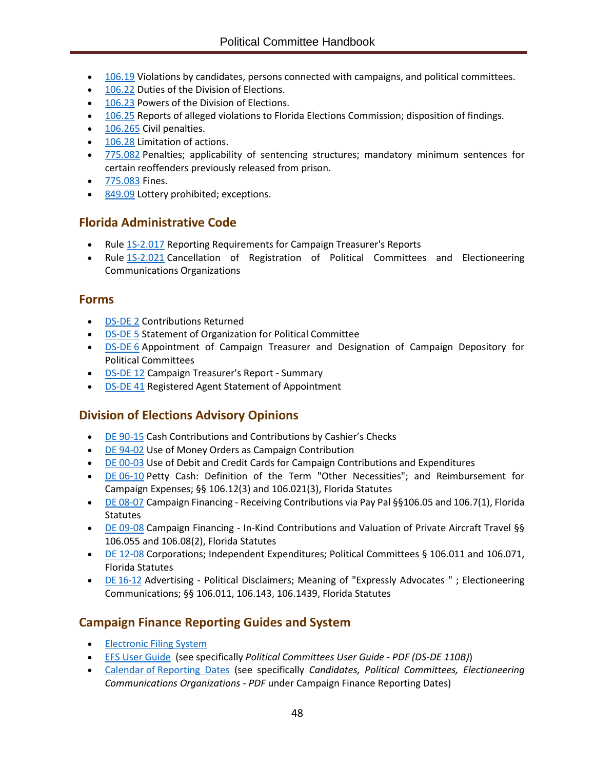- [106.19](http://www.leg.state.fl.us/statutes/index.cfm?App_mode=Display_Statute&Search_String=&URL=0100-0199/0106/Sections/0106.19.html) Violations by candidates, persons connected with campaigns, and political committees.
- [106.22](http://www.leg.state.fl.us/statutes/index.cfm?mode=View%20Statutes&SubMenu=1&App_mode=Display_Statute&Search_String=106.22&URL=0100-0199/0106/Sections/0106.22.html) Duties of the Division of Elections.
- [106.23](http://www.leg.state.fl.us/statutes/index.cfm?mode=View%20Statutes&SubMenu=1&App_mode=Display_Statute&Search_String=106.23&URL=0100-0199/0106/Sections/0106.23.html) Powers of the Division of Elections.
- [106.25](http://www.leg.state.fl.us/statutes/index.cfm?mode=View%20Statutes&SubMenu=1&App_mode=Display_Statute&Search_String=106.25&URL=0100-0199/0106/Sections/0106.25.html) Reports of alleged violations to Florida Elections Commission; disposition of findings.
- [106.265](http://www.leg.state.fl.us/statutes/index.cfm?mode=View%20Statutes&SubMenu=1&App_mode=Display_Statute&Search_String=106.265&URL=0100-0199/0106/Sections/0106.265.html) Civil penalties.
- [106.28](http://www.leg.state.fl.us/statutes/index.cfm?mode=View%20Statutes&SubMenu=1&App_mode=Display_Statute&Search_String=106.28&URL=0100-0199/0106/Sections/0106.28.html) Limitation of actions.
- [775.082](http://www.leg.state.fl.us/Statutes/index.cfm?App_mode=Display_Statute&Search_String=&URL=0700-0799/0775/Sections/0775.082.html) Penalties; applicability of sentencing structures; mandatory minimum sentences for certain reoffenders previously released from prison.
- [775.083](http://www.leg.state.fl.us/Statutes/index.cfm?App_mode=Display_Statute&Search_String=&URL=0700-0799/0775/Sections/0775.083.html) Fines.
- [849.09](http://www.leg.state.fl.us/Statutes/index.cfm?App_mode=Display_Statute&Search_String=&URL=0800-0899/0849/Sections/0849.09.html) Lottery prohibited; exceptions.

## <span id="page-51-0"></span>**Florida Administrative Code**

- Rule 15-2.017 Reporting Requirements for Campaign Treasurer's Reports
- Rule [1S-2.021](https://www.flrules.org/gateway/RuleNo.asp?title=ELECTIONS&ID=1S-2.021) Cancellation of Registration of Political Committees and Electioneering Communications Organizations

#### <span id="page-51-1"></span>**Forms**

- [DS-DE 2](https://dos.myflorida.com/media/693237/dsde2.pdf) Contributions Returned
- [DS-DE 5](https://dos.myflorida.com/media/693630/dsde5.pdf) Statement of Organization for Political Committee
- **[DS-DE](https://dos.myflorida.com/media/693239/dsde06.pdf) 6** Appointment of Campaign Treasurer and Designation of Campaign Depository for Political Committees
- [DS-DE 12](https://dos.myflorida.com/media/693241/dsde12.pdf) Campaign Treasurer's Report Summary
- [DS-DE 41](https://dos.myflorida.com/media/693270/dsde41.pdf) Registered Agent Statement of Appointment

## <span id="page-51-2"></span>**Division of Elections Advisory Opinions**

- [DE 90-15](http://opinions.dos.state.fl.us/searchable/pdf/1990/de9015.pdf) Cash Contributions and Contributions by Cashier's Checks
- [DE 94-02](http://opinions.dos.state.fl.us/searchable/pdf/1994/de9402.pdf) Use of Money Orders as Campaign Contribution
- [DE 00-03](http://opinions.dos.state.fl.us/searchable/pdf/2000/de0003.pdf) Use of Debit and Credit Cards for Campaign Contributions and Expenditures
- DE [06-10](http://opinions.dos.state.fl.us/searchable/pdf/2006/de0610.pdf) Petty Cash: Definition of the Term "Other Necessities"; and Reimbursement for Campaign Expenses; §§ 106.12(3) and 106.021(3), Florida Statutes
- [DE 08-07](http://opinions.dos.state.fl.us/searchable/pdf/2008/de0807.pdf) Campaign Financing Receiving Contributions via Pay Pal §§106.05 and 106.7(1), Florida **Statutes**
- DE [09-08](http://opinions.dos.state.fl.us/searchable/pdf/2009/de0908.pdf) Campaign Financing In-Kind Contributions and Valuation of Private Aircraft Travel §§ 106.055 and 106.08(2), Florida Statutes
- DE [12-08](http://opinions.dos.state.fl.us/searchable/pdf/2012/de1208.pdf) Corporations; Independent Expenditures; Political Committees § 106.011 and 106.071, Florida Statutes
- DE [16-12](https://dos.myflorida.com/media/697113/de1612.pdf) Advertising Political Disclaimers; Meaning of "Expressly Advocates " ; Electioneering Communications; §§ 106.011, 106.143, 106.1439, Florida Statutes

## <span id="page-51-3"></span>**Campaign Finance Reporting Guides and System**

- **[Electronic Filing System](https://efs.dos.state.fl.us/)**
- [EFS User Guide](https://dos.myflorida.com/elections/candidates-committees/campaign-finance/filing-campaign-reports/) (see specifically *Political Committees User Guide - PDF (DS-DE 110B)*)
- Calendar of [Reporting Dates](https://dos.myflorida.com/elections/candidates-committees/campaign-finance/filing-campaign-reports/) (see specifically *Candidates, Political Committees, Electioneering Communications Organizations - PDF* under Campaign Finance Reporting Dates)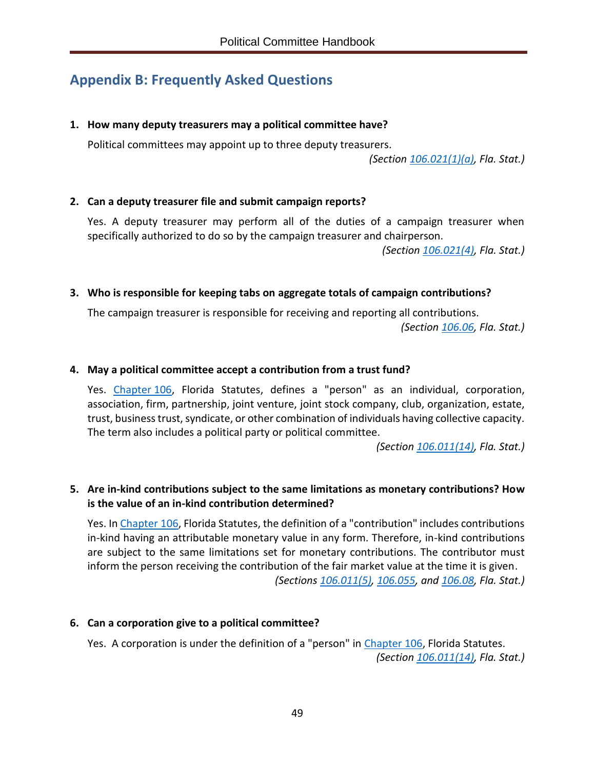# <span id="page-52-0"></span>**Appendix B: Frequently Asked Questions**

#### **1. How many deputy treasurers may a political committee have?**

Political committees may appoint up to three deputy treasurers.

*(Section [106.021\(1\)\(a\),](http://www.leg.state.fl.us/Statutes/index.cfm?App_mode=Display_Statute&Search_String=&URL=0100-0199/0106/Sections/0106.021.html) Fla. Stat.)*

#### **2. Can a deputy treasurer file and submit campaign reports?**

Yes. A deputy treasurer may perform all of the duties of a campaign treasurer when specifically authorized to do so by the campaign treasurer and chairperson.

*(Section [106.021\(4\),](http://www.leg.state.fl.us/Statutes/index.cfm?App_mode=Display_Statute&Search_String=&URL=0100-0199/0106/Sections/0106.021.html) Fla. Stat.)*

#### **3. Who is responsible for keeping tabs on aggregate totals of campaign contributions?**

The campaign treasurer is responsible for receiving and reporting all contributions. *(Section [106.06,](http://www.leg.state.fl.us/Statutes/index.cfm?App_mode=Display_Statute&Search_String=&URL=0100-0199/0106/Sections/0106.06.html) Fla. Stat.)*

#### **4. May a political committee accept a contribution from a trust fund?**

Yes. [Chapter](http://www.leg.state.fl.us/statutes/index.cfm?App_mode=Display_Statute&URL=0100-0199/0106/0106ContentsIndex.html&StatuteYear=2019&Title=%2D%3E2019%2D%3EChapter%20106) 106, Florida Statutes, defines a "person" as an individual, corporation, association, firm, partnership, joint venture, joint stock company, club, organization, estate, trust, business trust, syndicate, or other combination of individuals having collective capacity. The term also includes a political party or political committee.

*(Section [106.011\(14\),](http://www.leg.state.fl.us/Statutes/index.cfm?App_mode=Display_Statute&Search_String=&URL=0100-0199/0106/Sections/0106.011.html) Fla. Stat.)*

#### **5. Are in-kind contributions subject to the same limitations as monetary contributions? How is the value of an in-kind contribution determined?**

Yes. I[n Chapter](http://www.leg.state.fl.us/statutes/index.cfm?App_mode=Display_Statute&URL=0100-0199/0106/0106ContentsIndex.html&StatuteYear=2019&Title=%2D%3E2019%2D%3EChapter%20106) 106, Florida Statutes, the definition of a "contribution" includes contributions in-kind having an attributable monetary value in any form. Therefore, in-kind contributions are subject to the same limitations set for monetary contributions. The contributor must inform the person receiving the contribution of the fair market value at the time it is given. *(Sections [106.011\(5\),](http://www.leg.state.fl.us/Statutes/index.cfm?App_mode=Display_Statute&Search_String=&URL=0100-0199/0106/Sections/0106.011.html) [106.055,](http://www.leg.state.fl.us/Statutes/index.cfm?App_mode=Display_Statute&Search_String=&URL=0100-0199/0106/Sections/0106.055.html) and [106.08,](http://www.leg.state.fl.us/Statutes/index.cfm?App_mode=Display_Statute&Search_String=&URL=0100-0199/0106/Sections/0106.08.html) Fla. Stat.)*

#### **6. Can a corporation give to a political committee?**

Yes. A corporation is under the definition of a "person" in [Chapter](http://www.leg.state.fl.us/statutes/index.cfm?App_mode=Display_Statute&URL=0100-0199/0106/0106ContentsIndex.html&StatuteYear=2019&Title=%2D%3E2019%2D%3EChapter%20106) 106, Florida Statutes. *(Section [106.011\(14\),](http://www.leg.state.fl.us/Statutes/index.cfm?App_mode=Display_Statute&Search_String=&URL=0100-0199/0106/Sections/0106.011.html) Fla. Stat.)*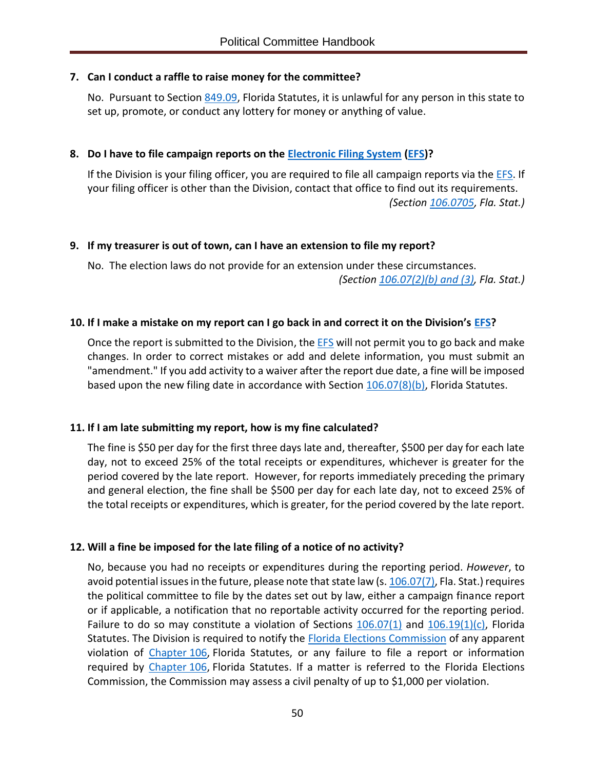#### **7. Can I conduct a raffle to raise money for the committee?**

No. Pursuant to Section [849.09,](http://www.leg.state.fl.us/statutes/index.cfm?mode=View%20Statutes&SubMenu=1&App_mode=Display_Statute&Search_String=849.09&URL=0800-0899/0849/Sections/0849.09.html) Florida Statutes, it is unlawful for any person in this state to set up, promote, or conduct any lottery for money or anything of value.

#### **8. Do I have to file campaign reports on the [Electronic Filing System](https://efs.dos.state.fl.us/Default.aspx) [\(EFS\)](https://efs.dos.state.fl.us/Default.aspx)?**

If the Division is your filing officer, you are required to file all campaign reports via th[e EFS.](https://efs.dos.state.fl.us/Default.aspx) If your filing officer is other than the Division, contact that office to find out its requirements. *(Section [106.0705,](http://www.leg.state.fl.us/Statutes/index.cfm?App_mode=Display_Statute&Search_String=&URL=0100-0199/0106/Sections/0106.0705.html) Fla. Stat.)*

#### **9. If my treasurer is out of town, can I have an extension to file my report?**

No. The election laws do not provide for an extension under these circumstances. *(Section [106.07\(2\)\(b\) and \(3\),](http://www.leg.state.fl.us/Statutes/index.cfm?App_mode=Display_Statute&Search_String=&URL=0100-0199/0106/Sections/0106.07.html) Fla. Stat.)*

#### **10. If I make a mistake on my report can I go back in and correct it on the Division's [EFS?](https://efs.dos.state.fl.us/Default.aspx)**

Once the report is submitted to the Division, th[e EFS](https://efs.dos.state.fl.us/Default.aspx) will not permit you to go back and make changes. In order to correct mistakes or add and delete information, you must submit an "amendment." If you add activity to a waiver after the report due date, a fine will be imposed based upon the new filing date in accordance with Section  $106.07(8)(b)$ , Florida Statutes.

#### **11. If I am late submitting my report, how is my fine calculated?**

The fine is \$50 per day for the first three days late and, thereafter, \$500 per day for each late day, not to exceed 25% of the total receipts or expenditures, whichever is greater for the period covered by the late report. However, for reports immediately preceding the primary and general election, the fine shall be \$500 per day for each late day, not to exceed 25% of the total receipts or expenditures, which is greater, for the period covered by the late report.

#### **12. Will a fine be imposed for the late filing of a notice of no activity?**

No, because you had no receipts or expenditures during the reporting period. *However*, to avoid potential issues in the future, please note that state law (s. [106.07\(7\),](http://www.leg.state.fl.us/Statutes/index.cfm?App_mode=Display_Statute&Search_String=&URL=0100-0199/0106/Sections/0106.07.html) Fla. Stat.) requires the political committee to file by the dates set out by law, either a campaign finance report or if applicable, a notification that no reportable activity occurred for the reporting period. Failure to do so may constitute a violation of Sections  $106.07(1)$  and  $106.19(1)(c)$ , Florida Statutes. The Division is required to notify the **Florida Elections Commission of any apparent** violation of [Chapter](http://www.leg.state.fl.us/statutes/index.cfm?App_mode=Display_Statute&URL=0100-0199/0106/0106ContentsIndex.html&StatuteYear=2019&Title=%2D%3E2019%2D%3EChapter%20106) 106, Florida Statutes, or any failure to file a report or information required by [Chapter](http://www.leg.state.fl.us/statutes/index.cfm?App_mode=Display_Statute&URL=0100-0199/0106/0106ContentsIndex.html&StatuteYear=2019&Title=%2D%3E2019%2D%3EChapter%20106) 106, Florida Statutes. If a matter is referred to the Florida Elections Commission, the Commission may assess a civil penalty of up to \$1,000 per violation.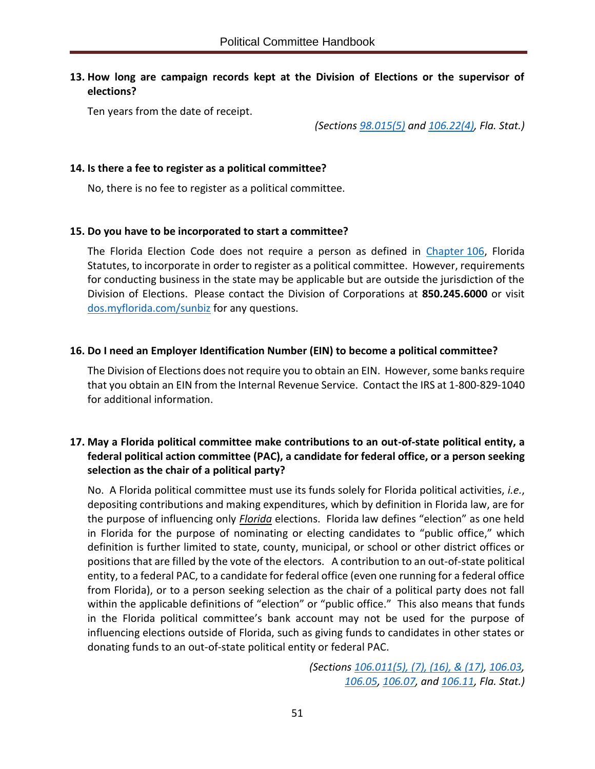#### **13. How long are campaign records kept at the Division of Elections or the supervisor of elections?**

Ten years from the date of receipt.

*(Sections [98.015\(5\)](http://www.leg.state.fl.us/statutes/index.cfm?mode=View%20Statutes&SubMenu=1&App_mode=Display_Statute&Search_String=98.015&URL=0000-0099/0098/Sections/0098.015.html) and [106.22\(4\),](http://www.leg.state.fl.us/Statutes/index.cfm?App_mode=Display_Statute&Search_String=&URL=0100-0199/0106/Sections/0106.22.html) Fla. Stat.)*

#### **14. Is there a fee to register as a political committee?**

No, there is no fee to register as a political committee.

#### **15. Do you have to be incorporated to start a committee?**

The Florida Election Code does not require a person as defined in [Chapter](http://www.leg.state.fl.us/statutes/index.cfm?App_mode=Display_Statute&URL=0100-0199/0106/0106ContentsIndex.html&StatuteYear=2019&Title=%2D%3E2019%2D%3EChapter%20106) 106, Florida Statutes, to incorporate in order to register as a political committee. However, requirements for conducting business in the state may be applicable but are outside the jurisdiction of the Division of Elections. Please contact the Division of Corporations at **850.245.6000** or visit [dos.myflorida.com/sunbiz](https://dos.myflorida.com/sunbiz/) for any questions.

#### **16. Do I need an Employer Identification Number (EIN) to become a political committee?**

The Division of Elections does not require you to obtain an EIN. However, some banks require that you obtain an EIN from the Internal Revenue Service. Contact the IRS at 1-800-829-1040 for additional information.

#### **17. May a Florida political committee make contributions to an out-of-state political entity, a federal political action committee (PAC), a candidate for federal office, or a person seeking selection as the chair of a political party?**

No. A Florida political committee must use its funds solely for Florida political activities, *i.e.*, depositing contributions and making expenditures, which by definition in Florida law, are for the purpose of influencing only *Florida* elections. Florida law defines "election" as one held in Florida for the purpose of nominating or electing candidates to "public office," which definition is further limited to state, county, municipal, or school or other district offices or positions that are filled by the vote of the electors. A contribution to an out-of-state political entity, to a federal PAC, to a candidate for federal office (even one running for a federal office from Florida), or to a person seeking selection as the chair of a political party does not fall within the applicable definitions of "election" or "public office." This also means that funds in the Florida political committee's bank account may not be used for the purpose of influencing elections outside of Florida, such as giving funds to candidates in other states or donating funds to an out-of-state political entity or federal PAC.

> *(Sections [106.011\(5\), \(7\), \(16\), & \(17\),](http://www.leg.state.fl.us/Statutes/index.cfm?App_mode=Display_Statute&Search_String=&URL=0100-0199/0106/Sections/0106.011.html) [106.03,](http://www.leg.state.fl.us/Statutes/index.cfm?App_mode=Display_Statute&Search_String=&URL=0100-0199/0106/Sections/0106.03.html) [106.05,](http://www.leg.state.fl.us/Statutes/index.cfm?App_mode=Display_Statute&Search_String=&URL=0100-0199/0106/Sections/0106.05.html) [106.07,](http://www.leg.state.fl.us/Statutes/index.cfm?App_mode=Display_Statute&Search_String=&URL=0100-0199/0106/Sections/0106.07.html) and [106.11,](http://www.leg.state.fl.us/Statutes/index.cfm?App_mode=Display_Statute&Search_String=&URL=0100-0199/0106/Sections/0106.11.html) Fla. Stat.)*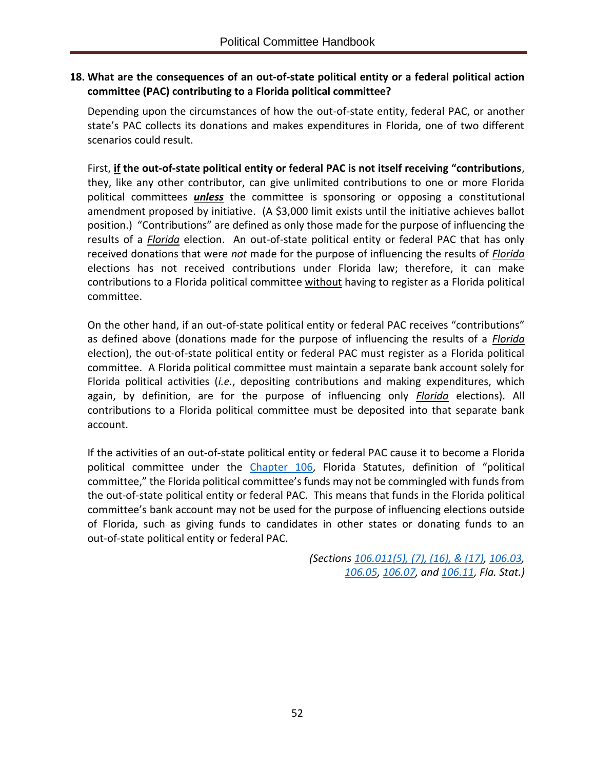#### **18. What are the consequences of an out-of-state political entity or a federal political action committee (PAC) contributing to a Florida political committee?**

Depending upon the circumstances of how the out-of-state entity, federal PAC, or another state's PAC collects its donations and makes expenditures in Florida, one of two different scenarios could result.

First, **if the out-of-state political entity or federal PAC is not itself receiving "contributions**, they, like any other contributor, can give unlimited contributions to one or more Florida political committees *unless* the committee is sponsoring or opposing a constitutional amendment proposed by initiative. (A \$3,000 limit exists until the initiative achieves ballot position.) "Contributions" are defined as only those made for the purpose of influencing the results of a *Florida* election. An out-of-state political entity or federal PAC that has only received donations that were *not* made for the purpose of influencing the results of *Florida* elections has not received contributions under Florida law; therefore, it can make contributions to a Florida political committee without having to register as a Florida political committee.

On the other hand, if an out-of-state political entity or federal PAC receives "contributions" as defined above (donations made for the purpose of influencing the results of a *Florida* election), the out-of-state political entity or federal PAC must register as a Florida political committee. A Florida political committee must maintain a separate bank account solely for Florida political activities (*i.e.*, depositing contributions and making expenditures, which again, by definition, are for the purpose of influencing only *Florida* elections). All contributions to a Florida political committee must be deposited into that separate bank account.

If the activities of an out-of-state political entity or federal PAC cause it to become a Florida political committee under the [Chapter](http://www.leg.state.fl.us/statutes/index.cfm?App_mode=Display_Statute&URL=0100-0199/0106/0106ContentsIndex.html&StatuteYear=2019&Title=%2D%3E2019%2D%3EChapter%20106) 106, Florida Statutes, definition of "political committee," the Florida political committee's funds may not be commingled with funds from the out-of-state political entity or federal PAC. This means that funds in the Florida political committee's bank account may not be used for the purpose of influencing elections outside of Florida, such as giving funds to candidates in other states or donating funds to an out-of-state political entity or federal PAC.

> *(Sections [106.011\(5\), \(7\), \(16\), & \(17\),](http://www.leg.state.fl.us/Statutes/index.cfm?App_mode=Display_Statute&Search_String=&URL=0100-0199/0106/Sections/0106.011.html) [106.03,](http://www.leg.state.fl.us/Statutes/index.cfm?App_mode=Display_Statute&Search_String=&URL=0100-0199/0106/Sections/0106.03.html) [106.05,](http://www.leg.state.fl.us/Statutes/index.cfm?App_mode=Display_Statute&Search_String=&URL=0100-0199/0106/Sections/0106.05.html) [106.07,](http://www.leg.state.fl.us/Statutes/index.cfm?App_mode=Display_Statute&Search_String=&URL=0100-0199/0106/Sections/0106.07.html) and [106.11,](http://www.leg.state.fl.us/Statutes/index.cfm?App_mode=Display_Statute&Search_String=&URL=0100-0199/0106/Sections/0106.11.html) Fla. Stat.)*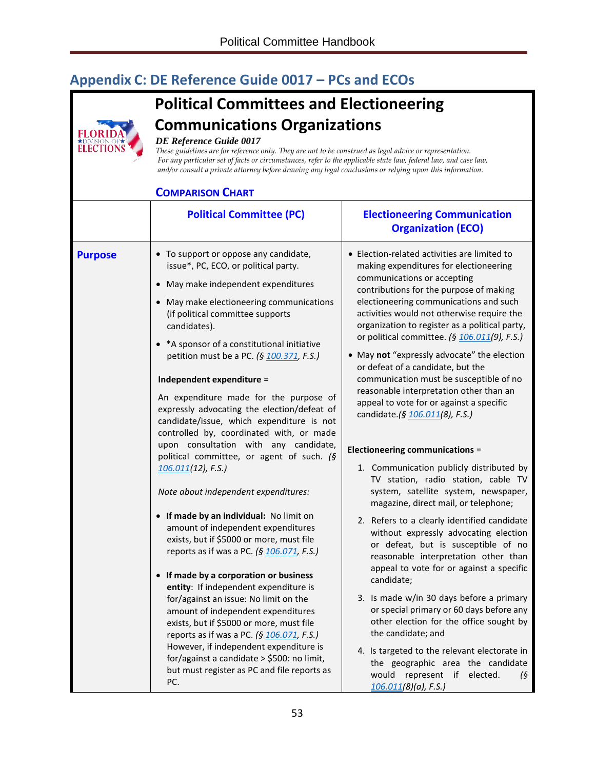# <span id="page-56-0"></span>**Appendix C: DE Reference Guide 0017 – PCs and ECOs**

# **Political Committees and Electioneering Communications Organizations**



#### *DE Reference Guide 0017*

*These guidelines are for reference only. They are not to be construed as legal advice or representation. For any particular set of facts or circumstances, refer to the applicable state law, federal law, and case law, and/or consult a private attorney before drawing any legal conclusions or relying upon this information.*

#### **COMPARISON CHART**

| LUMPAKISUN LHAKI |                                                                                                                                                                                                                                                                                                                                                                                                                                                                                                                                                                                                                                                                                                                                                                                                                                                                                                                                                                                                                                                                                                                                                                                                                                                                          |                                                                                                                                                                                                                                                                                                                                                                                                                                                                                                                                                                                                                                                                                                                                                                                                                                                                                                                                                                                                                                                                                                                                                                                                                                                                                                                                                                                      |  |  |
|------------------|--------------------------------------------------------------------------------------------------------------------------------------------------------------------------------------------------------------------------------------------------------------------------------------------------------------------------------------------------------------------------------------------------------------------------------------------------------------------------------------------------------------------------------------------------------------------------------------------------------------------------------------------------------------------------------------------------------------------------------------------------------------------------------------------------------------------------------------------------------------------------------------------------------------------------------------------------------------------------------------------------------------------------------------------------------------------------------------------------------------------------------------------------------------------------------------------------------------------------------------------------------------------------|--------------------------------------------------------------------------------------------------------------------------------------------------------------------------------------------------------------------------------------------------------------------------------------------------------------------------------------------------------------------------------------------------------------------------------------------------------------------------------------------------------------------------------------------------------------------------------------------------------------------------------------------------------------------------------------------------------------------------------------------------------------------------------------------------------------------------------------------------------------------------------------------------------------------------------------------------------------------------------------------------------------------------------------------------------------------------------------------------------------------------------------------------------------------------------------------------------------------------------------------------------------------------------------------------------------------------------------------------------------------------------------|--|--|
|                  | <b>Political Committee (PC)</b>                                                                                                                                                                                                                                                                                                                                                                                                                                                                                                                                                                                                                                                                                                                                                                                                                                                                                                                                                                                                                                                                                                                                                                                                                                          | <b>Electioneering Communication</b><br><b>Organization (ECO)</b>                                                                                                                                                                                                                                                                                                                                                                                                                                                                                                                                                                                                                                                                                                                                                                                                                                                                                                                                                                                                                                                                                                                                                                                                                                                                                                                     |  |  |
| <b>Purpose</b>   | • To support or oppose any candidate,<br>issue*, PC, ECO, or political party.<br>• May make independent expenditures<br>• May make electioneering communications<br>(if political committee supports<br>candidates).<br>• *A sponsor of a constitutional initiative<br>petition must be a PC. (§ 100.371, F.S.)<br>Independent expenditure =<br>An expenditure made for the purpose of<br>expressly advocating the election/defeat of<br>candidate/issue, which expenditure is not<br>controlled by, coordinated with, or made<br>upon consultation with any candidate,<br>political committee, or agent of such. (§<br>$106.011(12)$ , F.S.)<br>Note about independent expenditures:<br>• If made by an individual: No limit on<br>amount of independent expenditures<br>exists, but if \$5000 or more, must file<br>reports as if was a PC. (§ 106.071, F.S.)<br>• If made by a corporation or business<br>entity: If independent expenditure is<br>for/against an issue: No limit on the<br>amount of independent expenditures<br>exists, but if \$5000 or more, must file<br>reports as if was a PC. (§ 106.071, F.S.)<br>However, if independent expenditure is<br>for/against a candidate > \$500: no limit,<br>but must register as PC and file reports as<br>PC. | • Election-related activities are limited to<br>making expenditures for electioneering<br>communications or accepting<br>contributions for the purpose of making<br>electioneering communications and such<br>activities would not otherwise require the<br>organization to register as a political party,<br>or political committee. (§ 106.011(9), F.S.)<br>• May not "expressly advocate" the election<br>or defeat of a candidate, but the<br>communication must be susceptible of no<br>reasonable interpretation other than an<br>appeal to vote for or against a specific<br>candidate.(§ 106.011(8), F.S.)<br><b>Electioneering communications =</b><br>1. Communication publicly distributed by<br>TV station, radio station, cable TV<br>system, satellite system, newspaper,<br>magazine, direct mail, or telephone;<br>2. Refers to a clearly identified candidate<br>without expressly advocating election<br>or defeat, but is susceptible of no<br>reasonable interpretation other than<br>appeal to vote for or against a specific<br>candidate;<br>3. Is made w/in 30 days before a primary<br>or special primary or 60 days before any<br>other election for the office sought by<br>the candidate; and<br>4. Is targeted to the relevant electorate in<br>the geographic area the candidate<br>would<br>represent if<br>elected.<br>(§<br>$106.011(8)(a)$ , F.S.) |  |  |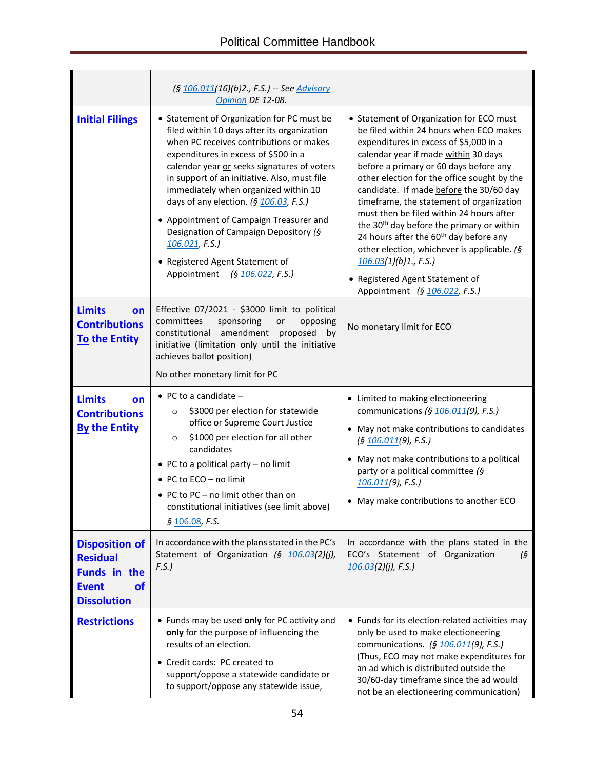|                                                                                                                    | (§ 106.011(16)(b)2., F.S.) -- See Advisory<br>Opinion DE 12-08.                                                                                                                                                                                                                                                                                                                                                                                                                                                                        |                                                                                                                                                                                                                                                                                                                                                                                                                                                                                                                                                                                                                                                             |  |
|--------------------------------------------------------------------------------------------------------------------|----------------------------------------------------------------------------------------------------------------------------------------------------------------------------------------------------------------------------------------------------------------------------------------------------------------------------------------------------------------------------------------------------------------------------------------------------------------------------------------------------------------------------------------|-------------------------------------------------------------------------------------------------------------------------------------------------------------------------------------------------------------------------------------------------------------------------------------------------------------------------------------------------------------------------------------------------------------------------------------------------------------------------------------------------------------------------------------------------------------------------------------------------------------------------------------------------------------|--|
| <b>Initial Filings</b>                                                                                             | • Statement of Organization for PC must be<br>filed within 10 days after its organization<br>when PC receives contributions or makes<br>expenditures in excess of \$500 in a<br>calendar year or seeks signatures of voters<br>in support of an initiative. Also, must file<br>immediately when organized within 10<br>days of any election. (§ 106.03, F.S.)<br>• Appointment of Campaign Treasurer and<br>Designation of Campaign Depository (§<br>106.021, F.S.<br>• Registered Agent Statement of<br>Appointment (§ 106.022, F.S.) | • Statement of Organization for ECO must<br>be filed within 24 hours when ECO makes<br>expenditures in excess of \$5,000 in a<br>calendar year if made within 30 days<br>before a primary or 60 days before any<br>other election for the office sought by the<br>candidate. If made before the 30/60 day<br>timeframe, the statement of organization<br>must then be filed within 24 hours after<br>the 30 <sup>th</sup> day before the primary or within<br>24 hours after the 60 <sup>th</sup> day before any<br>other election, whichever is applicable. (§<br>106.03(1)(b)1., F.S.<br>• Registered Agent Statement of<br>Appointment (§ 106.022, F.S.) |  |
| <b>Limits</b><br>on<br><b>Contributions</b><br><b>To the Entity</b>                                                | Effective 07/2021 - \$3000 limit to political<br>committees<br>sponsoring<br>opposing<br>or<br>amendment proposed<br>constitutional<br>by<br>initiative (limitation only until the initiative<br>achieves ballot position)<br>No other monetary limit for PC                                                                                                                                                                                                                                                                           | No monetary limit for ECO                                                                                                                                                                                                                                                                                                                                                                                                                                                                                                                                                                                                                                   |  |
| <b>Limits</b><br>on<br><b>Contributions</b><br><b>By the Entity</b>                                                | • PC to a candidate $-$<br>\$3000 per election for statewide<br>$\circ$<br>office or Supreme Court Justice<br>\$1000 per election for all other<br>$\circ$<br>candidates<br>• PC to a political party $-$ no limit<br>• PC to ECO - no limit<br>• PC to PC – no limit other than on<br>constitutional initiatives (see limit above)<br>§ 106.08, F.S.                                                                                                                                                                                  | • Limited to making electioneering<br>communications (§ 106.011(9), F.S.)<br>• May not make contributions to candidates<br>(§ 106.011(9), F.S.)<br>• May not make contributions to a political<br>party or a political committee (§<br>$106.011(9)$ , F.S.)<br>• May make contributions to another ECO                                                                                                                                                                                                                                                                                                                                                      |  |
| <b>Disposition of</b><br><b>Residual</b><br><b>Funds in the</b><br><b>Event</b><br><b>of</b><br><b>Dissolution</b> | In accordance with the plans stated in the PC's<br>Statement of Organization (§ 106.03(2)(j),<br>F.S.                                                                                                                                                                                                                                                                                                                                                                                                                                  | In accordance with the plans stated in the<br>ECO's Statement of Organization<br>$\sqrt{5}$<br>$106.03(2)(j)$ , F.S.)                                                                                                                                                                                                                                                                                                                                                                                                                                                                                                                                       |  |
| <b>Restrictions</b>                                                                                                | • Funds may be used only for PC activity and<br>only for the purpose of influencing the<br>results of an election.<br>• Credit cards: PC created to<br>support/oppose a statewide candidate or<br>to support/oppose any statewide issue,                                                                                                                                                                                                                                                                                               | • Funds for its election-related activities may<br>only be used to make electioneering<br>communications. (§ 106.011(9), F.S.)<br>(Thus, ECO may not make expenditures for<br>an ad which is distributed outside the<br>30/60-day timeframe since the ad would<br>not be an electioneering communication)                                                                                                                                                                                                                                                                                                                                                   |  |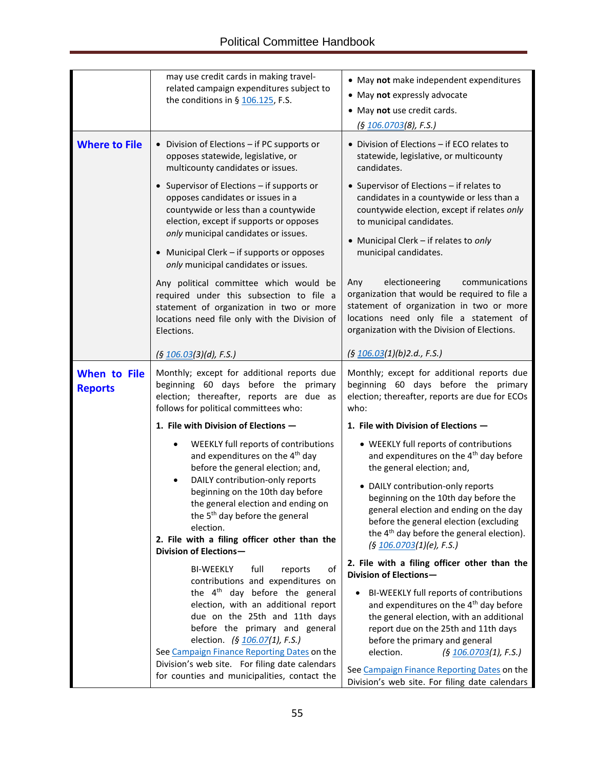|                                       | may use credit cards in making travel-<br>related campaign expenditures subject to<br>the conditions in § $106.125$ , F.S.                                                                                                                                                                                                                                        | • May not make independent expenditures<br>• May not expressly advocate<br>• May not use credit cards.<br>(§ <u>106.0703(</u> 8), F.S.)                                                                                                                                                                                                                                                                                                                                                                                                                                         |  |  |
|---------------------------------------|-------------------------------------------------------------------------------------------------------------------------------------------------------------------------------------------------------------------------------------------------------------------------------------------------------------------------------------------------------------------|---------------------------------------------------------------------------------------------------------------------------------------------------------------------------------------------------------------------------------------------------------------------------------------------------------------------------------------------------------------------------------------------------------------------------------------------------------------------------------------------------------------------------------------------------------------------------------|--|--|
| <b>Where to File</b>                  | • Division of Elections - if PC supports or<br>opposes statewide, legislative, or<br>multicounty candidates or issues.                                                                                                                                                                                                                                            | • Division of Elections - if ECO relates to<br>statewide, legislative, or multicounty<br>candidates.<br>• Supervisor of Elections - if relates to<br>candidates in a countywide or less than a<br>countywide election, except if relates only<br>to municipal candidates.<br>• Municipal Clerk - if relates to only<br>municipal candidates.<br>electioneering<br>communications<br>Any<br>organization that would be required to file a<br>statement of organization in two or more<br>locations need only file a statement of<br>organization with the Division of Elections. |  |  |
|                                       | • Supervisor of Elections - if supports or<br>opposes candidates or issues in a<br>countywide or less than a countywide<br>election, except if supports or opposes<br>only municipal candidates or issues.<br>• Municipal Clerk - if supports or opposes<br>only municipal candidates or issues.                                                                  |                                                                                                                                                                                                                                                                                                                                                                                                                                                                                                                                                                                 |  |  |
|                                       | Any political committee which would be<br>required under this subsection to file a<br>statement of organization in two or more<br>locations need file only with the Division of<br>Elections.                                                                                                                                                                     |                                                                                                                                                                                                                                                                                                                                                                                                                                                                                                                                                                                 |  |  |
|                                       | (5 106.03(3)(d), F.S.)                                                                                                                                                                                                                                                                                                                                            | (5 106.03(1)(b)2.d., F.S.)                                                                                                                                                                                                                                                                                                                                                                                                                                                                                                                                                      |  |  |
| <b>When to File</b><br><b>Reports</b> | Monthly; except for additional reports due<br>beginning 60 days before the primary<br>election; thereafter, reports are due as<br>follows for political committees who:                                                                                                                                                                                           | Monthly; except for additional reports due<br>beginning 60 days before the primary<br>election; thereafter, reports are due for ECOs<br>who:                                                                                                                                                                                                                                                                                                                                                                                                                                    |  |  |
|                                       | 1. File with Division of Elections -                                                                                                                                                                                                                                                                                                                              | 1. File with Division of Elections -                                                                                                                                                                                                                                                                                                                                                                                                                                                                                                                                            |  |  |
|                                       | WEEKLY full reports of contributions<br>and expenditures on the 4 <sup>th</sup> day<br>before the general election; and,                                                                                                                                                                                                                                          | • WEEKLY full reports of contributions<br>and expenditures on the 4 <sup>th</sup> day before<br>the general election; and,                                                                                                                                                                                                                                                                                                                                                                                                                                                      |  |  |
|                                       | DAILY contribution-only reports<br>$\bullet$<br>beginning on the 10th day before<br>the general election and ending on<br>the 5 <sup>th</sup> day before the general<br>election.<br>2. File with a filing officer other than the<br>Division of Elections-                                                                                                       | • DAILY contribution-only reports<br>beginning on the 10th day before the<br>general election and ending on the day<br>before the general election (excluding<br>the 4 <sup>th</sup> day before the general election).<br>(§ 106.0703(1)(e), F.S.)                                                                                                                                                                                                                                                                                                                              |  |  |
|                                       | <b>BI-WEEKLY</b><br>full<br>of<br>reports                                                                                                                                                                                                                                                                                                                         | 2. File with a filing officer other than the<br>Division of Elections-                                                                                                                                                                                                                                                                                                                                                                                                                                                                                                          |  |  |
|                                       | contributions and expenditures on<br>the $4th$ day before the general<br>election, with an additional report<br>due on the 25th and 11th days<br>before the primary and general<br>election. (§ 106.07(1), F.S.)<br>See Campaign Finance Reporting Dates on the<br>Division's web site. For filing date calendars<br>for counties and municipalities, contact the | BI-WEEKLY full reports of contributions<br>$\bullet$<br>and expenditures on the 4 <sup>th</sup> day before<br>the general election, with an additional<br>report due on the 25th and 11th days<br>before the primary and general<br>election.<br>(5 106.0703(1), F.S.)<br>See Campaign Finance Reporting Dates on the<br>Division's web site. For filing date calendars                                                                                                                                                                                                         |  |  |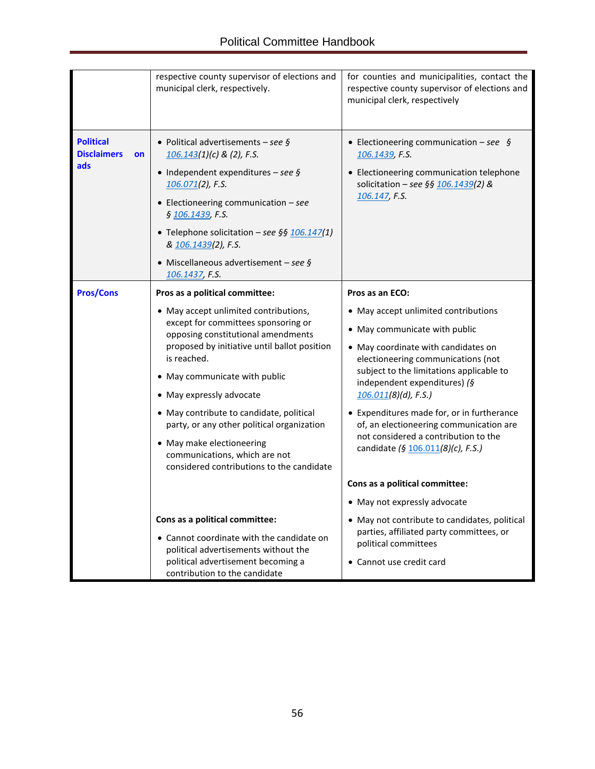|                                                     | respective county supervisor of elections and<br>municipal clerk, respectively.                                                                                                                                                                                                                                                                                                                                                                                                       | for counties and municipalities, contact the<br>respective county supervisor of elections and<br>municipal clerk, respectively                                                                                                                                                                                                                                                                                                                     |  |
|-----------------------------------------------------|---------------------------------------------------------------------------------------------------------------------------------------------------------------------------------------------------------------------------------------------------------------------------------------------------------------------------------------------------------------------------------------------------------------------------------------------------------------------------------------|----------------------------------------------------------------------------------------------------------------------------------------------------------------------------------------------------------------------------------------------------------------------------------------------------------------------------------------------------------------------------------------------------------------------------------------------------|--|
| <b>Political</b><br><b>Disclaimers</b><br>on<br>ads | • Political advertisements - see $\oint$<br>$106.143(1)(c)$ & (2), F.S.<br>• Independent expenditures - see $\oint$<br>$106.071(2)$ , F.S.<br>• Electioneering communication $-$ see<br>§ 106.1439, F.S.<br>• Telephone solicitation - see §§ 106.147(1)<br>& 106.1439(2), F.S.<br>• Miscellaneous advertisement - see $\oint$<br>106.1437, F.S.                                                                                                                                      | • Electioneering communication $-$ see §<br>106.1439, F.S.<br>• Electioneering communication telephone<br>solicitation - see §§ $106.1439(2)$ &<br>106.147, F.S.                                                                                                                                                                                                                                                                                   |  |
| <b>Pros/Cons</b>                                    | Pros as a political committee:<br>• May accept unlimited contributions,<br>except for committees sponsoring or<br>opposing constitutional amendments<br>proposed by initiative until ballot position<br>is reached.<br>• May communicate with public<br>• May expressly advocate<br>• May contribute to candidate, political<br>party, or any other political organization<br>• May make electioneering<br>communications, which are not<br>considered contributions to the candidate | Pros as an ECO:<br>• May accept unlimited contributions<br>• May communicate with public<br>• May coordinate with candidates on<br>electioneering communications (not<br>subject to the limitations applicable to<br>independent expenditures) (§<br>$106.011(8)(d)$ , F.S.)<br>• Expenditures made for, or in furtherance<br>of, an electioneering communication are<br>not considered a contribution to the<br>candidate (§ 106.011(8)(c), F.S.) |  |
|                                                     |                                                                                                                                                                                                                                                                                                                                                                                                                                                                                       | Cons as a political committee:<br>• May not expressly advocate                                                                                                                                                                                                                                                                                                                                                                                     |  |
|                                                     | Cons as a political committee:<br>• Cannot coordinate with the candidate on<br>political advertisements without the<br>political advertisement becoming a<br>contribution to the candidate                                                                                                                                                                                                                                                                                            | • May not contribute to candidates, political<br>parties, affiliated party committees, or<br>political committees<br>• Cannot use credit card                                                                                                                                                                                                                                                                                                      |  |